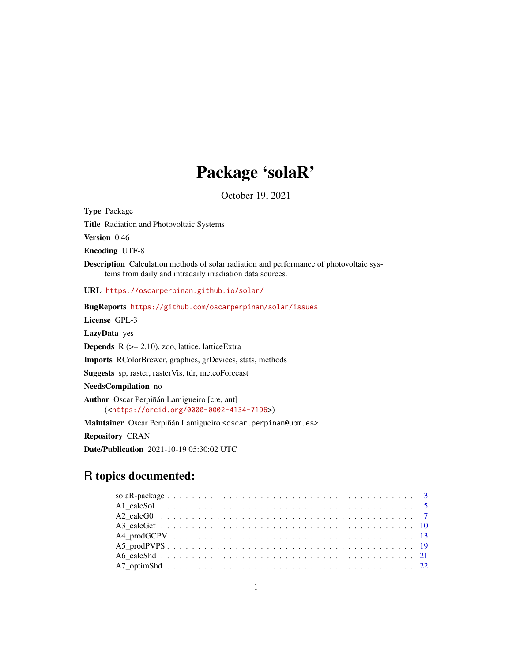# Package 'solaR'

October 19, 2021

<span id="page-0-0"></span>Type Package Title Radiation and Photovoltaic Systems Version 0.46 Encoding UTF-8 Description Calculation methods of solar radiation and performance of photovoltaic systems from daily and intradaily irradiation data sources. URL <https://oscarperpinan.github.io/solar/> BugReports <https://github.com/oscarperpinan/solar/issues> License GPL-3 LazyData yes **Depends**  $R$  ( $>= 2.10$ ), zoo, lattice, latticeExtra Imports RColorBrewer, graphics, grDevices, stats, methods Suggests sp, raster, rasterVis, tdr, meteoForecast NeedsCompilation no Author Oscar Perpiñán Lamigueiro [cre, aut] (<<https://orcid.org/0000-0002-4134-7196>>) Maintainer Oscar Perpiñán Lamigueiro <oscar.perpinan@upm.es> Repository CRAN Date/Publication 2021-10-19 05:30:02 UTC

# R topics documented: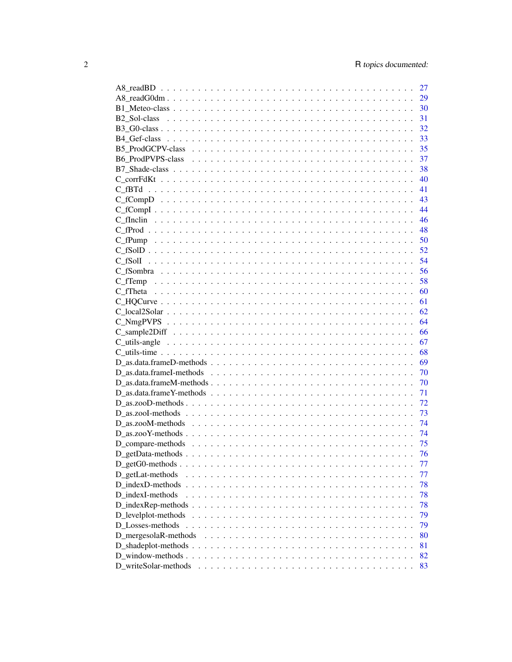|                      | 27 |
|----------------------|----|
|                      | 29 |
|                      |    |
|                      | 31 |
|                      | 32 |
|                      | 33 |
|                      | 35 |
|                      | 37 |
|                      | 38 |
|                      | 40 |
|                      | 41 |
|                      | 43 |
|                      |    |
|                      |    |
|                      |    |
|                      |    |
|                      |    |
|                      |    |
|                      |    |
|                      |    |
|                      |    |
|                      |    |
|                      | 62 |
|                      | 64 |
|                      |    |
|                      |    |
|                      |    |
|                      |    |
|                      |    |
|                      |    |
|                      |    |
|                      |    |
|                      | 72 |
|                      | 73 |
|                      | 74 |
|                      | 74 |
|                      | 75 |
|                      | 76 |
|                      | 77 |
| D_getLat-methods     | 77 |
| D indexD-methods     | 78 |
| D indexI-methods     | 78 |
|                      | 78 |
|                      | 79 |
| D_Losses-methods     | 79 |
| D_mergesolaR-methods | 80 |
|                      | 81 |
|                      | 82 |
| D writeSolar-methods | 83 |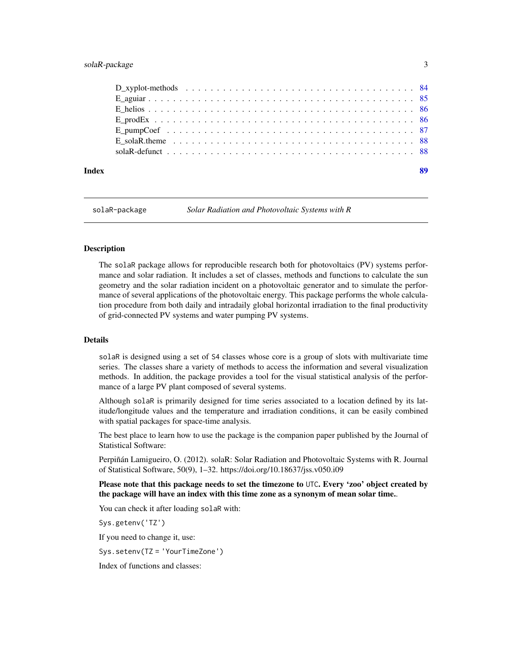# <span id="page-2-0"></span>solaR-package 3

|       | E solaR.theme $\ldots \ldots \ldots \ldots \ldots \ldots \ldots \ldots \ldots \ldots \ldots \ldots \ldots$ |    |
|-------|------------------------------------------------------------------------------------------------------------|----|
|       |                                                                                                            |    |
| Index |                                                                                                            | 89 |

solaR-package *Solar Radiation and Photovoltaic Systems with R*

#### Description

The solaR package allows for reproducible research both for photovoltaics (PV) systems performance and solar radiation. It includes a set of classes, methods and functions to calculate the sun geometry and the solar radiation incident on a photovoltaic generator and to simulate the performance of several applications of the photovoltaic energy. This package performs the whole calculation procedure from both daily and intradaily global horizontal irradiation to the final productivity of grid-connected PV systems and water pumping PV systems.

# Details

solaR is designed using a set of S4 classes whose core is a group of slots with multivariate time series. The classes share a variety of methods to access the information and several visualization methods. In addition, the package provides a tool for the visual statistical analysis of the performance of a large PV plant composed of several systems.

Although solaR is primarily designed for time series associated to a location defined by its latitude/longitude values and the temperature and irradiation conditions, it can be easily combined with spatial packages for space-time analysis.

The best place to learn how to use the package is the companion paper published by the Journal of Statistical Software:

Perpiñán Lamigueiro, O. (2012). solaR: Solar Radiation and Photovoltaic Systems with R. Journal of Statistical Software, 50(9), 1–32. https://doi.org/10.18637/jss.v050.i09

Please note that this package needs to set the timezone to UTC. Every 'zoo' object created by the package will have an index with this time zone as a synonym of mean solar time..

You can check it after loading solaR with:

Sys.getenv('TZ')

If you need to change it, use:

Sys.setenv(TZ = 'YourTimeZone')

Index of functions and classes: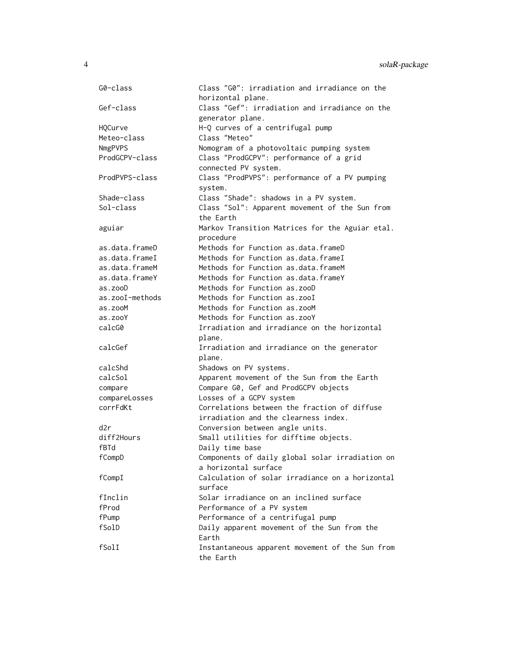| G0-class        | Class "G0": irradiation and irradiance on the                      |
|-----------------|--------------------------------------------------------------------|
|                 | horizontal plane.                                                  |
| Gef-class       | Class "Gef": irradiation and irradiance on the<br>generator plane. |
| HQCurve         | H-Q curves of a centrifugal pump                                   |
| Meteo-class     | Class "Meteo"                                                      |
| NmgPVPS         | Nomogram of a photovoltaic pumping system                          |
| ProdGCPV-class  | Class "ProdGCPV": performance of a grid                            |
|                 | connected PV system.                                               |
| ProdPVPS-class  | Class "ProdPVPS": performance of a PV pumping                      |
|                 | system.                                                            |
| Shade-class     | Class "Shade": shadows in a PV system.                             |
| Sol-class       | Class "Sol": Apparent movement of the Sun from                     |
|                 | the Earth                                                          |
| aguiar          | Markov Transition Matrices for the Aguiar etal.                    |
|                 | procedure                                                          |
| as.data.frameD  | Methods for Function as.data.frameD                                |
| as.data.frameI  | Methods for Function as data frame I                               |
| as.data.frameM  | Methods for Function as.data.frameM                                |
| as.data.frameY  | Methods for Function as.data.frameY                                |
| as.zooD         | Methods for Function as.zooD                                       |
| as.zooI-methods | Methods for Function as.zooI                                       |
| as.zooM         | Methods for Function as.zooM                                       |
| as.zooY         | Methods for Function as.zooY                                       |
| calcG0          | Irradiation and irradiance on the horizontal                       |
|                 | plane.                                                             |
| calcGef         | Irradiation and irradiance on the generator                        |
|                 | plane.                                                             |
| calcShd         | Shadows on PV systems.                                             |
| calcSol         | Apparent movement of the Sun from the Earth                        |
| compare         | Compare G0, Gef and ProdGCPV objects                               |
| compareLosses   | Losses of a GCPV system                                            |
| corrFdKt        | Correlations between the fraction of diffuse                       |
|                 | irradiation and the clearness index.                               |
| d2r             | Conversion between angle units.                                    |
| diff2Hours      | Small utilities for difftime objects.                              |
| fBTd            | Daily time base                                                    |
| fCompD          | Components of daily global solar irradiation on                    |
|                 | a horizontal surface                                               |
| fCompI          | Calculation of solar irradiance on a horizontal                    |
|                 | surface                                                            |
| fInclin         | Solar irradiance on an inclined surface                            |
| fProd           | Performance of a PV system                                         |
| fPump           | Performance of a centrifugal pump                                  |
| fSolD           | Daily apparent movement of the Sun from the                        |
|                 | Earth                                                              |
| fSolI           | Instantaneous apparent movement of the Sun from                    |
|                 | the Earth                                                          |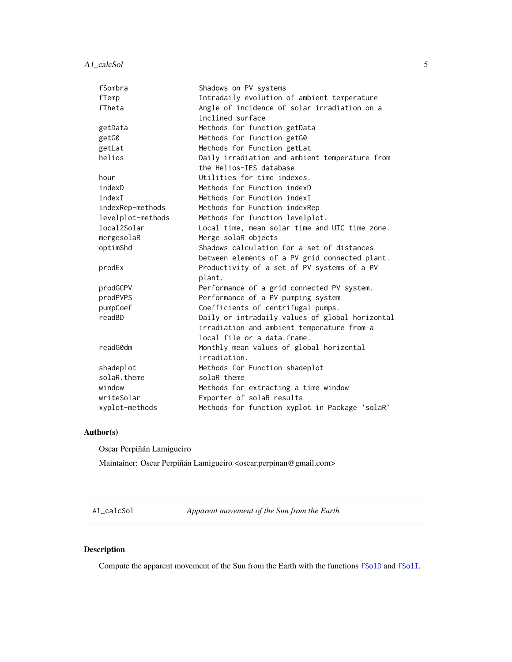<span id="page-4-0"></span>A1\_calcSol 5

| fSombra           | Shadows on PV systems                           |
|-------------------|-------------------------------------------------|
| fTemp             | Intradaily evolution of ambient temperature     |
| fTheta            | Angle of incidence of solar irradiation on a    |
|                   | inclined surface                                |
| getData           | Methods for function getData                    |
| getG0             | Methods for function getG0                      |
| getLat            | Methods for Function getLat                     |
| helios            | Daily irradiation and ambient temperature from  |
|                   | the Helios-IES database                         |
| hour              | Utilities for time indexes.                     |
| indexD            | Methods for Function indexD                     |
| indexI            | Methods for Function indexI                     |
| indexRep-methods  | Methods for Function indexRep                   |
| levelplot-methods | Methods for function levelplot.                 |
| local2Solar       | Local time, mean solar time and UTC time zone.  |
| mergesolaR        | Merge solaR objects                             |
| optimShd          | Shadows calculation for a set of distances      |
|                   | between elements of a PV grid connected plant.  |
| prodEx            | Productivity of a set of PV systems of a PV     |
|                   | plant.                                          |
| prodGCPV          | Performance of a grid connected PV system.      |
| prodPVPS          | Performance of a PV pumping system              |
| pumpCoef          | Coefficients of centrifugal pumps.              |
| readBD            | Daily or intradaily values of global horizontal |
|                   | irradiation and ambient temperature from a      |
|                   | local file or a data.frame.                     |
| readG0dm          | Monthly mean values of global horizontal        |
|                   | irradiation.                                    |
| shadeplot         | Methods for Function shadeplot                  |
| solaR.theme       | solaR theme                                     |
| window            | Methods for extracting a time window            |
| writeSolar        | Exporter of solaR results                       |
| xyplot-methods    | Methods for function xyplot in Package 'solaR'  |

# Author(s)

Oscar Perpiñán Lamigueiro

Maintainer: Oscar Perpiñán Lamigueiro <oscar.perpinan@gmail.com>

A1\_calcSol *Apparent movement of the Sun from the Earth*

# <span id="page-4-1"></span>Description

Compute the apparent movement of the Sun from the Earth with the functions [fSolD](#page-51-1) and [fSolI](#page-53-1).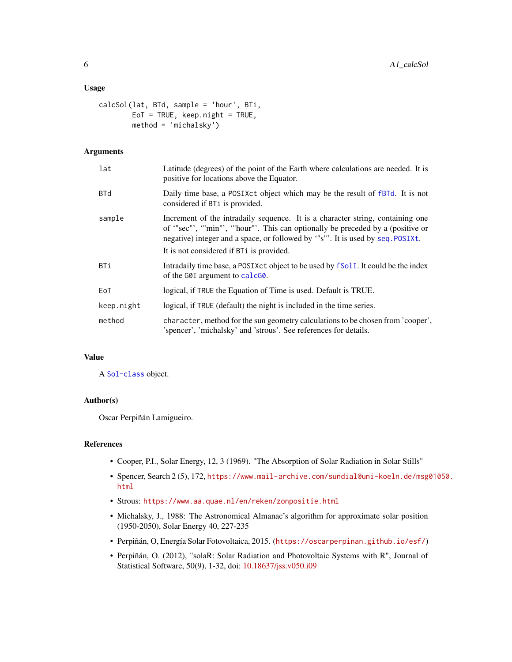#### Usage

```
calcSol(lat, BTd, sample = 'hour', BTi,
        EoT = TRUE, keep.night = TRUE,
        method = 'michalsky')
```
# Arguments

| lat        | Latitude (degrees) of the point of the Earth where calculations are needed. It is<br>positive for locations above the Equator.                                                                                                                                                                |
|------------|-----------------------------------------------------------------------------------------------------------------------------------------------------------------------------------------------------------------------------------------------------------------------------------------------|
| <b>BTd</b> | Daily time base, a POSIXct object which may be the result of fBTd. It is not<br>considered if BT <sub>i</sub> is provided.                                                                                                                                                                    |
| sample     | Increment of the intradaily sequence. It is a character string, containing one<br>of "sec"', "min"', "hour"'. This can optionally be preceded by a (positive or<br>negative) integer and a space, or followed by "s"'. It is used by seq. POSIXt.<br>It is not considered if BTi is provided. |
| BTi        | Intradaily time base, a POSIXct object to be used by fSolI. It could be the index<br>of the G0I argument to calcG0.                                                                                                                                                                           |
| EoT        | logical, if TRUE the Equation of Time is used. Default is TRUE.                                                                                                                                                                                                                               |
| keep.night | logical, if TRUE (default) the night is included in the time series.                                                                                                                                                                                                                          |
| method     | character, method for the sun geometry calculations to be chosen from 'cooper',<br>'spencer', 'michalsky' and 'strous'. See references for details.                                                                                                                                           |

#### Value

A [Sol-class](#page-30-1) object.

# Author(s)

Oscar Perpiñán Lamigueiro.

#### References

- Cooper, P.I., Solar Energy, 12, 3 (1969). "The Absorption of Solar Radiation in Solar Stills"
- Spencer, Search 2 (5), 172, [https://www.mail-archive.com/sundial@uni-koeln.de/msg0](https://www.mail-archive.com/sundial@uni-koeln.de/msg01050.html)1050. [html](https://www.mail-archive.com/sundial@uni-koeln.de/msg01050.html)
- Strous: <https://www.aa.quae.nl/en/reken/zonpositie.html>
- Michalsky, J., 1988: The Astronomical Almanac's algorithm for approximate solar position (1950-2050), Solar Energy 40, 227-235
- Perpiñán, O, Energía Solar Fotovoltaica, 2015. (<https://oscarperpinan.github.io/esf/>)
- Perpiñán, O. (2012), "solaR: Solar Radiation and Photovoltaic Systems with R", Journal of Statistical Software, 50(9), 1-32, doi: [10.18637/jss.v050.i09](https://doi.org/10.18637/jss.v050.i09)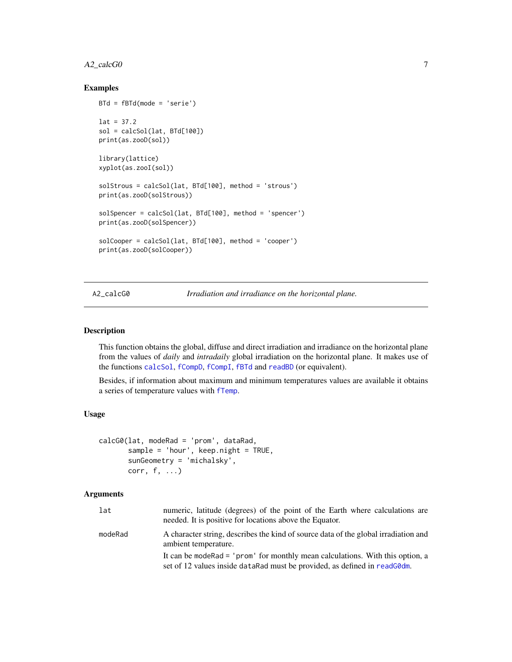# <span id="page-6-0"></span>A2\_calcG0 7

# Examples

```
BTd = fBTd(mode = 'serie')
lat = 37.2sol = calcSol(lat, BTd[100])
print(as.zooD(sol))
library(lattice)
xyplot(as.zooI(sol))
solStrous = calcSol(lat, BTd[100], method = 'strous')
print(as.zooD(solStrous))
solSpencer = calcSol(lat, BTd[100], method = 'spencer')
print(as.zooD(solSpencer))
solCooper = calcSol(lat, BTd[100], method = 'cooper')
print(as.zooD(solCooper))
```
A2\_calcG0 *Irradiation and irradiance on the horizontal plane.*

#### <span id="page-6-1"></span>**Description**

This function obtains the global, diffuse and direct irradiation and irradiance on the horizontal plane from the values of *daily* and *intradaily* global irradiation on the horizontal plane. It makes use of the functions [calcSol](#page-4-1), [fCompD](#page-42-1), [fCompI](#page-43-1), [fBTd](#page-40-1) and [readBD](#page-26-1) (or equivalent).

Besides, if information about maximum and minimum temperatures values are available it obtains a series of temperature values with [fTemp](#page-57-1).

#### Usage

```
calcG0(lat, modeRad = 'prom', dataRad,
       sample = 'hour', keep.night = TRUE,
       sunGeometry = 'michalsky',
      corr, f, ...)
```
#### Arguments

| lat     | numeric, latitude (degrees) of the point of the Earth where calculations are<br>needed. It is positive for locations above the Equator.                        |
|---------|----------------------------------------------------------------------------------------------------------------------------------------------------------------|
| modeRad | A character string, describes the kind of source data of the global irradiation and<br>ambient temperature.                                                    |
|         | It can be mode Rad = 'prom' for monthly mean calculations. With this option, a<br>set of 12 values inside data Rad must be provided, as defined in read GO dm. |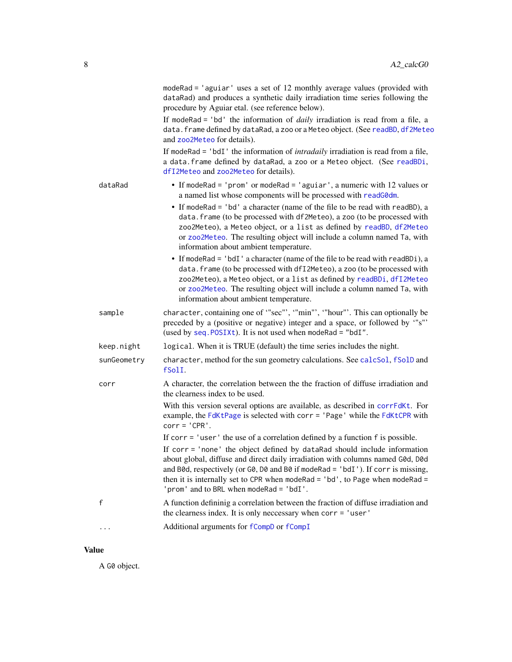|             | modeRad = 'aguiar' uses a set of 12 monthly average values (provided with<br>dataRad) and produces a synthetic daily irradiation time series following the<br>procedure by Aguiar etal. (see reference below).<br>If modeRad = 'bd' the information of <i>daily</i> irradiation is read from a file, a<br>data. frame defined by dataRad, a zoo or a Meteo object. (See readBD, df2Meteo<br>and zoo2Meteo for details).<br>If modeRad = 'bdI' the information of <i>intradaily</i> irradiation is read from a file,<br>a data. frame defined by dataRad, a zoo or a Meteo object. (See readBDi,<br>dfI2Meteo and zoo2Meteo for details). |
|-------------|------------------------------------------------------------------------------------------------------------------------------------------------------------------------------------------------------------------------------------------------------------------------------------------------------------------------------------------------------------------------------------------------------------------------------------------------------------------------------------------------------------------------------------------------------------------------------------------------------------------------------------------|
| dataRad     | • If modeRad = 'prom' or modeRad = 'aguiar', a numeric with 12 values or<br>a named list whose components will be processed with readG0dm.<br>• If modeRad = 'bd' a character (name of the file to be read with readBD), a<br>data. frame (to be processed with df2Meteo), a zoo (to be processed with<br>zoo2Meteo), a Meteo object, or a list as defined by readBD, df2Meteo<br>or zoo2Meteo. The resulting object will include a column named Ta, with<br>information about ambient temperature.                                                                                                                                      |
|             | • If modeRad = 'bdI' a character (name of the file to be read with readBDi), a<br>data. frame (to be processed with dfI2Meteo), a zoo (to be processed with<br>zoo2Meteo), a Meteo object, or a list as defined by readBDi, dfI2Meteo<br>or zoo2Meteo. The resulting object will include a column named Ta, with<br>information about ambient temperature.                                                                                                                                                                                                                                                                               |
| sample      | character, containing one of "sec"', "min"', "hour"'. This can optionally be<br>preceded by a (positive or negative) integer and a space, or followed by "s"<br>(used by seq. POSIXt). It is not used when modeRad = "bdI".                                                                                                                                                                                                                                                                                                                                                                                                              |
| keep.night  | logical. When it is TRUE (default) the time series includes the night.                                                                                                                                                                                                                                                                                                                                                                                                                                                                                                                                                                   |
| sunGeometry | character, method for the sun geometry calculations. See calcSol, fSolD and<br>fSolI.                                                                                                                                                                                                                                                                                                                                                                                                                                                                                                                                                    |
| corr        | A character, the correlation between the the fraction of diffuse irradiation and<br>the clearness index to be used.                                                                                                                                                                                                                                                                                                                                                                                                                                                                                                                      |
|             | With this version several options are available, as described in corrFdKt. For<br>example, the FdKtPage is selected with corr = 'Page' while the FdKtCPR with<br>$corr = 'CPR'.$                                                                                                                                                                                                                                                                                                                                                                                                                                                         |
|             | If $corr = 'user'$ the use of a correlation defined by a function $f$ is possible.                                                                                                                                                                                                                                                                                                                                                                                                                                                                                                                                                       |
|             | If corr = 'none' the object defined by dataRad should include information<br>about global, diffuse and direct daily irradiation with columns named G0d, D0d<br>and B0d, respectively (or G0, D0 and B0 if modeRad = 'bdI'). If corr is missing,<br>then it is internally set to CPR when modeRad = $'$ bd', to Page when modeRad =<br>'prom' and to BRL when modeRad = 'bdI'.                                                                                                                                                                                                                                                            |
| f           | A function defininig a correlation between the fraction of diffuse irradiation and<br>the clearness index. It is only necessary when corr = 'user'                                                                                                                                                                                                                                                                                                                                                                                                                                                                                       |
| $\cdots$    | Additional arguments for fCompD or fCompI                                                                                                                                                                                                                                                                                                                                                                                                                                                                                                                                                                                                |

# Value

A G0 object.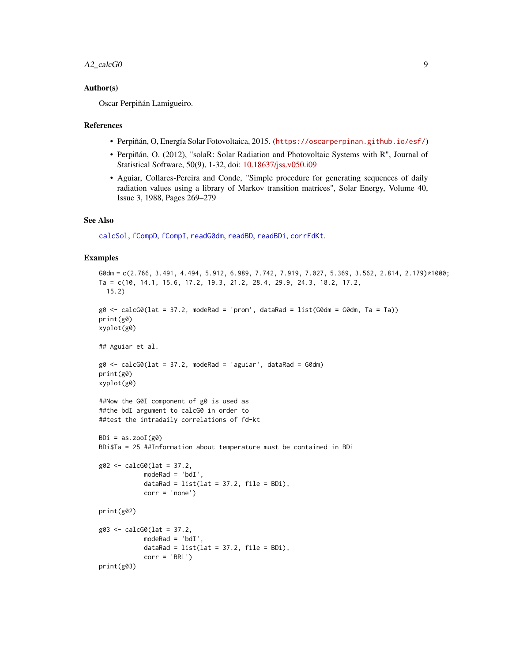#### A2\_calcG0 9

#### Author(s)

Oscar Perpiñán Lamigueiro.

#### References

- Perpiñán, O, Energía Solar Fotovoltaica, 2015. (<https://oscarperpinan.github.io/esf/>)
- Perpiñán, O. (2012), "solaR: Solar Radiation and Photovoltaic Systems with R", Journal of Statistical Software, 50(9), 1-32, doi: [10.18637/jss.v050.i09](https://doi.org/10.18637/jss.v050.i09)
- Aguiar, Collares-Pereira and Conde, "Simple procedure for generating sequences of daily radiation values using a library of Markov transition matrices", Solar Energy, Volume 40, Issue 3, 1988, Pages 269–279

#### See Also

[calcSol](#page-4-1), [fCompD](#page-42-1), [fCompI](#page-43-1), [readG0dm](#page-28-1), [readBD](#page-26-1), [readBDi](#page-26-1), [corrFdKt](#page-39-1).

#### Examples

```
G0dm = c(2.766, 3.491, 4.494, 5.912, 6.989, 7.742, 7.919, 7.027, 5.369, 3.562, 2.814, 2.179)*1000;
Ta = c(10, 14.1, 15.6, 17.2, 19.3, 21.2, 28.4, 29.9, 24.3, 18.2, 17.2,
  15.2)
g0 \le - calcG0(lat = 37.2, modeRad = 'prom', dataRad = list(G0dm = G0dm, Ta = Ta))
print(g0)
xyplot(g0)
## Aguiar et al.
g0 \leq - \text{calcG0}(\text{lat} = 37.2, \text{modeRad} = \text{'aguiar'}, \text{dataRad} = \text{G0dm})print(g0)
xyplot(g0)
##Now the G0I component of g0 is used as
##the bdI argument to calcG0 in order to
##test the intradaily correlations of fd-kt
BDi = as.zooI(g0)BDi$Ta = 25 ##Information about temperature must be contained in BDi
g02 \leq - \text{calcG0}(\text{lat} = 37.2,modeRad = 'bdI',
             dataRad = list(lat = 37.2, file = BDi),corr = 'none')
print(g02)
g03 <- calcG0(lat = 37.2,
             modeRad = 'bdI',
             dataRad = list(lat = 37.2, file = BDi),
             corr = 'BRL')
print(g03)
```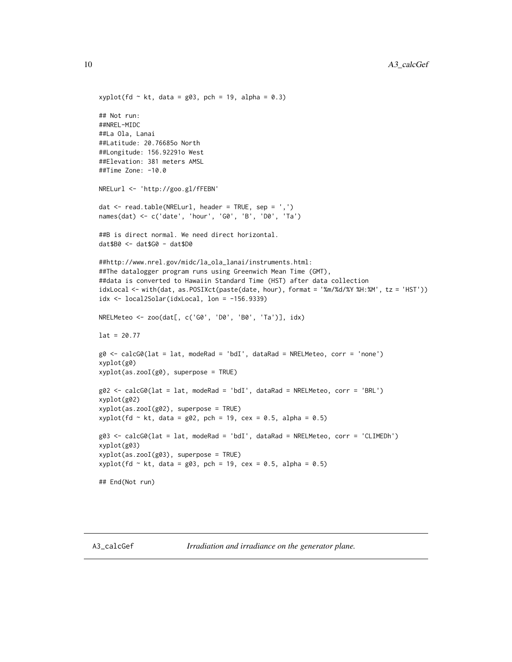```
xyplot(fd \sim kt, data = g03, pch = 19, alpha = 0.3)
## Not run:
##NREL-MIDC
##La Ola, Lanai
##Latitude: 20.76685o North
##Longitude: 156.92291o West
##Elevation: 381 meters AMSL
##Time Zone: -10.0
NRELurl <- 'http://goo.gl/fFEBN'
dat \leq read.table(NRELurl, header = TRUE, sep = ',')
names(dat) <- c('date', 'hour', 'G0', 'B', 'D0', 'Ta')
##B is direct normal. We need direct horizontal.
dat$B0 <- dat$G0 - dat$D0
##http://www.nrel.gov/midc/la_ola_lanai/instruments.html:
##The datalogger program runs using Greenwich Mean Time (GMT),
##data is converted to Hawaiin Standard Time (HST) after data collection
idxLocal <- with(dat, as.POSIXct(paste(date, hour), format = '%m/%d/%Y %H:%M', tz = 'HST'))
idx \leftarrow local2Solar(idxLocal, lon = -156.9339)NRELMeteo <- zoo(dat[, c('G0', 'D0', 'B0', 'Ta')], idx)
lat = 20.77g0 <- calcG0(lat = lat, modeRad = 'bdI', dataRad = NRELMeteo, corr = 'none')
xyplot(g0)
xyplot(as.zooI(g0), superpose = TRUE)
g02 <- calcG0(lat = lat, modeRad = 'bdI', dataRad = NRELMeteo, corr = 'BRL')
xyplot(g02)
xyplot(as.zooI(g02), superpose = TRUE)
xyplot(fd \sim kt, data = g02, pch = 19, cex = 0.5, alpha = 0.5)
g03 <- calcG0(lat = lat, modeRad = 'bdI', dataRad = NRELMeteo, corr = 'CLIMEDh')
xyplot(g03)
xyplot(as.zooI(g03), superpose = TRUE)
xyplot(fd \sim kt, data = g03, pch = 19, cex = 0.5, alpha = 0.5)## End(Not run)
```
<span id="page-9-1"></span>

A3\_calcGef *Irradiation and irradiance on the generator plane.*

<span id="page-9-0"></span>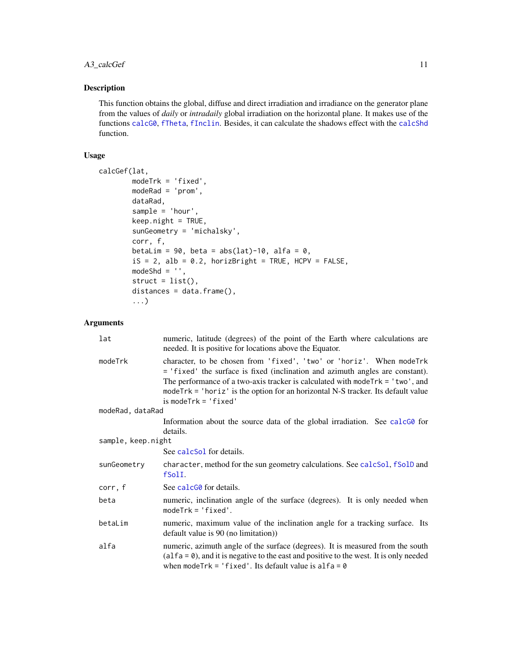# A3\_calcGef 11

# Description

This function obtains the global, diffuse and direct irradiation and irradiance on the generator plane from the values of *daily* or *intradaily* global irradiation on the horizontal plane. It makes use of the functions [calcG0](#page-6-1), [fTheta](#page-59-1), [fInclin](#page-45-1). Besides, it can calculate the shadows effect with the [calcShd](#page-20-1) function.

# Usage

```
calcGef(lat,
       modeTrk = 'fixed',
       modeRad = 'prom',
       dataRad,
       sample = 'hour',
       keep.night = TRUE,
       sunGeometry = 'michalsky',
       corr, f,
       betaLim = 90, beta = abs(lat)-10, alfa = 0,
       iS = 2, alb = 0.2, horizBright = TRUE, HCPV = FALSE,
       modeShd = ',
       struct = list(),distances = data.frame(),...)
```
# Arguments

| lat                | numeric, latitude (degrees) of the point of the Earth where calculations are<br>needed. It is positive for locations above the Equator.                                                                                                                                                                                                                       |
|--------------------|---------------------------------------------------------------------------------------------------------------------------------------------------------------------------------------------------------------------------------------------------------------------------------------------------------------------------------------------------------------|
| modeTrk            | character, to be chosen from 'fixed', 'two' or 'horiz'. When modeTrk<br>= 'fixed' the surface is fixed (inclination and azimuth angles are constant).<br>The performance of a two-axis tracker is calculated with mode $Trk = 'two',$ and<br>mode $Trk = 'horiz'$ is the option for an horizontal N-S tracker. Its default value<br>$is$ mode $Trk = 'fixed'$ |
| modeRad, dataRad   |                                                                                                                                                                                                                                                                                                                                                               |
|                    | Information about the source data of the global irradiation. See calcG0 for<br>details.                                                                                                                                                                                                                                                                       |
| sample, keep.night |                                                                                                                                                                                                                                                                                                                                                               |
|                    | See calcSol for details.                                                                                                                                                                                                                                                                                                                                      |
| sunGeometry        | character, method for the sun geometry calculations. See calcSol, fSolD and<br>fSolI.                                                                                                                                                                                                                                                                         |
| corr, f            | See calc <sub>60</sub> for details.                                                                                                                                                                                                                                                                                                                           |
| beta               | numeric, inclination angle of the surface (degrees). It is only needed when<br>$modelTk = 'fixed'.$                                                                                                                                                                                                                                                           |
| betaLim            | numeric, maximum value of the inclination angle for a tracking surface. Its<br>default value is 90 (no limitation))                                                                                                                                                                                                                                           |
| alfa               | numeric, azimuth angle of the surface (degrees). It is measured from the south<br>$(alfa = 0)$ , and it is negative to the east and positive to the west. It is only needed<br>when modeTrk = 'fixed'. Its default value is $alfa = 0$                                                                                                                        |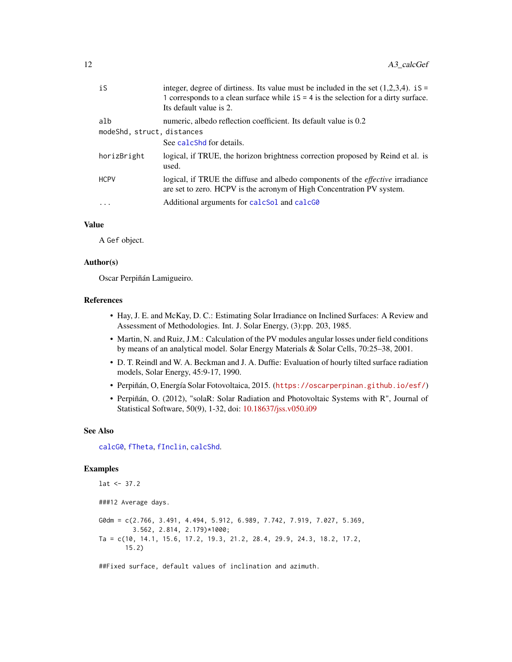| iS                                | integer, degree of dirtiness. Its value must be included in the set $(1,2,3,4)$ . iS =<br>1 corresponds to a clean surface while $iS = 4$ is the selection for a dirty surface.<br>Its default value is 2. |
|-----------------------------------|------------------------------------------------------------------------------------------------------------------------------------------------------------------------------------------------------------|
| alb<br>modeShd, struct, distances | numeric, albedo reflection coefficient. Its default value is 0.2<br>See calcshd for details.                                                                                                               |
| horizBright                       | logical, if TRUE, the horizon brightness correction proposed by Reind et al. is<br>used.                                                                                                                   |
| <b>HCPV</b>                       | logical, if TRUE the diffuse and albedo components of the <i>effective</i> irradiance<br>are set to zero. HCPV is the acronym of High Concentration PV system.                                             |
| $\ddots$                          | Additional arguments for calcSol and calcGO                                                                                                                                                                |
|                                   |                                                                                                                                                                                                            |

#### Value

A Gef object.

#### Author(s)

Oscar Perpiñán Lamigueiro.

#### References

- Hay, J. E. and McKay, D. C.: Estimating Solar Irradiance on Inclined Surfaces: A Review and Assessment of Methodologies. Int. J. Solar Energy, (3):pp. 203, 1985.
- Martin, N. and Ruiz, J.M.: Calculation of the PV modules angular losses under field conditions by means of an analytical model. Solar Energy Materials & Solar Cells, 70:25–38, 2001.
- D. T. Reindl and W. A. Beckman and J. A. Duffie: Evaluation of hourly tilted surface radiation models, Solar Energy, 45:9-17, 1990.
- Perpiñán, O, Energía Solar Fotovoltaica, 2015. (<https://oscarperpinan.github.io/esf/>)
- Perpiñán, O. (2012), "solaR: Solar Radiation and Photovoltaic Systems with R", Journal of Statistical Software, 50(9), 1-32, doi: [10.18637/jss.v050.i09](https://doi.org/10.18637/jss.v050.i09)

#### See Also

[calcG0](#page-6-1), [fTheta](#page-59-1), [fInclin](#page-45-1), [calcShd](#page-20-1).

# Examples

```
lat < -37.2###12 Average days.
G0dm = c(2.766, 3.491, 4.494, 5.912, 6.989, 7.742, 7.919, 7.027, 5.369,
         3.562, 2.814, 2.179)*1000;
Ta = c(10, 14.1, 15.6, 17.2, 19.3, 21.2, 28.4, 29.9, 24.3, 18.2, 17.2,
       15.2)
```
##Fixed surface, default values of inclination and azimuth.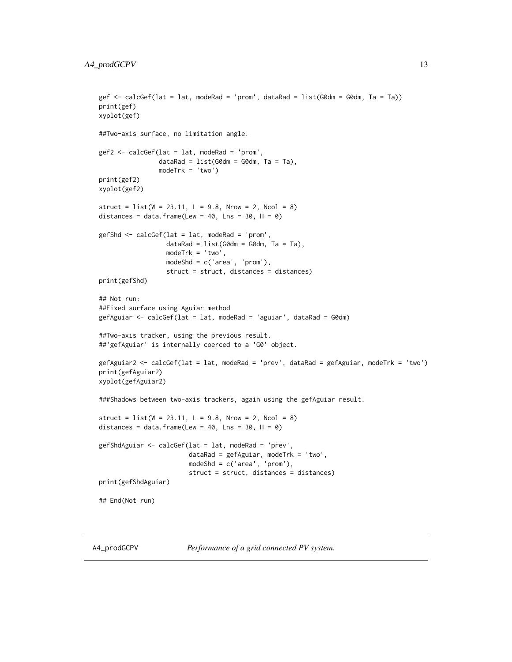```
gef <- calcGef(lat = lat, modeRad = 'prom', dataRad = list(G0dm = G0dm, Ta = Ta))
print(gef)
xyplot(gef)
##Two-axis surface, no limitation angle.
gef2 <- calcGef(lat = lat, modeRad = 'prom',
                dataRad = list(G0dm = G0dm, Ta = Ta),
                modeTrk = 'two')
print(gef2)
xyplot(gef2)
struct = list(W = 23.11, L = 9.8, Nrow = 2, Ncol = 8)distances = data.frame(Lew = 40, Lns = 30, H = 0)
gefShd <- calcGef(lat = lat, modeRad = 'prom',
                  dataRad = list(G0dm = G0dm, Ta = Ta),modeTrk = 'two',
                  modeShd = c('area', 'prom'),
                  struct = struct, distances = distances)
print(gefShd)
## Not run:
##Fixed surface using Aguiar method
gefAguiar <- calcGef(lat = lat, modeRad = 'aguiar', dataRad = G0dm)
##Two-axis tracker, using the previous result.
##'gefAguiar' is internally coerced to a 'G0' object.
gefAguiar2 <- calcGef(lat = lat, modeRad = 'prev', dataRad = gefAguiar, modeTrk = 'two')
print(gefAguiar2)
xyplot(gefAguiar2)
###Shadows between two-axis trackers, again using the gefAguiar result.
struct = list(W = 23.11, L = 9.8, Nrow = 2, Ncol = 8)distances = data.frame(Lew = 40, Lns = 30, H = 0)
gefShdAguiar <- calcGef(lat = lat, modeRad = 'prev',
                        dataRad = gefAguiar, modeTrk = 'two',
                        modeShd = c('area', 'prom'),
                        struct = struct, distances = distances)
print(gefShdAguiar)
## End(Not run)
```
<span id="page-12-1"></span>

A4\_prodGCPV *Performance of a grid connected PV system.*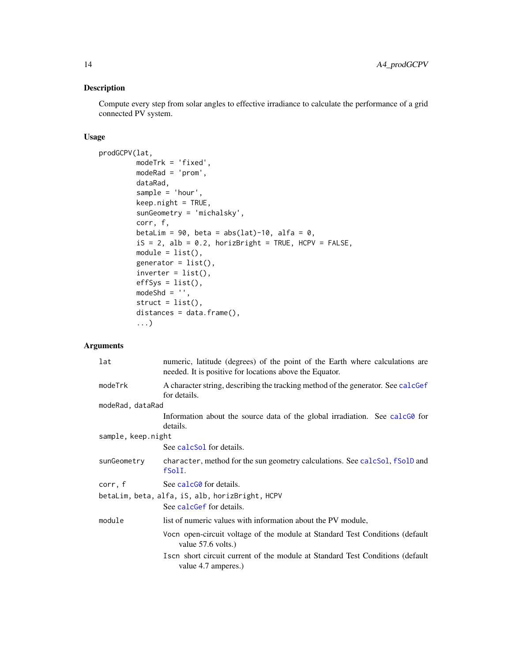# Description

Compute every step from solar angles to effective irradiance to calculate the performance of a grid connected PV system.

# Usage

```
prodGCPV(lat,
         modeTrk = 'fixed',
         modeRad = 'prom',
         dataRad,
         sample = 'hour',
         keep.night = TRUE,
         sunGeometry = 'michalsky',
         corr, f,
         betaLim = 90, beta = abs(lat)-10, alfa = 0,
         iS = 2, alb = 0.2, horizBright = TRUE, HCPV = FALSE,
         module = list(),generator = list(),
         \text{inverse} = \text{list}(),
         effSys = list(),
         modeShd = ',
         struct = list(),distances = data.frame(),
         ...)
```
# Arguments

| lat                | numeric, latitude (degrees) of the point of the Earth where calculations are<br>needed. It is positive for locations above the Equator. |
|--------------------|-----------------------------------------------------------------------------------------------------------------------------------------|
| modeTrk            | A character string, describing the tracking method of the generator. See calcGef<br>for details.                                        |
| modeRad, dataRad   |                                                                                                                                         |
|                    | Information about the source data of the global irradiation. See calcGO for<br>details.                                                 |
| sample, keep.night |                                                                                                                                         |
|                    | See calcSol for details.                                                                                                                |
| sunGeometry        | character, method for the sun geometry calculations. See calcsol, f SolD and<br>fSolI.                                                  |
| corr, f            | See calc <sub>60</sub> for details.                                                                                                     |
|                    | betaLim, beta, alfa, iS, alb, horizBright, HCPV                                                                                         |
|                    | See calcGef for details.                                                                                                                |
| module             | list of numeric values with information about the PV module,                                                                            |
|                    | Vocn open-circuit voltage of the module at Standard Test Conditions (default<br>value 57.6 volts.)                                      |
|                    | Isches short circuit current of the module at Standard Test Conditions (default<br>value 4.7 amperes.)                                  |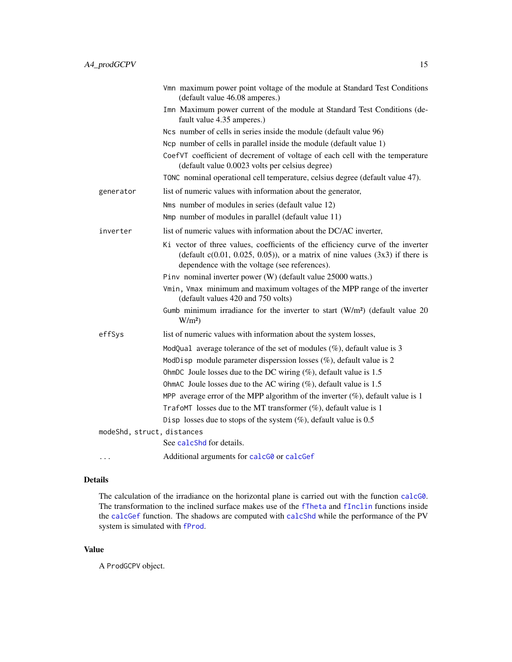|           | Vmn maximum power point voltage of the module at Standard Test Conditions<br>(default value 46.08 amperes.)                                                                                                           |
|-----------|-----------------------------------------------------------------------------------------------------------------------------------------------------------------------------------------------------------------------|
|           | Imn Maximum power current of the module at Standard Test Conditions (de-<br>fault value 4.35 amperes.)                                                                                                                |
|           | Ncs number of cells in series inside the module (default value 96)                                                                                                                                                    |
|           | No number of cells in parallel inside the module (default value 1)                                                                                                                                                    |
|           | CoefVT coefficient of decrement of voltage of each cell with the temperature<br>(default value 0.0023 volts per celsius degree)                                                                                       |
|           | TONC nominal operational cell temperature, celsius degree (default value 47).                                                                                                                                         |
| generator | list of numeric values with information about the generator,                                                                                                                                                          |
|           | Nms number of modules in series (default value 12)                                                                                                                                                                    |
|           | Nmp number of modules in parallel (default value 11)                                                                                                                                                                  |
| inverter  | list of numeric values with information about the DC/AC inverter,                                                                                                                                                     |
|           | Ki vector of three values, coefficients of the efficiency curve of the inverter<br>(default $c(0.01, 0.025, 0.05)$ ), or a matrix of nine values $(3x3)$ if there is<br>dependence with the voltage (see references). |
|           | Pinv nominal inverter power (W) (default value 25000 watts.)                                                                                                                                                          |
|           | Vmin, Vmax minimum and maximum voltages of the MPP range of the inverter<br>(default values 420 and 750 volts)                                                                                                        |
|           | Gumb minimum irradiance for the inverter to start $(W/m2)$ (default value 20<br>$W/m^2$                                                                                                                               |
| effSys    | list of numeric values with information about the system losses,                                                                                                                                                      |
|           | ModQual average tolerance of the set of modules $(\%)$ , default value is 3                                                                                                                                           |
|           | ModDisp module parameter disperssion losses $(\%)$ , default value is 2                                                                                                                                               |
|           | OhmDC Joule losses due to the DC wiring $(\%)$ , default value is 1.5                                                                                                                                                 |
|           | OhmAC Joule losses due to the AC wiring $(\%)$ , default value is 1.5                                                                                                                                                 |
|           | MPP average error of the MPP algorithm of the inverter $(\%)$ , default value is 1                                                                                                                                    |
|           | TrafoMT losses due to the MT transformer $(\%)$ , default value is 1                                                                                                                                                  |
|           | Disp losses due to stops of the system $(\%)$ , default value is 0.5                                                                                                                                                  |

modeShd, struct, distances

See [calcShd](#page-20-1) for details.

... Additional arguments for [calcG0](#page-6-1) or [calcGef](#page-9-1)

# Details

The calculation of the irradiance on the horizontal plane is carried out with the function [calcG0](#page-6-1). The transformation to the inclined surface makes use of the [fTheta](#page-59-1) and [fInclin](#page-45-1) functions inside the [calcGef](#page-9-1) function. The shadows are computed with [calcShd](#page-20-1) while the performance of the PV system is simulated with [fProd](#page-47-1).

# Value

A ProdGCPV object.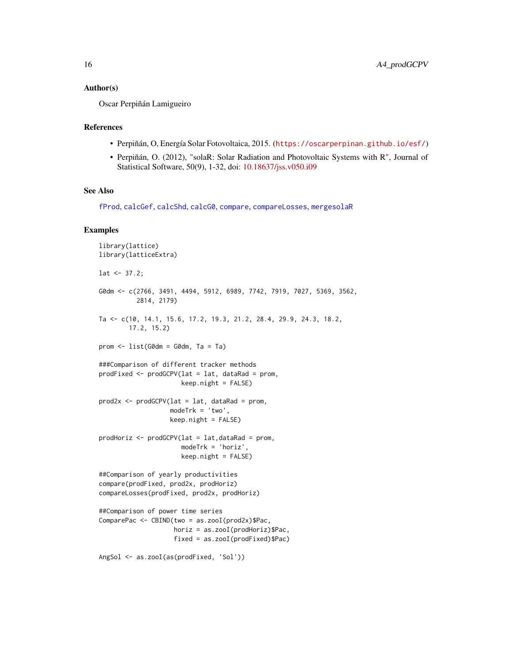#### Author(s)

Oscar Perpiñán Lamigueiro

#### References

- Perpiñán, O, Energía Solar Fotovoltaica, 2015. (<https://oscarperpinan.github.io/esf/>)
- Perpiñán, O. (2012), "solaR: Solar Radiation and Photovoltaic Systems with R", Journal of Statistical Software, 50(9), 1-32, doi: [10.18637/jss.v050.i09](https://doi.org/10.18637/jss.v050.i09)

#### See Also

[fProd](#page-47-1), [calcGef](#page-9-1), [calcShd](#page-20-1), [calcG0](#page-6-1), [compare](#page-74-1), [compareLosses](#page-78-1), [mergesolaR](#page-79-1)

# Examples

```
library(lattice)
library(latticeExtra)
lat < -37.2;G0dm <- c(2766, 3491, 4494, 5912, 6989, 7742, 7919, 7027, 5369, 3562,
          2814, 2179)
Ta <- c(10, 14.1, 15.6, 17.2, 19.3, 21.2, 28.4, 29.9, 24.3, 18.2,
        17.2, 15.2)
prom \leq - list(G0dm = G0dm, Ta = Ta)
###Comparison of different tracker methods
prodFixed <- prodGCPV(lat = lat, dataRad = prom,
                      keep.night = FALSE)
prod2x \leq -prodGCPV(lat = lat, dataRad = prom,modeTrk = 'two',
                   keep.night = FALSE)
prodHoriz <- prodGCPV(lat = lat,dataRad = prom,
                      modeTrk = 'horiz',
                      keep.night = FALSE)##Comparison of yearly productivities
compare(prodFixed, prod2x, prodHoriz)
compareLosses(prodFixed, prod2x, prodHoriz)
##Comparison of power time series
ComparePac <- CBIND(two = as.zooI(prod2x)$Pac,
                    horiz = as.zooI(prodHoriz)$Pac,
                    fixed = as.zooI(prodFixed)$Pac)
```

```
AngSol <- as.zooI(as(prodFixed, 'Sol'))
```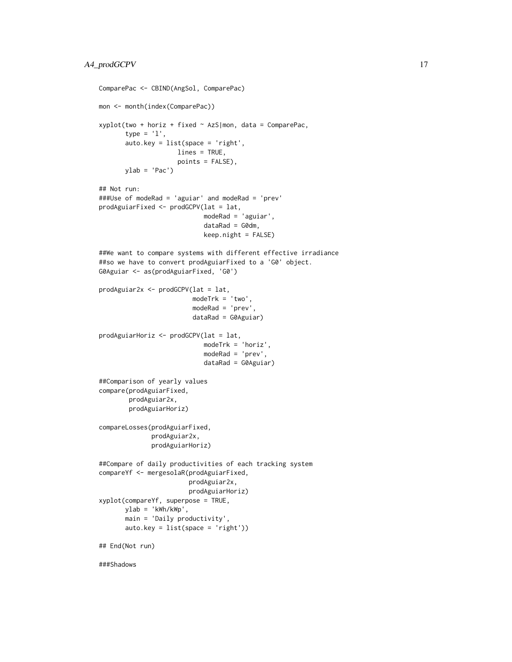```
ComparePac <- CBIND(AngSol, ComparePac)
mon <- month(index(ComparePac))
xyplot(two + horiz + fixed ~ AzS|mon, data = ComparePac,
       type = '1',
       auto.key = list(space = 'right',
                     lines = TRUE,
                     points = FALSE),
       ylab = 'Pac')## Not run:
###Use of modeRad = 'aguiar' and modeRad = 'prev'
prodAguiarFixed <- prodGCPV(lat = lat,
                            modeRad = 'aguiar',
                            dataRad = G0dm,
                            keep.night = FALSE)
##We want to compare systems with different effective irradiance
##so we have to convert prodAguiarFixed to a 'G0' object.
G0Aguiar <- as(prodAguiarFixed, 'G0')
prodAguiar2x <- prodGCPV(lat = lat,
                         modeTrk = 'two',
                         modeRad = 'prev',
                         dataRad = G0Aguiar)
prodAguiarHoriz <- prodGCPV(lat = lat,
                            modeTrk = 'horiz',
                            modeRad = 'prev',
                            dataRad = G0Aguiar)
##Comparison of yearly values
compare(prodAguiarFixed,
        prodAguiar2x,
        prodAguiarHoriz)
compareLosses(prodAguiarFixed,
              prodAguiar2x,
              prodAguiarHoriz)
##Compare of daily productivities of each tracking system
compareYf <- mergesolaR(prodAguiarFixed,
                        prodAguiar2x,
                        prodAguiarHoriz)
xyplot(compareYf, superpose = TRUE,
       ylab = 'kWh/kWp',
       main = 'Daily productivity',
       auto.key = list(space = 'right'))
## End(Not run)
###Shadows
```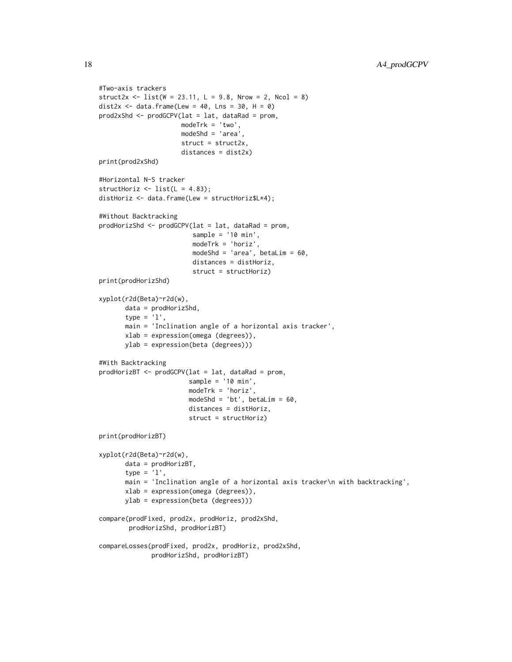```
#Two-axis trackers
struct2x <- list(W = 23.11, L = 9.8, Nrow = 2, Ncol = 8)
dist2x <- data.frame(Lew = 40, Lns = 30, H = 0)
prod2xShd <- prodGCPV(lat = lat, dataRad = prom,
                      modeTrk = 'two',
                      modeShd = 'area',
                      struct = struct2x,
                      distances = dist2x)
print(prod2xShd)
#Horizontal N-S tracker
structHoriz \le list(L = 4.83);
distHoriz <- data.frame(Lew = structHoriz$L*4);
#Without Backtracking
prodHorizShd <- prodGCPV(lat = lat, dataRad = prom,
                         sample = '10 min',
                         modeTrk = 'horiz',
                         modeShd = 'area', betaLim = 60,
                         distances = distHoriz,
                         struct = structHoriz)
print(prodHorizShd)
xyplot(r2d(Beta)~r2d(w),
       data = prodHorizShd,
       type = '1',
       main = 'Inclination angle of a horizontal axis tracker',
       xlab = expression(omega (degrees)),
       ylab = expression(beta (degrees)))
#With Backtracking
prodHorizBT <- prodGCPV(lat = lat, dataRad = prom,
                        sample = '10 min',
                        modeTrk = 'horiz',
                        modeShd = 'bt', betaLim = 60,
                        distances = distHoriz,
                        struct = structHoriz)
print(prodHorizBT)
xyplot(r2d(Beta)~r2d(w),
       data = prodHorizBT,
       type = 'l',
       main = 'Inclination angle of a horizontal axis tracker\n with backtracking',
       xlab = expression(omega (degrees)),
       ylab = expression(beta (degrees)))
compare(prodFixed, prod2x, prodHoriz, prod2xShd,
        prodHorizShd, prodHorizBT)
compareLosses(prodFixed, prod2x, prodHoriz, prod2xShd,
              prodHorizShd, prodHorizBT)
```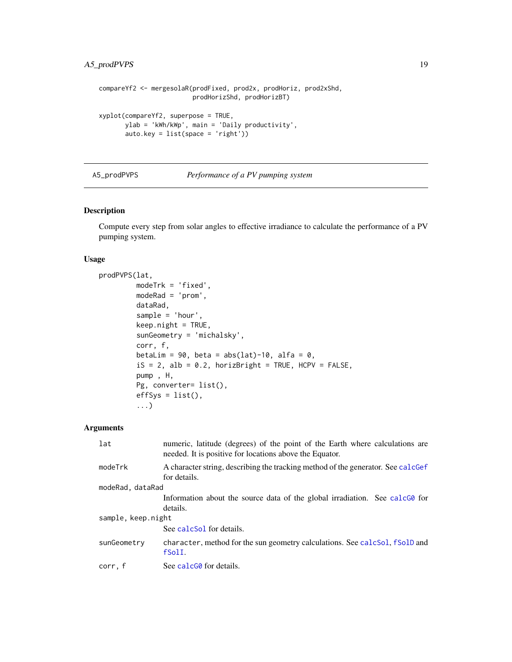# <span id="page-18-0"></span>A5\_prodPVPS 19

```
compareYf2 <- mergesolaR(prodFixed, prod2x, prodHoriz, prod2xShd,
                         prodHorizShd, prodHorizBT)
xyplot(compareYf2, superpose = TRUE,
       ylab = 'kWh/kWp', main = 'Daily productivity',
       auto.key = list(space = 'right'))
```
#### A5\_prodPVPS *Performance of a PV pumping system*

# Description

Compute every step from solar angles to effective irradiance to calculate the performance of a PV pumping system.

#### Usage

```
prodPVPS(lat,
         modeTrk = 'fixed',
         modeRad = 'prom',
         dataRad,
         sample = 'hour',
         keep.night = TRUE,
         sunGeometry = 'michalsky',
         corr, f,
         betaLim = 90, beta = abs(lat)-10, alfa = 0,
         iS = 2, alb = 0.2, horizBright = TRUE, HCPV = FALSE,
         pump , H,
         Pg, converter= list(),
         effSys = list(),...)
```
# Arguments

| lat                | numeric, latitude (degrees) of the point of the Earth where calculations are<br>needed. It is positive for locations above the Equator. |  |
|--------------------|-----------------------------------------------------------------------------------------------------------------------------------------|--|
| modeTrk            | A character string, describing the tracking method of the generator. See calcGef<br>for details.                                        |  |
| modeRad, dataRad   |                                                                                                                                         |  |
|                    | Information about the source data of the global irradiation. See calcGO for<br>details.                                                 |  |
| sample, keep.night |                                                                                                                                         |  |
|                    | See calcSol for details.                                                                                                                |  |
| sunGeometry        | character, method for the sun geometry calculations. See calcSol, fSolD and<br>fSolI.                                                   |  |
| corr, f            | See calcG0 for details.                                                                                                                 |  |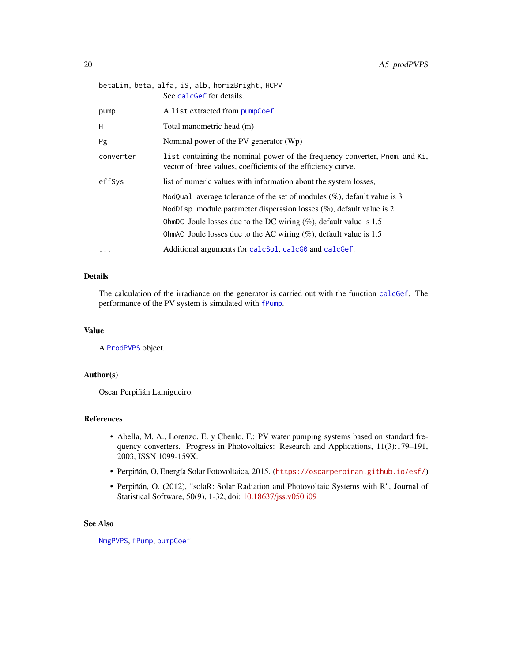|           | betaLim, beta, alfa, iS, alb, horizBright, HCPV<br>See calcGef for details.                                                                                                                                                                                                                              |
|-----------|----------------------------------------------------------------------------------------------------------------------------------------------------------------------------------------------------------------------------------------------------------------------------------------------------------|
| pump      | A list extracted from pumpCoef                                                                                                                                                                                                                                                                           |
| H         | Total manometric head (m)                                                                                                                                                                                                                                                                                |
| Pg        | Nominal power of the PV generator $(Wp)$                                                                                                                                                                                                                                                                 |
| converter | list containing the nominal power of the frequency converter, Pnom, and Ki,<br>vector of three values, coefficients of the efficiency curve.                                                                                                                                                             |
| effSys    | list of numeric values with information about the system losses,                                                                                                                                                                                                                                         |
|           | ModQual average tolerance of the set of modules $(\%)$ , default value is 3<br>ModDisp module parameter disperssion losses $(\%)$ , default value is 2<br>OhmDC Joule losses due to the DC wiring $(\%)$ , default value is 1.5<br>OhmAC Joule losses due to the AC wiring $(\%)$ , default value is 1.5 |
| $\ddotsc$ | Additional arguments for calcSol, calcG0 and calcGef.                                                                                                                                                                                                                                                    |

# Details

The calculation of the irradiance on the generator is carried out with the function [calcGef](#page-9-1). The performance of the PV system is simulated with [fPump](#page-49-1).

# Value

A [ProdPVPS](#page-36-1) object.

### Author(s)

Oscar Perpiñán Lamigueiro.

# References

- Abella, M. A., Lorenzo, E. y Chenlo, F.: PV water pumping systems based on standard frequency converters. Progress in Photovoltaics: Research and Applications, 11(3):179–191, 2003, ISSN 1099-159X.
- Perpiñán, O, Energía Solar Fotovoltaica, 2015. (<https://oscarperpinan.github.io/esf/>)
- Perpiñán, O. (2012), "solaR: Solar Radiation and Photovoltaic Systems with R", Journal of Statistical Software, 50(9), 1-32, doi: [10.18637/jss.v050.i09](https://doi.org/10.18637/jss.v050.i09)

#### See Also

[NmgPVPS](#page-63-1), [fPump](#page-49-1), [pumpCoef](#page-86-1)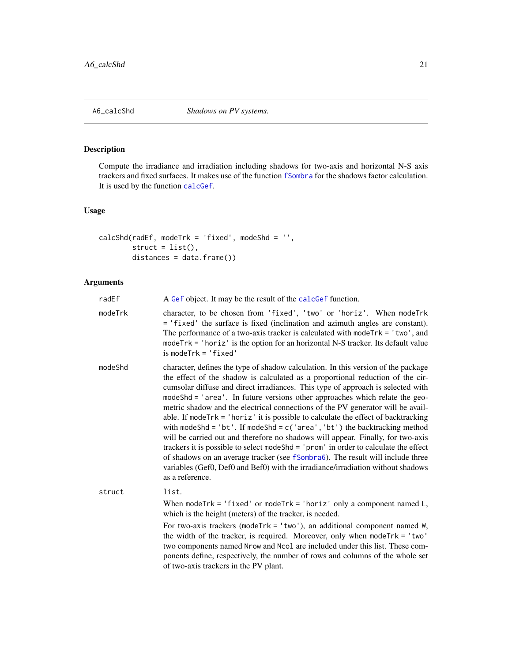<span id="page-20-0"></span>

# <span id="page-20-1"></span>Description

Compute the irradiance and irradiation including shadows for two-axis and horizontal N-S axis trackers and fixed surfaces. It makes use of the function [fSombra](#page-55-1) for the shadows factor calculation. It is used by the function [calcGef](#page-9-1).

# Usage

```
calcShd(radEf, modeTrk = 'fixed', modeShd = '',
       struct = list(),
       distances = data.frame())
```
# Arguments

| radEf   | A Gef object. It may be the result of the calcGef function.                                                                                                                                                                                                                                                                                                                                                                                                                                                                                                                                                                                                                                                                                                                                                                                                                                                                                                    |
|---------|----------------------------------------------------------------------------------------------------------------------------------------------------------------------------------------------------------------------------------------------------------------------------------------------------------------------------------------------------------------------------------------------------------------------------------------------------------------------------------------------------------------------------------------------------------------------------------------------------------------------------------------------------------------------------------------------------------------------------------------------------------------------------------------------------------------------------------------------------------------------------------------------------------------------------------------------------------------|
| modeTrk | character, to be chosen from 'fixed', 'two' or 'horiz'. When modeTrk<br>= 'fixed' the surface is fixed (inclination and azimuth angles are constant).<br>The performance of a two-axis tracker is calculated with mode $Trk = 'two',$ and<br>mode $Trk = 'horiz'$ is the option for an horizontal N-S tracker. Its default value<br>$is$ mode $Trk = 'fixed'$                                                                                                                                                                                                                                                                                                                                                                                                                                                                                                                                                                                                  |
| modeShd | character, defines the type of shadow calculation. In this version of the package<br>the effect of the shadow is calculated as a proportional reduction of the cir-<br>cumsolar diffuse and direct irradiances. This type of approach is selected with<br>modeShd = 'area'. In future versions other approaches which relate the geo-<br>metric shadow and the electrical connections of the PV generator will be avail-<br>able. If modeTrk = 'horiz' it is possible to calculate the effect of backtracking<br>with modeShd = 'bt'. If modeShd = $c('area', 'bt')$ the backtracking method<br>will be carried out and therefore no shadows will appear. Finally, for two-axis<br>trackers it is possible to select modeShd = 'prom' in order to calculate the effect<br>of shadows on an average tracker (see fSombra6). The result will include three<br>variables (Gef0, Def0 and Bef0) with the irradiance/irradiation without shadows<br>as a reference. |
| struct  | list.                                                                                                                                                                                                                                                                                                                                                                                                                                                                                                                                                                                                                                                                                                                                                                                                                                                                                                                                                          |
|         | When mode $Trk = 'fixed'$ or mode $Trk = 'horiz'$ only a component named $L$ ,<br>which is the height (meters) of the tracker, is needed.                                                                                                                                                                                                                                                                                                                                                                                                                                                                                                                                                                                                                                                                                                                                                                                                                      |
|         | For two-axis trackers (mode $Trk = 'two'$ ), an additional component named $W$ ,<br>the width of the tracker, is required. Moreover, only when modeTrk = 'two'<br>two components named Nrow and Ncol are included under this list. These com-<br>ponents define, respectively, the number of rows and columns of the whole set<br>of two-axis trackers in the PV plant.                                                                                                                                                                                                                                                                                                                                                                                                                                                                                                                                                                                        |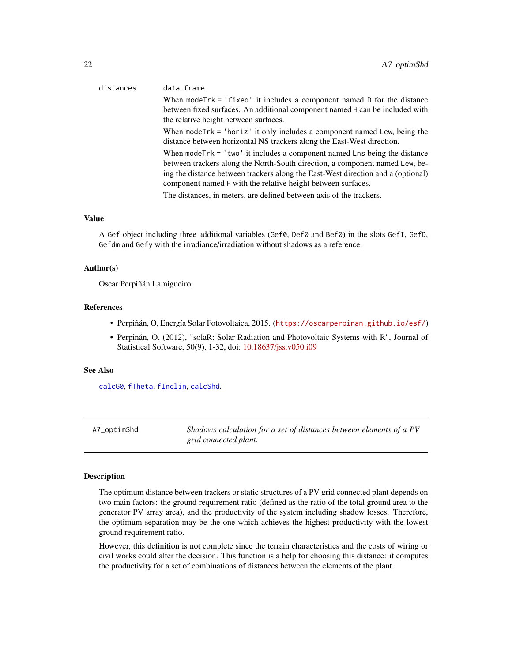# When modeTrk = 'fixed' it includes a component named D for the distance between fixed surfaces. An additional component named H can be included with the relative height between surfaces. When modeTrk = 'horiz' it only includes a component named Lew, being the distance between horizontal NS trackers along the East-West direction. When mode $Trk = 'two'$  it includes a component named Lns being the distance between trackers along the North-South direction, a component named Lew, being the distance between trackers along the East-West direction and a (optional) component named H with the relative height between surfaces.

The distances, in meters, are defined between axis of the trackers.

#### Value

A Gef object including three additional variables (Gef0, Def0 and Bef0) in the slots GefI, GefD, Gefdm and Gefy with the irradiance/irradiation without shadows as a reference.

#### Author(s)

Oscar Perpiñán Lamigueiro.

# References

- Perpiñán, O, Energía Solar Fotovoltaica, 2015. (<https://oscarperpinan.github.io/esf/>)
- Perpiñán, O. (2012), "solaR: Solar Radiation and Photovoltaic Systems with R", Journal of Statistical Software, 50(9), 1-32, doi: [10.18637/jss.v050.i09](https://doi.org/10.18637/jss.v050.i09)

#### See Also

[calcG0](#page-6-1), [fTheta](#page-59-1), [fInclin](#page-45-1), [calcShd](#page-20-1).

A7\_optimShd *Shadows calculation for a set of distances between elements of a PV grid connected plant.*

#### Description

The optimum distance between trackers or static structures of a PV grid connected plant depends on two main factors: the ground requirement ratio (defined as the ratio of the total ground area to the generator PV array area), and the productivity of the system including shadow losses. Therefore, the optimum separation may be the one which achieves the highest productivity with the lowest ground requirement ratio.

However, this definition is not complete since the terrain characteristics and the costs of wiring or civil works could alter the decision. This function is a help for choosing this distance: it computes the productivity for a set of combinations of distances between the elements of the plant.

# <span id="page-21-0"></span>distances data.frame.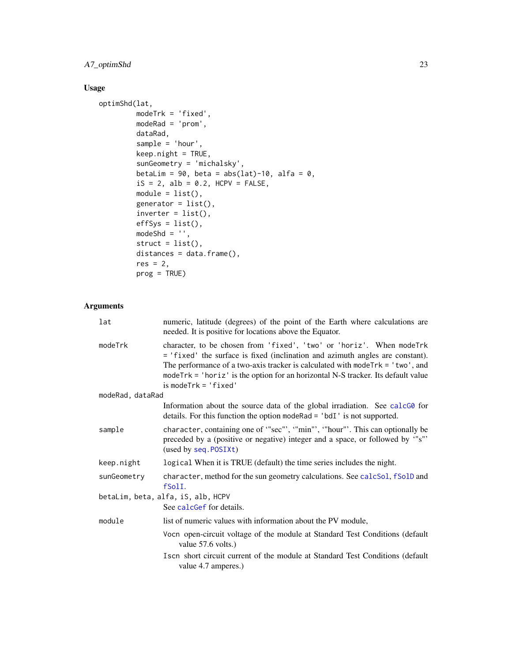# A7\_optimShd 23

# Usage

```
optimShd(lat,
         modeTrk = 'fixed',
         modeRad = 'prom',
         dataRad,
         sample = 'hour',
         keep.night = TRUE,sunGeometry = 'michalsky',
         betaLim = 90, beta = abs(lat)-10, alfa = 0,
         iS = 2, alb = 0.2, HCPV = FALSE,
         module = list(),generator = list(),
         \text{inverter} = \text{list}(),effSys = list(),
         modeShd = ''',struct = list(),
         distances = data.frame(),
         res = 2,
         prog = TRUE)
```
# Arguments

| lat              | numeric, latitude (degrees) of the point of the Earth where calculations are<br>needed. It is positive for locations above the Equator.                                                                                                                                                                                                                       |
|------------------|---------------------------------------------------------------------------------------------------------------------------------------------------------------------------------------------------------------------------------------------------------------------------------------------------------------------------------------------------------------|
| modeTrk          | character, to be chosen from 'fixed', 'two' or 'horiz'. When modeTrk<br>= 'fixed' the surface is fixed (inclination and azimuth angles are constant).<br>The performance of a two-axis tracker is calculated with mode $Trk = 'two',$ and<br>mode $Trk = 'horiz'$ is the option for an horizontal N-S tracker. Its default value<br>$is$ mode $Trk = 'fixed'$ |
| modeRad, dataRad |                                                                                                                                                                                                                                                                                                                                                               |
|                  | Information about the source data of the global irradiation. See calcGO for<br>details. For this function the option modeRad = $'$ bdI $'$ is not supported.                                                                                                                                                                                                  |
| sample           | character, containing one of "sec"', "min"', "hour"'. This can optionally be<br>preceded by a (positive or negative) integer and a space, or followed by "s"'<br>(used by seq. POSIXt)                                                                                                                                                                        |
| keep.night       | logical When it is TRUE (default) the time series includes the night.                                                                                                                                                                                                                                                                                         |
| sunGeometry      | character, method for the sun geometry calculations. See calcSol, fSolD and<br>fSolI.                                                                                                                                                                                                                                                                         |
|                  | betaLim, beta, alfa, iS, alb, HCPV                                                                                                                                                                                                                                                                                                                            |
|                  | See calcGef for details.                                                                                                                                                                                                                                                                                                                                      |
| module           | list of numeric values with information about the PV module,                                                                                                                                                                                                                                                                                                  |
|                  | Vocn open-circuit voltage of the module at Standard Test Conditions (default<br>value 57.6 volts.)                                                                                                                                                                                                                                                            |
|                  | Iscn short circuit current of the module at Standard Test Conditions (default<br>value 4.7 amperes.)                                                                                                                                                                                                                                                          |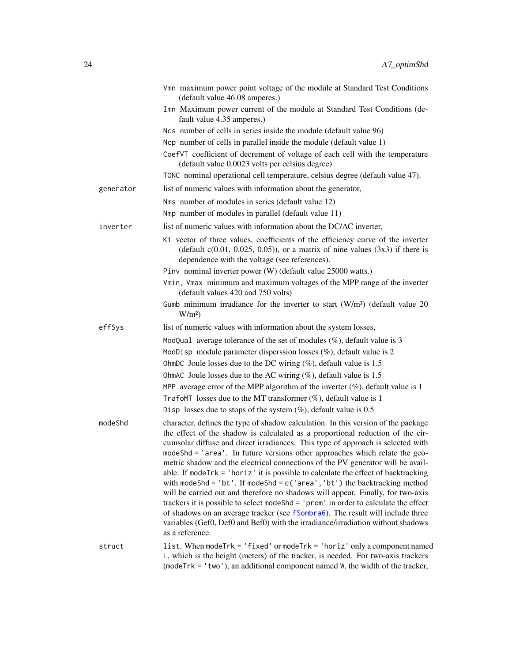|           | Vmn maximum power point voltage of the module at Standard Test Conditions<br>(default value 46.08 amperes.)                                                                                                                                                                                                                                                                                                                                                                                                                                                                                                                                                                                                                                                                                                                                                                                                                                                       |
|-----------|-------------------------------------------------------------------------------------------------------------------------------------------------------------------------------------------------------------------------------------------------------------------------------------------------------------------------------------------------------------------------------------------------------------------------------------------------------------------------------------------------------------------------------------------------------------------------------------------------------------------------------------------------------------------------------------------------------------------------------------------------------------------------------------------------------------------------------------------------------------------------------------------------------------------------------------------------------------------|
|           | Imn Maximum power current of the module at Standard Test Conditions (de-<br>fault value 4.35 amperes.)                                                                                                                                                                                                                                                                                                                                                                                                                                                                                                                                                                                                                                                                                                                                                                                                                                                            |
|           | Ncs number of cells in series inside the module (default value 96)                                                                                                                                                                                                                                                                                                                                                                                                                                                                                                                                                                                                                                                                                                                                                                                                                                                                                                |
|           | Ncp number of cells in parallel inside the module (default value 1)                                                                                                                                                                                                                                                                                                                                                                                                                                                                                                                                                                                                                                                                                                                                                                                                                                                                                               |
|           | CoefVT coefficient of decrement of voltage of each cell with the temperature<br>(default value 0.0023 volts per celsius degree)                                                                                                                                                                                                                                                                                                                                                                                                                                                                                                                                                                                                                                                                                                                                                                                                                                   |
|           | TONC nominal operational cell temperature, celsius degree (default value 47).                                                                                                                                                                                                                                                                                                                                                                                                                                                                                                                                                                                                                                                                                                                                                                                                                                                                                     |
| generator | list of numeric values with information about the generator,                                                                                                                                                                                                                                                                                                                                                                                                                                                                                                                                                                                                                                                                                                                                                                                                                                                                                                      |
|           | Nms number of modules in series (default value 12)                                                                                                                                                                                                                                                                                                                                                                                                                                                                                                                                                                                                                                                                                                                                                                                                                                                                                                                |
|           | Nmp number of modules in parallel (default value 11)                                                                                                                                                                                                                                                                                                                                                                                                                                                                                                                                                                                                                                                                                                                                                                                                                                                                                                              |
| inverter  | list of numeric values with information about the DC/AC inverter,                                                                                                                                                                                                                                                                                                                                                                                                                                                                                                                                                                                                                                                                                                                                                                                                                                                                                                 |
|           | Ki vector of three values, coefficients of the efficiency curve of the inverter<br>(default $c(0.01, 0.025, 0.05)$ ), or a matrix of nine values $(3x3)$ if there is<br>dependence with the voltage (see references).                                                                                                                                                                                                                                                                                                                                                                                                                                                                                                                                                                                                                                                                                                                                             |
|           | Pinv nominal inverter power (W) (default value 25000 watts.)                                                                                                                                                                                                                                                                                                                                                                                                                                                                                                                                                                                                                                                                                                                                                                                                                                                                                                      |
|           | Vmin, Vmax minimum and maximum voltages of the MPP range of the inverter<br>(default values 420 and 750 volts)                                                                                                                                                                                                                                                                                                                                                                                                                                                                                                                                                                                                                                                                                                                                                                                                                                                    |
|           | Gumb minimum irradiance for the inverter to start $(W/m2)$ (default value 20<br>$W/m^2$                                                                                                                                                                                                                                                                                                                                                                                                                                                                                                                                                                                                                                                                                                                                                                                                                                                                           |
| effSys    | list of numeric values with information about the system losses,                                                                                                                                                                                                                                                                                                                                                                                                                                                                                                                                                                                                                                                                                                                                                                                                                                                                                                  |
|           | ModQual average tolerance of the set of modules $(\%)$ , default value is 3                                                                                                                                                                                                                                                                                                                                                                                                                                                                                                                                                                                                                                                                                                                                                                                                                                                                                       |
|           | ModDisp module parameter disperssion losses (%), default value is 2                                                                                                                                                                                                                                                                                                                                                                                                                                                                                                                                                                                                                                                                                                                                                                                                                                                                                               |
|           | OhmDC Joule losses due to the DC wiring $(\%)$ , default value is 1.5                                                                                                                                                                                                                                                                                                                                                                                                                                                                                                                                                                                                                                                                                                                                                                                                                                                                                             |
|           | OhmAC Joule losses due to the AC wiring $(\%)$ , default value is 1.5                                                                                                                                                                                                                                                                                                                                                                                                                                                                                                                                                                                                                                                                                                                                                                                                                                                                                             |
|           | MPP average error of the MPP algorithm of the inverter $(\%)$ , default value is 1                                                                                                                                                                                                                                                                                                                                                                                                                                                                                                                                                                                                                                                                                                                                                                                                                                                                                |
|           | TrafoMT losses due to the MT transformer $(\%)$ , default value is 1                                                                                                                                                                                                                                                                                                                                                                                                                                                                                                                                                                                                                                                                                                                                                                                                                                                                                              |
|           | Disp losses due to stops of the system $(\%)$ , default value is 0.5                                                                                                                                                                                                                                                                                                                                                                                                                                                                                                                                                                                                                                                                                                                                                                                                                                                                                              |
| modeShd   | character, defines the type of shadow calculation. In this version of the package<br>the effect of the shadow is calculated as a proportional reduction of the cir-<br>cumsolar diffuse and direct irradiances. This type of approach is selected with<br>modeShd = 'area'. In future versions other approaches which relate the geo-<br>metric shadow and the electrical connections of the PV generator will be avail-<br>able. If mode $Trk = 'horiz'$ it is possible to calculate the effect of backtracking<br>with modeShd = 'bt'. If modeShd = $c('area', 'bt')$ the backtracking method<br>will be carried out and therefore no shadows will appear. Finally, for two-axis<br>trackers it is possible to select modeShd = 'prom' in order to calculate the effect<br>of shadows on an average tracker (see fSombra6). The result will include three<br>variables (Gef0, Def0 and Bef0) with the irradiance/irradiation without shadows<br>as a reference. |
| struct    | list. When mode Trk = 'fixed' or mode Trk = 'horiz' only a component named<br>L, which is the height (meters) of the tracker, is needed. For two-axis trackers<br>(modeTrk = 'two'), an additional component named W, the width of the tracker,                                                                                                                                                                                                                                                                                                                                                                                                                                                                                                                                                                                                                                                                                                                   |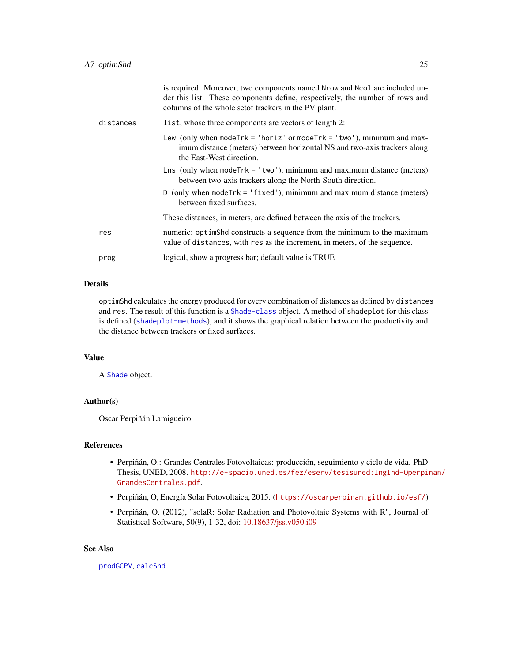|           | is required. Moreover, two components named Nrow and Ncol are included un-<br>der this list. These components define, respectively, the number of rows and<br>columns of the whole set of trackers in the PV plant. |
|-----------|---------------------------------------------------------------------------------------------------------------------------------------------------------------------------------------------------------------------|
| distances | list, whose three components are vectors of length 2:                                                                                                                                                               |
|           | Lew (only when mode $Trk = 'horiz'$ or mode $Trk = 'two'$ ), minimum and max-<br>imum distance (meters) between horizontal NS and two-axis trackers along<br>the East-West direction.                               |
|           | Lns (only when $modelTk = 'two')$ , minimum and maximum distance (meters)<br>between two-axis trackers along the North-South direction.                                                                             |
|           | D (only when mode $Trk = 'fixed')$ , minimum and maximum distance (meters)<br>between fixed surfaces.                                                                                                               |
|           | These distances, in meters, are defined between the axis of the trackers.                                                                                                                                           |
| res       | numeric; optimShd constructs a sequence from the minimum to the maximum<br>value of distances, with res as the increment, in meters, of the sequence.                                                               |
| prog      | logical, show a progress bar; default value is TRUE                                                                                                                                                                 |

#### Details

optimShd calculates the energy produced for every combination of distances as defined by distances and res. The result of this function is a [Shade-class](#page-37-1) object. A method of shadeplot for this class is defined ([shadeplot-methods](#page-80-1)), and it shows the graphical relation between the productivity and the distance between trackers or fixed surfaces.

# Value

A [Shade](#page-37-1) object.

#### Author(s)

Oscar Perpiñán Lamigueiro

# References

- Perpiñán, O.: Grandes Centrales Fotovoltaicas: producción, seguimiento y ciclo de vida. PhD Thesis, UNED, 2008. [http://e-spacio.uned.es/fez/eserv/tesisuned:IngInd-Operpi](http://e-spacio.uned.es/fez/eserv/tesisuned:IngInd-Operpinan/GrandesCentrales.pdf)nan/ [GrandesCentrales.pdf](http://e-spacio.uned.es/fez/eserv/tesisuned:IngInd-Operpinan/GrandesCentrales.pdf).
- Perpiñán, O, Energía Solar Fotovoltaica, 2015. (<https://oscarperpinan.github.io/esf/>)
- Perpiñán, O. (2012), "solaR: Solar Radiation and Photovoltaic Systems with R", Journal of Statistical Software, 50(9), 1-32, doi: [10.18637/jss.v050.i09](https://doi.org/10.18637/jss.v050.i09)

#### See Also

[prodGCPV](#page-12-1), [calcShd](#page-20-1)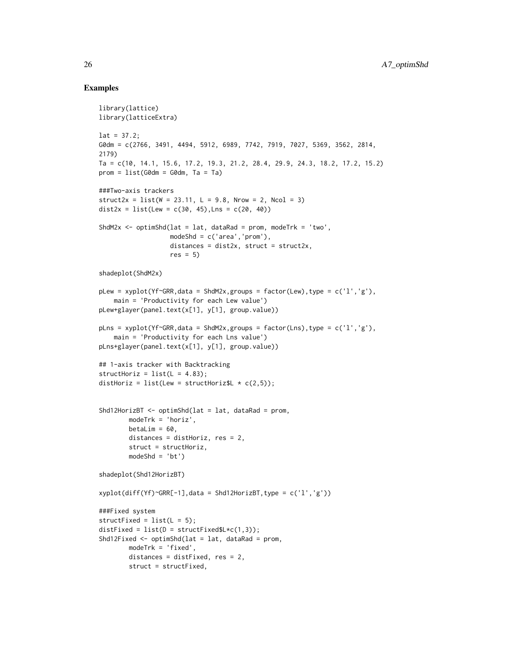#### Examples

```
library(lattice)
library(latticeExtra)
lat = 37.2;
G0dm = c(2766, 3491, 4494, 5912, 6989, 7742, 7919, 7027, 5369, 3562, 2814,
2179)
Ta = c(10, 14.1, 15.6, 17.2, 19.3, 21.2, 28.4, 29.9, 24.3, 18.2, 17.2, 15.2)
prom = list(G0dm = G0dm, Ta = Ta)###Two-axis trackers
struct2x = list(W = 23.11, L = 9.8, Nrow = 2, Ncol = 3)dist2x = list(Lew = c(30, 45), Lns = c(20, 40))
ShdM2x \leq optimShd(lat = lat, dataRad = prom, modeTrk = 'two',
                   modeShd = c('area','prom'),
                   distances = dist2x, struct = struct2x,res = 5)
shadeplot(ShdM2x)
pLew = xyplot(Yf~GRR,data = ShdM2x,groups = factor(Lew),type = c('l','g'),
    main = 'Productivity for each Lew value')
pLew+glayer(panel.text(x[1], y[1], group.value))
pLns = xyplot(Yf\text{-}GRR, data = ShdM2x, groups = factor(Lns), type = c('l', 'g'),main = 'Productivity for each Lns value')
pLns+glayer(panel.text(x[1], y[1], group.value))
## 1-axis tracker with Backtracking
structHoriz = list(L = 4.83);distHoriz = list(Lew = structHoriz$L \star c(2,5));
Shd12HorizBT <- optimShd(lat = lat, dataRad = prom,
        modeTrk = 'horiz',
        betaLim = 60,
        distances = distHoriz, res = 2,
        struct = structHoriz,
        modeShd = 'bt')
shadeplot(Shd12HorizBT)
xyplot(diff(Yf)~GRR[-1], data = Shd12HorizBT, type = c('l', 'g'))###Fixed system
structFixed = list(L = 5);distFixed = list(D = structFixed$L*c(1,3));Shd12Fixed \leq optimShd(lat = lat, dataRad = prom,
        modeTrk = 'fixed',
        distances = distFixed, res = 2,
        struct = structFixed,
```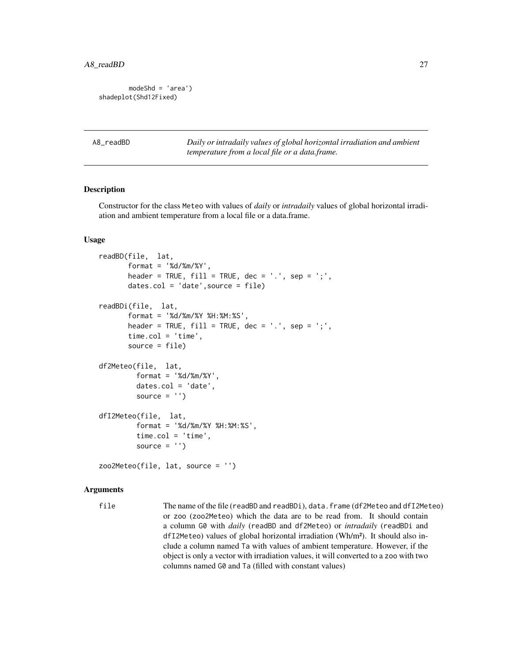```
modeShd = 'area')
shadeplot(Shd12Fixed)
```
A8\_readBD *Daily or intradaily values of global horizontal irradiation and ambient temperature from a local file or a data.frame.*

#### <span id="page-26-1"></span>Description

Constructor for the class Meteo with values of *daily* or *intradaily* values of global horizontal irradiation and ambient temperature from a local file or a data.frame.

#### Usage

```
readBD(file, lat,
       format = '%d/%m/%Y',
       header = TRUE, fill = TRUE, dec = '.', sep = ';',
       dates.col = 'date',source = file)
readBDi(file, lat,
       format = '%d/%m/%Y %H:%M:%S',
       header = TRUE, fill = TRUE, dec = '.', sep = ';',
       time.col = 'time',
       source = file)
df2Meteo(file, lat,
         format = '%d/%m/%Y',
         dates.col = 'date',source = ')
dfI2Meteo(file, lat,
         format = '%d/%m/%Y %H:%M:%S',
         time.col = 'time',
         source = '')zoo2Meteo(file, lat, source = '')
```
#### Arguments

file The name of the file (readBD and readBDi), data.frame (df2Meteo and dfI2Meteo) or zoo (zoo2Meteo) which the data are to be read from. It should contain a column G0 with *daily* (readBD and df2Meteo) or *intradaily* (readBDi and dfI2Meteo) values of global horizontal irradiation (Wh/m²). It should also include a column named Ta with values of ambient temperature. However, if the object is only a vector with irradiation values, it will converted to a zoo with two columns named G0 and Ta (filled with constant values)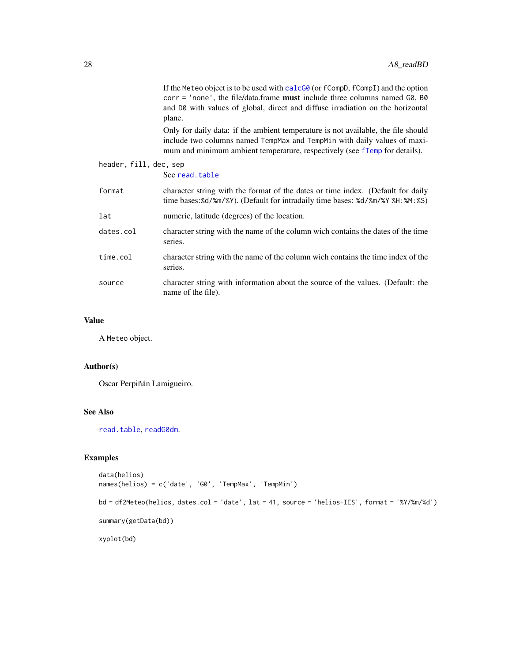|                        | If the Meteo object is to be used with calc $G\&$ (or fCompD, fCompI) and the option<br>corr = 'none', the file/data.frame must include three columns named G0, B0<br>and D0 with values of global, direct and diffuse irradiation on the horizontal<br>plane. |
|------------------------|----------------------------------------------------------------------------------------------------------------------------------------------------------------------------------------------------------------------------------------------------------------|
|                        | Only for daily data: if the ambient temperature is not available, the file should<br>include two columns named TempMax and TempMin with daily values of maxi-<br>mum and minimum ambient temperature, respectively (see fTemp for details).                    |
| header, fill, dec, sep |                                                                                                                                                                                                                                                                |
|                        | See read.table                                                                                                                                                                                                                                                 |
| format                 | character string with the format of the dates or time index. (Default for daily<br>time bases:%d/%m/%Y). (Default for intradaily time bases: %d/%m/%Y %H:%M:%S)                                                                                                |
| lat                    | numeric, latitude (degrees) of the location.                                                                                                                                                                                                                   |
| dates.col              | character string with the name of the column wich contains the dates of the time<br>series.                                                                                                                                                                    |
| time.col               | character string with the name of the column wich contains the time index of the<br>series.                                                                                                                                                                    |
| source                 | character string with information about the source of the values. (Default: the<br>name of the file).                                                                                                                                                          |
|                        |                                                                                                                                                                                                                                                                |

# Value

A Meteo object.

# Author(s)

Oscar Perpiñán Lamigueiro.

# See Also

[read.table](#page-0-0), [readG0dm](#page-28-1).

# Examples

```
data(helios)
names(helios) = c('date', 'G0', 'TempMax', 'TempMin')
```

```
bd = df2Meteo(helios, dates.col = 'date', lat = 41, source = 'helios-IES', format = '%Y/%m/%d')
summary(getData(bd))
```
xyplot(bd)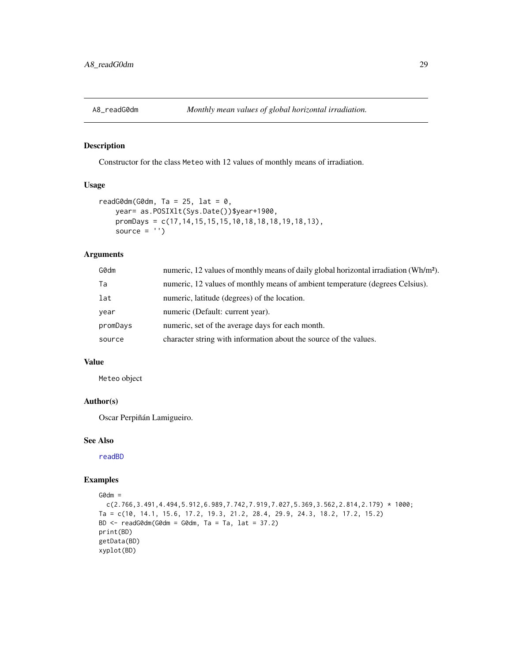<span id="page-28-0"></span>

#### <span id="page-28-1"></span>Description

Constructor for the class Meteo with 12 values of monthly means of irradiation.

#### Usage

```
readG0dm(G0dm, Ta = 25, lat = 0,
   year= as.POSIXlt(Sys.Date())$year+1900,
   promDays = c(17,14,15,15,15,10,18,18,18,19,18,13),
   source = '')
```
# Arguments

| G0dm     | numeric, 12 values of monthly means of daily global horizontal irradiation (Wh/m <sup>2</sup> ). |
|----------|--------------------------------------------------------------------------------------------------|
| Ta       | numeric, 12 values of monthly means of ambient temperature (degrees Celsius).                    |
| lat      | numeric, latitude (degrees) of the location.                                                     |
| year     | numeric (Default: current year).                                                                 |
| promDays | numeric, set of the average days for each month.                                                 |
| source   | character string with information about the source of the values.                                |
|          |                                                                                                  |

#### Value

Meteo object

#### Author(s)

Oscar Perpiñán Lamigueiro.

# See Also

[readBD](#page-26-1)

# Examples

```
G0dm =
```

```
c(2.766,3.491,4.494,5.912,6.989,7.742,7.919,7.027,5.369,3.562,2.814,2.179) * 1000;
Ta = c(10, 14.1, 15.6, 17.2, 19.3, 21.2, 28.4, 29.9, 24.3, 18.2, 17.2, 15.2)
BD \le readG0dm(G0dm = G0dm, Ta = Ta, lat = 37.2)
print(BD)
getData(BD)
xyplot(BD)
```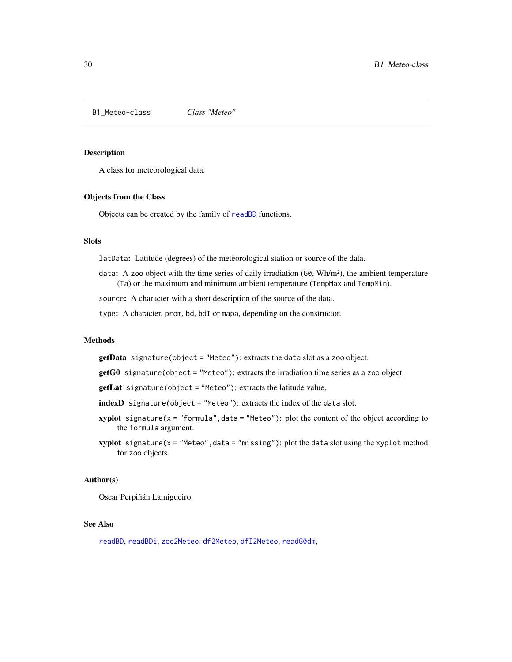<span id="page-29-0"></span>B1\_Meteo-class *Class "Meteo"*

### <span id="page-29-1"></span>Description

A class for meteorological data.

#### Objects from the Class

Objects can be created by the family of [readBD](#page-26-1) functions.

# **Slots**

latData: Latitude (degrees) of the meteorological station or source of the data.

data: A zoo object with the time series of daily irradiation  $(G\mathcal{Q}, Wh/m^2)$ , the ambient temperature (Ta) or the maximum and minimum ambient temperature (TempMax and TempMin).

source: A character with a short description of the source of the data.

type: A character, prom, bd, bdI or mapa, depending on the constructor.

# Methods

getData signature(object = "Meteo"): extracts the data slot as a zoo object.

- getG0 signature(object = "Meteo"): extracts the irradiation time series as a zoo object.
- getLat signature(object = "Meteo"): extracts the latitude value.
- indexD signature(object = "Meteo"): extracts the index of the data slot.
- xyplot signature( $x =$  "formula", data = "Meteo"): plot the content of the object according to the formula argument.
- $xyplot$  signature( $x =$  "Meteo", data = "missing"): plot the data slot using the xyplot method for zoo objects.

#### Author(s)

Oscar Perpiñán Lamigueiro.

# See Also

[readBD](#page-26-1), [readBDi](#page-26-1), [zoo2Meteo](#page-26-1), [df2Meteo](#page-26-1), [dfI2Meteo](#page-26-1), [readG0dm](#page-28-1),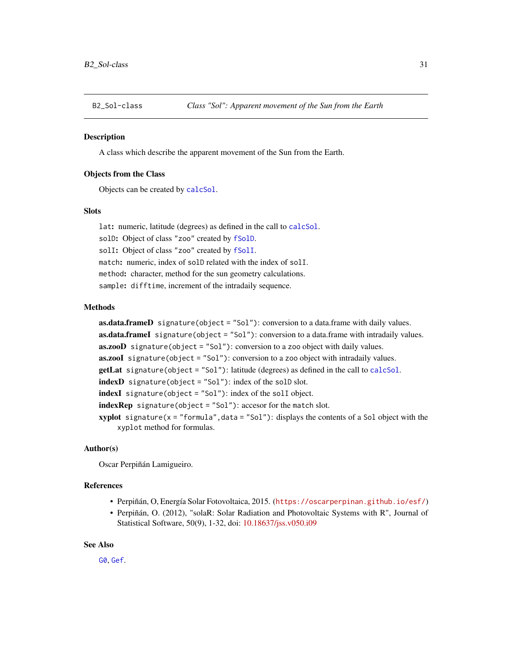<span id="page-30-0"></span>

# <span id="page-30-1"></span>**Description**

A class which describe the apparent movement of the Sun from the Earth.

#### Objects from the Class

Objects can be created by [calcSol](#page-4-1).

# **Slots**

lat: numeric, latitude (degrees) as defined in the call to [calcSol](#page-4-1). solD: Object of class "zoo" created by [fSolD](#page-51-1). solI: Object of class "zoo" created by [fSolI](#page-53-1). match: numeric, index of solD related with the index of solI. method: character, method for the sun geometry calculations. sample: difftime, increment of the intradaily sequence.

#### Methods

 $as.data frameD$  signature(object = "Sol"): conversion to a data.frame with daily values. as.data.frameI signature(object = "Sol"): conversion to a data.frame with intradaily values. **as.zooD** signature(object = "Sol"): conversion to a zoo object with daily values. as.zooI signature(object = "Sol"): conversion to a zoo object with intradaily values. **getLat** signature(object = "Sol"): latitude (degrees) as defined in the call to [calcSol](#page-4-1). indexD signature(object = "Sol"): index of the solD slot. indexI signature(object = "Sol"): index of the solI object. indexRep signature(object = "Sol"): accesor for the match slot. **xyplot** signature( $x =$  "formula", data = "Sol"): displays the contents of a Sol object with the xyplot method for formulas.

#### Author(s)

Oscar Perpiñán Lamigueiro.

#### References

- Perpiñán, O, Energía Solar Fotovoltaica, 2015. (<https://oscarperpinan.github.io/esf/>)
- Perpiñán, O. (2012), "solaR: Solar Radiation and Photovoltaic Systems with R", Journal of Statistical Software, 50(9), 1-32, doi: [10.18637/jss.v050.i09](https://doi.org/10.18637/jss.v050.i09)

#### See Also

[G0](#page-31-1), [Gef](#page-32-1).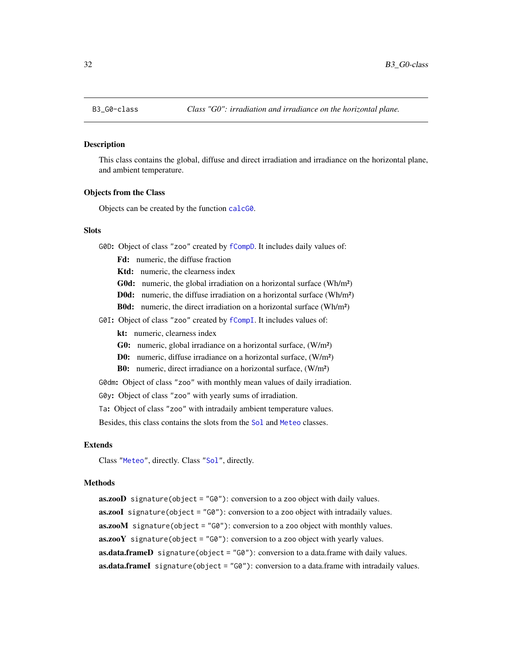<span id="page-31-0"></span>

#### <span id="page-31-1"></span>Description

This class contains the global, diffuse and direct irradiation and irradiance on the horizontal plane, and ambient temperature.

#### Objects from the Class

Objects can be created by the function [calcG0](#page-6-1).

# Slots

G0D: Object of class "zoo" created by [fCompD](#page-42-1). It includes daily values of:

- Fd: numeric, the diffuse fraction
- Ktd: numeric, the clearness index
- G0d: numeric, the global irradiation on a horizontal surface (Wh/m<sup>2</sup>)
- D0d: numeric, the diffuse irradiation on a horizontal surface (Wh/m²)
- B0d: numeric, the direct irradiation on a horizontal surface (Wh/m²)
- G0I: Object of class "zoo" created by [fCompI](#page-43-1). It includes values of:
	- kt: numeric, clearness index
	- G0: numeric, global irradiance on a horizontal surface, (W/m²)
	- D0: numeric, diffuse irradiance on a horizontal surface, (W/m²)
	- B0: numeric, direct irradiance on a horizontal surface, (W/m²)

G0dm: Object of class "zoo" with monthly mean values of daily irradiation. G0y: Object of class "zoo" with yearly sums of irradiation.

Ta: Object of class "zoo" with intradaily ambient temperature values.

Besides, this class contains the slots from the [Sol](#page-30-1) and [Meteo](#page-29-1) classes.

#### Extends

Class ["Meteo"](#page-29-1), directly. Class ["Sol"](#page-30-1), directly.

#### Methods

 $\textbf{a}s.\textbf{zooD}$  signature(object = "G0"): conversion to a zoo object with daily values. **as.zooI** signature(object =  $^{\prime\prime}$ G0"): conversion to a zoo object with intradaily values. as.zooM signature(object = "G0"): conversion to a zoo object with monthly values.  $\textbf{a}s.\textbf{zooY}$  signature(object = "G0"): conversion to a zoo object with yearly values. as.data.frameD signature(object = "G0"): conversion to a data.frame with daily values. as.data.frameI signature(object = "G0"): conversion to a data.frame with intradaily values.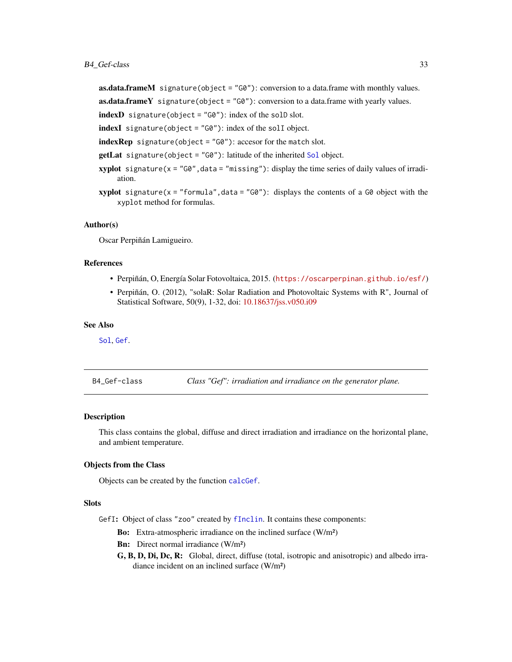# <span id="page-32-0"></span>B4\_Gef-class 33

**as.data.frameM** signature(object =  $^{\prime\prime}$ G0"): conversion to a data.frame with monthly values.

 $as.data.frameY$  signature(object = "G0"): conversion to a data.frame with yearly values.

indexD signature(object = "G0"): index of the solD slot.

indexI signature(object = "G0"): index of the solI object.

 $indexRep$  signature(object = "G0"): accesor for the match slot.

getLat signature(object = "G0"): latitude of the inherited [Sol](#page-30-1) object.

- **xyplot** signature( $x = "G0"$ , data = "missing"): display the time series of daily values of irradiation.
- **xyplot** signature( $x =$  "formula", data = "G0"): displays the contents of a G0 object with the xyplot method for formulas.

#### Author(s)

Oscar Perpiñán Lamigueiro.

# References

- Perpiñán, O, Energía Solar Fotovoltaica, 2015. (<https://oscarperpinan.github.io/esf/>)
- Perpiñán, O. (2012), "solaR: Solar Radiation and Photovoltaic Systems with R", Journal of Statistical Software, 50(9), 1-32, doi: [10.18637/jss.v050.i09](https://doi.org/10.18637/jss.v050.i09)

#### See Also

[Sol](#page-30-1), [Gef](#page-32-1).

B4\_Gef-class *Class "Gef": irradiation and irradiance on the generator plane.*

#### <span id="page-32-1"></span>**Description**

This class contains the global, diffuse and direct irradiation and irradiance on the horizontal plane, and ambient temperature.

#### Objects from the Class

Objects can be created by the function [calcGef](#page-9-1).

#### **Slots**

GefI: Object of class "zoo" created by [fInclin](#page-45-1). It contains these components:

Bo: Extra-atmospheric irradiance on the inclined surface (W/m²)

Bn: Direct normal irradiance (W/m<sup>2</sup>)

G, B, D, Di, Dc, R: Global, direct, diffuse (total, isotropic and anisotropic) and albedo irradiance incident on an inclined surface (W/m²)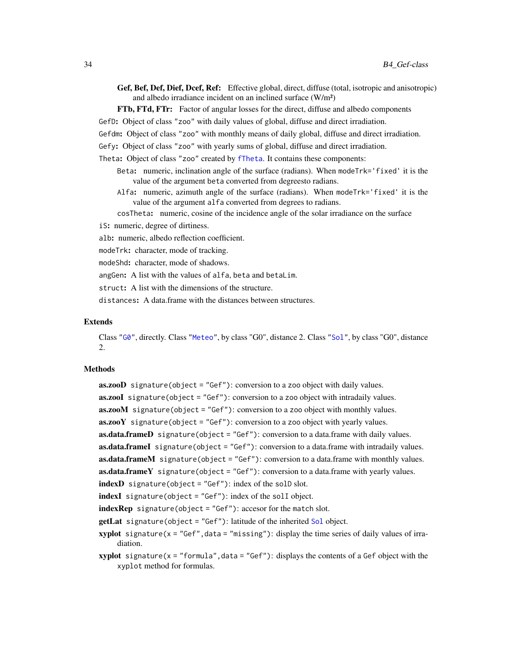Gef, Bef, Def, Dief, Dcef, Ref: Effective global, direct, diffuse (total, isotropic and anisotropic) and albedo irradiance incident on an inclined surface (W/m²)

FTb, FTd, FTr: Factor of angular losses for the direct, diffuse and albedo components

GefD: Object of class "zoo" with daily values of global, diffuse and direct irradiation.

Gefdm: Object of class "zoo" with monthly means of daily global, diffuse and direct irradiation.

Gefy: Object of class "zoo" with yearly sums of global, diffuse and direct irradiation.

Theta: Object of class "zoo" created by [fTheta](#page-59-1). It contains these components:

- Beta: numeric, inclination angle of the surface (radians). When modeTrk='fixed' it is the value of the argument beta converted from degreesto radians.
- Alfa: numeric, azimuth angle of the surface (radians). When modeTrk='fixed' it is the value of the argument alfa converted from degrees to radians.

cosTheta: numeric, cosine of the incidence angle of the solar irradiance on the surface

iS: numeric, degree of dirtiness.

alb: numeric, albedo reflection coefficient.

modeTrk: character, mode of tracking.

modeShd: character, mode of shadows.

angGen: A list with the values of alfa, beta and betaLim.

struct: A list with the dimensions of the structure.

distances: A data.frame with the distances between structures.

### Extends

Class ["G0"](#page-31-1), directly. Class ["Meteo"](#page-29-1), by class "G0", distance 2. Class ["Sol"](#page-30-1), by class "G0", distance 2.

# Methods

as.zooD signature(object = "Gef"): conversion to a zoo object with daily values. as.zooI signature(object = "Gef"): conversion to a zoo object with intradaily values. as.zooM signature(object = "Gef"): conversion to a zoo object with monthly values.  $\textbf{a}s.\textbf{zooY}$  signature(object = "Gef"): conversion to a zoo object with yearly values. **as.data.frameD** signature(object = "Gef"): conversion to a data.frame with daily values. **as.data.frameI** signature(object = " $Gef$ "): conversion to a data.frame with intradaily values. **as.data.frameM** signature(object = "Gef"): conversion to a data.frame with monthly values. **as.data.frameY** signature(object = "Gef"): conversion to a data.frame with yearly values. indexD signature(object = "Gef"): index of the solD slot. indexI signature(object = "Gef"): index of the solI object. indexRep signature(object = "Gef"): accesor for the match slot. **getLat** signature(object = "Gef"): latitude of the inherited [Sol](#page-30-1) object. **xyplot** signature( $x = "Gef", data = "missing"$ ): display the time series of daily values of irradiation.

**xyplot** signature( $x =$  "formula", data = "Gef"): displays the contents of a Gef object with the xyplot method for formulas.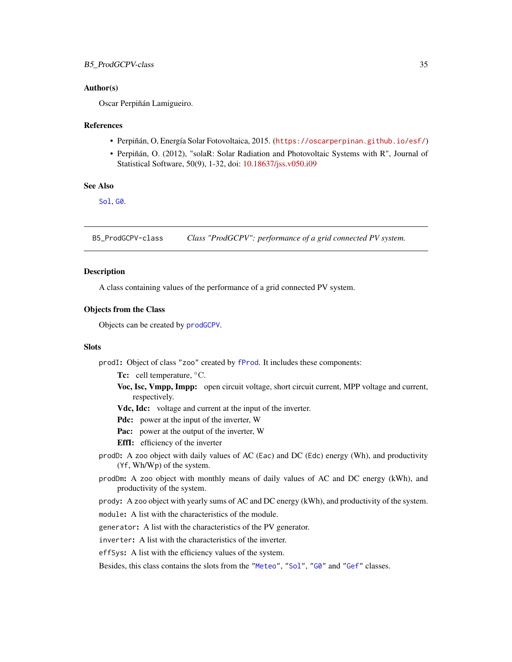#### <span id="page-34-0"></span>Author(s)

Oscar Perpiñán Lamigueiro.

#### References

- Perpiñán, O, Energía Solar Fotovoltaica, 2015. (<https://oscarperpinan.github.io/esf/>)
- Perpiñán, O. (2012), "solaR: Solar Radiation and Photovoltaic Systems with R", Journal of Statistical Software, 50(9), 1-32, doi: [10.18637/jss.v050.i09](https://doi.org/10.18637/jss.v050.i09)

#### See Also

[Sol](#page-30-1), [G0](#page-31-1).

B5\_ProdGCPV-class *Class "ProdGCPV": performance of a grid connected PV system.*

# Description

A class containing values of the performance of a grid connected PV system.

#### Objects from the Class

Objects can be created by [prodGCPV](#page-12-1).

#### Slots

prodI: Object of class "zoo" created by [fProd](#page-47-1). It includes these components:

Tc: cell temperature, <sup>○</sup>C.

- Voc, Isc, Vmpp, Impp: open circuit voltage, short circuit current, MPP voltage and current, respectively.
- Vdc, Idc: voltage and current at the input of the inverter.
- Pdc: power at the input of the inverter, W
- Pac: power at the output of the inverter, W
- EffI: efficiency of the inverter
- prodD: A zoo object with daily values of AC (Eac) and DC (Edc) energy (Wh), and productivity (Yf, Wh/Wp) of the system.
- prodDm: A zoo object with monthly means of daily values of AC and DC energy (kWh), and productivity of the system.
- prody: A zoo object with yearly sums of AC and DC energy (kWh), and productivity of the system.

module: A list with the characteristics of the module.

generator: A list with the characteristics of the PV generator.

inverter: A list with the characteristics of the inverter.

effSys: A list with the efficiency values of the system.

Besides, this class contains the slots from the ["Meteo"](#page-29-1), ["Sol"](#page-30-1), ["G0"](#page-31-1) and ["Gef"](#page-32-1) classes.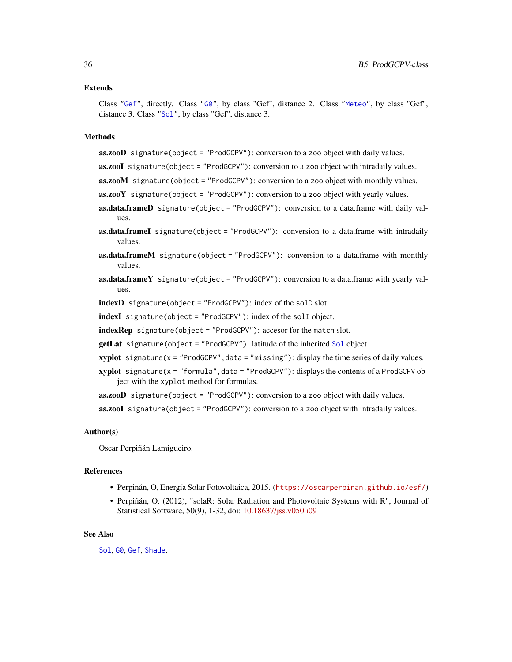#### Extends

Class ["Gef"](#page-32-1), directly. Class ["G0"](#page-31-1), by class "Gef", distance 2. Class ["Meteo"](#page-29-1), by class "Gef", distance 3. Class ["Sol"](#page-30-1), by class "Gef", distance 3.

# Methods

as.zooD signature(object = "ProdGCPV"): conversion to a zoo object with daily values.

as.zooI signature(object = "ProdGCPV"): conversion to a zoo object with intradaily values.

 $\textbf{a}s.\textbf{zooM}$  signature(object = "ProdGCPV"): conversion to a zoo object with monthly values.

- $\textbf{a}s.\textbf{zooY}$  signature(object = "ProdGCPV"): conversion to a zoo object with yearly values.
- as.data.frameD signature(object = "ProdGCPV"): conversion to a data.frame with daily values.
- as.data.frameI signature(object = "ProdGCPV"): conversion to a data.frame with intradaily values.
- **as.data.frameM** signature(object = "ProdGCPV"): conversion to a data.frame with monthly values.
- **as.data.frameY** signature(object = "ProdGCPV"): conversion to a data.frame with yearly values.

indexD signature(object = "ProdGCPV"): index of the solD slot.

indexI signature(object = "ProdGCPV"): index of the solI object.

 $indexRep$  signature(object = "ProdGCPV"): accesor for the match slot.

getLat signature(object = "ProdGCPV"): latitude of the inherited [Sol](#page-30-1) object.

- $xyplot$  signature( $x = "ProdGCPV", data = "missing")$ : display the time series of daily values.
- $xyplot$  signature( $x = "formula", data = "ProdGCPV")$ : displays the contents of a ProdGCPV object with the xyplot method for formulas.

as.zooD signature(object = "ProdGCPV"): conversion to a zoo object with daily values.

as.zooI signature(object = "ProdGCPV"): conversion to a zoo object with intradaily values.

#### Author(s)

Oscar Perpiñán Lamigueiro.

#### References

- Perpiñán, O, Energía Solar Fotovoltaica, 2015. (<https://oscarperpinan.github.io/esf/>)
- Perpiñán, O. (2012), "solaR: Solar Radiation and Photovoltaic Systems with R", Journal of Statistical Software, 50(9), 1-32, doi: [10.18637/jss.v050.i09](https://doi.org/10.18637/jss.v050.i09)

#### See Also

[Sol](#page-30-1), [G0](#page-31-1), [Gef](#page-32-1), [Shade](#page-37-1).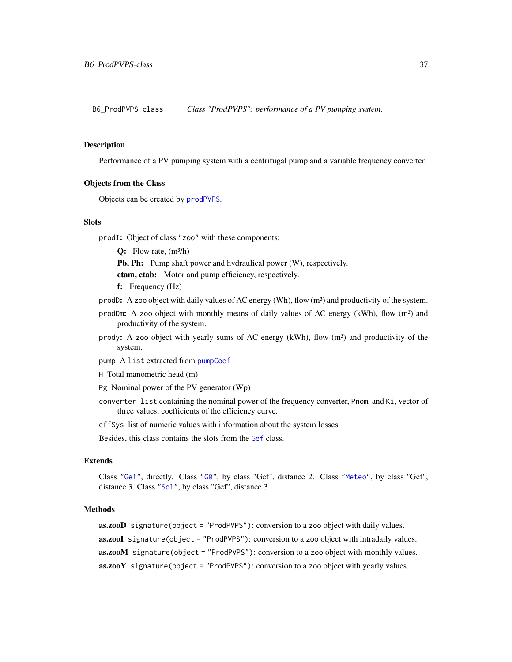B6\_ProdPVPS-class *Class "ProdPVPS": performance of a PV pumping system.*

#### Description

Performance of a PV pumping system with a centrifugal pump and a variable frequency converter.

# Objects from the Class

Objects can be created by [prodPVPS](#page-18-0).

## Slots

prodI: Object of class "zoo" with these components:

 $Q:$  Flow rate,  $(m^3/h)$ 

Pb, Ph: Pump shaft power and hydraulical power (W), respectively.

etam, etab: Motor and pump efficiency, respectively.

f: Frequency (Hz)

prodD: A zoo object with daily values of AC energy (Wh), flow  $(m^3)$  and productivity of the system.

- prodDm: A zoo object with monthly means of daily values of AC energy (kWh), flow  $(m<sup>3</sup>)$  and productivity of the system.
- prody: A zoo object with yearly sums of AC energy (kWh), flow  $(m<sup>3</sup>)$  and productivity of the system.

pump A list extracted from [pumpCoef](#page-86-0)

H Total manometric head (m)

Pg Nominal power of the PV generator (Wp)

converter list containing the nominal power of the frequency converter, Pnom, and Ki, vector of three values, coefficients of the efficiency curve.

effSys list of numeric values with information about the system losses

Besides, this class contains the slots from the [Gef](#page-32-0) class.

## Extends

Class ["Gef"](#page-32-0), directly. Class ["G0"](#page-31-0), by class "Gef", distance 2. Class ["Meteo"](#page-29-0), by class "Gef", distance 3. Class ["Sol"](#page-30-0), by class "Gef", distance 3.

#### Methods

```
as.zooD signature(object = "ProdPVPS"): conversion to a zoo object with daily values.
as.zooI signature(object = "ProdPVPS"): conversion to a zoo object with intradaily values.
as.zooM signature(object = "ProdPVPS"): conversion to a zoo object with monthly values.
\text{as.zooY} signature(object = "ProdPVPS"): conversion to a zoo object with yearly values.
```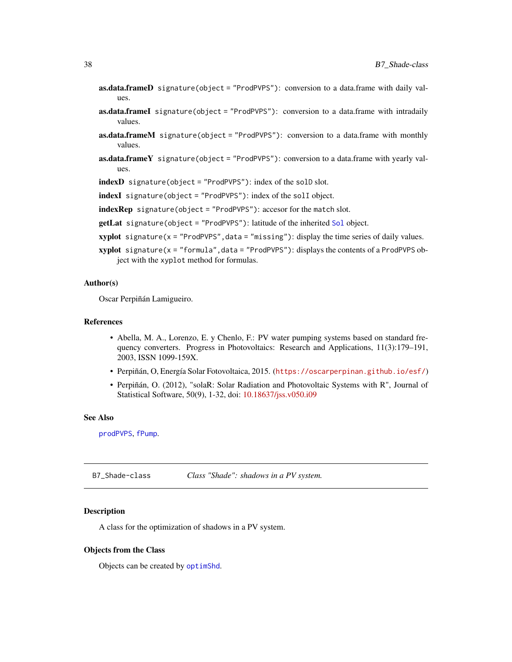- as.data.frameD signature(object = "ProdPVPS"): conversion to a data.frame with daily values.
- as.data.frameI signature(object = "ProdPVPS"): conversion to a data.frame with intradaily values.
- as.data.frameM signature(object = "ProdPVPS"): conversion to a data.frame with monthly values.
- **as.data.frameY** signature(object = "ProdPVPS"): conversion to a data.frame with yearly values.

indexD signature(object = "ProdPVPS"): index of the solD slot.

indexI signature(object = "ProdPVPS"): index of the solI object.

indexRep signature(object = "ProdPVPS"): accesor for the match slot.

- getLat signature(object = "ProdPVPS"): latitude of the inherited [Sol](#page-30-0) object.
- $xyplot$  signature( $x = "ProdPVPS", data = "missing"$ ): display the time series of daily values.
- $xyplot$  signature( $x =$  "formula", data = "ProdPVPS"): displays the contents of a ProdPVPS object with the xyplot method for formulas.

## Author(s)

Oscar Perpiñán Lamigueiro.

## References

- Abella, M. A., Lorenzo, E. y Chenlo, F.: PV water pumping systems based on standard frequency converters. Progress in Photovoltaics: Research and Applications, 11(3):179–191, 2003, ISSN 1099-159X.
- Perpiñán, O, Energía Solar Fotovoltaica, 2015. (<https://oscarperpinan.github.io/esf/>)
- Perpiñán, O. (2012), "solaR: Solar Radiation and Photovoltaic Systems with R", Journal of Statistical Software, 50(9), 1-32, doi: [10.18637/jss.v050.i09](https://doi.org/10.18637/jss.v050.i09)

## See Also

[prodPVPS](#page-18-0), [fPump](#page-49-0).

B7\_Shade-class *Class "Shade": shadows in a PV system.*

#### **Description**

A class for the optimization of shadows in a PV system.

## Objects from the Class

Objects can be created by [optimShd](#page-21-0).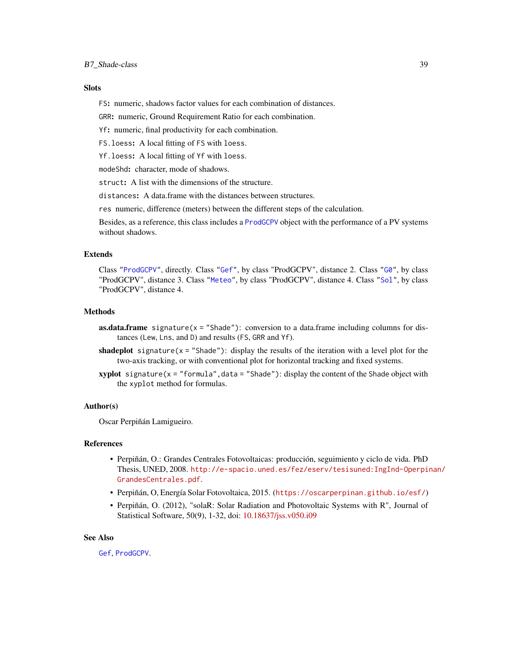# **Slots**

FS: numeric, shadows factor values for each combination of distances.

GRR: numeric, Ground Requirement Ratio for each combination.

Yf: numeric, final productivity for each combination.

FS.loess: A local fitting of FS with loess.

Yf.loess: A local fitting of Yf with loess.

modeShd: character, mode of shadows.

struct: A list with the dimensions of the structure.

distances: A data.frame with the distances between structures.

res numeric, difference (meters) between the different steps of the calculation.

Besides, as a reference, this class includes a [ProdGCPV](#page-34-0) object with the performance of a PV systems without shadows.

# Extends

Class ["ProdGCPV"](#page-34-0), directly. Class ["Gef"](#page-32-0), by class "ProdGCPV", distance 2. Class ["G0"](#page-31-0), by class "ProdGCPV", distance 3. Class ["Meteo"](#page-29-0), by class "ProdGCPV", distance 4. Class ["Sol"](#page-30-0), by class "ProdGCPV", distance 4.

## Methods

- **as.data.frame** signature( $x =$ "Shade"): conversion to a data.frame including columns for distances (Lew, Lns, and D) and results (FS, GRR and Yf).
- shadeplot signature( $x =$  "Shade"): display the results of the iteration with a level plot for the two-axis tracking, or with conventional plot for horizontal tracking and fixed systems.
- **xyplot** signature( $x =$  "formula", data = "Shade"): display the content of the Shade object with the xyplot method for formulas.

#### Author(s)

Oscar Perpiñán Lamigueiro.

#### References

- Perpiñán, O.: Grandes Centrales Fotovoltaicas: producción, seguimiento y ciclo de vida. PhD Thesis, UNED, 2008. [http://e-spacio.uned.es/fez/eserv/tesisuned:IngInd-Operpi](http://e-spacio.uned.es/fez/eserv/tesisuned:IngInd-Operpinan/GrandesCentrales.pdf)nan/ [GrandesCentrales.pdf](http://e-spacio.uned.es/fez/eserv/tesisuned:IngInd-Operpinan/GrandesCentrales.pdf).
- Perpiñán, O, Energía Solar Fotovoltaica, 2015. (<https://oscarperpinan.github.io/esf/>)
- Perpiñán, O. (2012), "solaR: Solar Radiation and Photovoltaic Systems with R", Journal of Statistical Software, 50(9), 1-32, doi: [10.18637/jss.v050.i09](https://doi.org/10.18637/jss.v050.i09)

## See Also

[Gef](#page-32-0), [ProdGCPV](#page-34-0).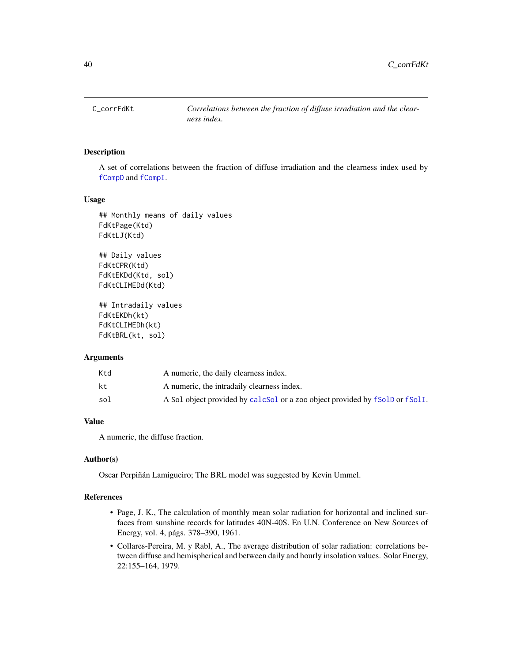# <span id="page-39-0"></span>Description

A set of correlations between the fraction of diffuse irradiation and the clearness index used by [fCompD](#page-42-0) and [fCompI](#page-43-0).

#### Usage

```
## Monthly means of daily values
FdKtPage(Ktd)
FdKtLJ(Ktd)
## Daily values
FdKtCPR(Ktd)
FdKtEKDd(Ktd, sol)
FdKtCLIMEDd(Ktd)
## Intradaily values
```
FdKtEKDh(kt) FdKtCLIMEDh(kt) FdKtBRL(kt, sol)

#### Arguments

| Ktd | A numeric, the daily clearness index.                                        |
|-----|------------------------------------------------------------------------------|
| kt  | A numeric, the intradaily clearness index.                                   |
| sol | A Sol object provided by calcSol or a zoo object provided by fSolD or fSolI. |

## Value

A numeric, the diffuse fraction.

# Author(s)

Oscar Perpiñán Lamigueiro; The BRL model was suggested by Kevin Ummel.

## References

- Page, J. K., The calculation of monthly mean solar radiation for horizontal and inclined surfaces from sunshine records for latitudes 40N-40S. En U.N. Conference on New Sources of Energy, vol. 4, págs. 378–390, 1961.
- Collares-Pereira, M. y Rabl, A., The average distribution of solar radiation: correlations between diffuse and hemispherical and between daily and hourly insolation values. Solar Energy, 22:155–164, 1979.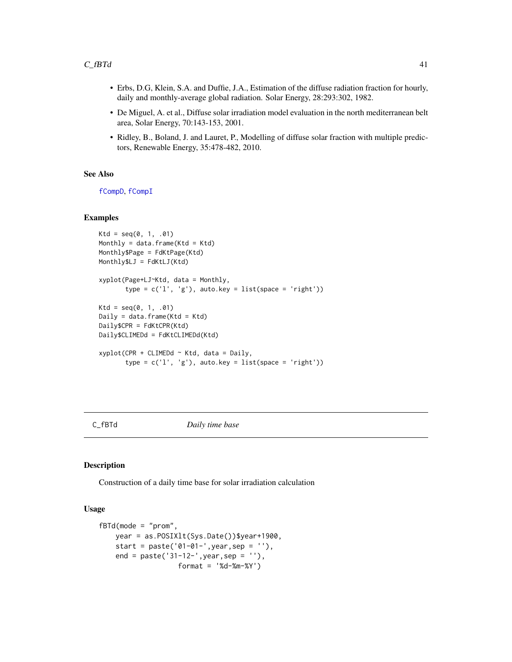- Erbs, D.G, Klein, S.A. and Duffie, J.A., Estimation of the diffuse radiation fraction for hourly, daily and monthly-average global radiation. Solar Energy, 28:293:302, 1982.
- De Miguel, A. et al., Diffuse solar irradiation model evaluation in the north mediterranean belt area, Solar Energy, 70:143-153, 2001.
- Ridley, B., Boland, J. and Lauret, P., Modelling of diffuse solar fraction with multiple predictors, Renewable Energy, 35:478-482, 2010.

# See Also

[fCompD](#page-42-0), [fCompI](#page-43-0)

#### Examples

```
Ktd = seq(0, 1, .01)Monthly = data.frame(Ktd = Ktd)
Monthly$Page = FdKtPage(Ktd)
Monthly$LJ = FdKtLJ(Ktd)
xyplot(Page+LJ~Ktd, data = Monthly,
       type = c('l', 'g'), auto.key = list(space = 'right'))
Ktd = seq(0, 1, .01)Daily = data.frame(Ktd = Ktd)
Daily$CPR = FdKtCPR(Ktd)
Daily$CLIMEDd = FdKtCLIMEDd(Ktd)
xyplot(CPR + CLIMEDd ~ Ktd, data = Daily,type = c('l', 'g'), auto.key = list(space = 'right'))
```
#### C\_fBTd *Daily time base*

#### <span id="page-40-0"></span>Description

Construction of a daily time base for solar irradiation calculation

#### Usage

```
fBTd(mode = "prom",
   year = as.POSIXlt(Sys.Date())$year+1900,
   start = paste('01-01-',year,sep = ''),
   end = paste('31-12-',year,sep = ''),
                   format = '%d-%m-%Y')
```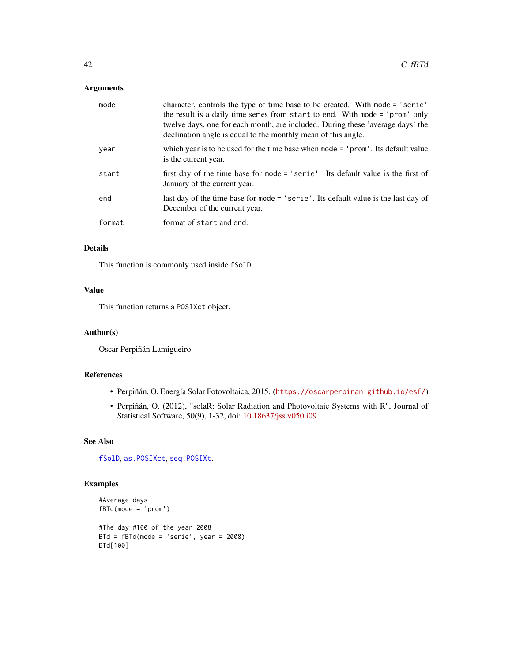# Arguments

| mode   | character, controls the type of time base to be created. With mode = 'serie'<br>the result is a daily time series from start to end. With mode = 'prom' only<br>twelve days, one for each month, are included. During these 'average days' the<br>declination angle is equal to the monthly mean of this angle. |
|--------|-----------------------------------------------------------------------------------------------------------------------------------------------------------------------------------------------------------------------------------------------------------------------------------------------------------------|
| year   | which year is to be used for the time base when mode $=$ 'prom'. Its default value<br>is the current year.                                                                                                                                                                                                      |
| start  | first day of the time base for mode = 'serie'. Its default value is the first of<br>January of the current year.                                                                                                                                                                                                |
| end    | last day of the time base for mode = 'serie'. Its default value is the last day of<br>December of the current year.                                                                                                                                                                                             |
| format | format of start and end.                                                                                                                                                                                                                                                                                        |

# Details

This function is commonly used inside fSolD.

# Value

This function returns a POSIXct object.

## Author(s)

Oscar Perpiñán Lamigueiro

# References

- Perpiñán, O, Energía Solar Fotovoltaica, 2015. (<https://oscarperpinan.github.io/esf/>)
- Perpiñán, O. (2012), "solaR: Solar Radiation and Photovoltaic Systems with R", Journal of Statistical Software, 50(9), 1-32, doi: [10.18637/jss.v050.i09](https://doi.org/10.18637/jss.v050.i09)

# See Also

[fSolD](#page-51-0), [as.POSIXct](#page-0-0), [seq.POSIXt](#page-0-0).

# Examples

```
#Average days
fBTd(mode = 'prom')
#The day #100 of the year 2008
BTd = fBTd(mode = 'serie', year = 2008)
BTd[100]
```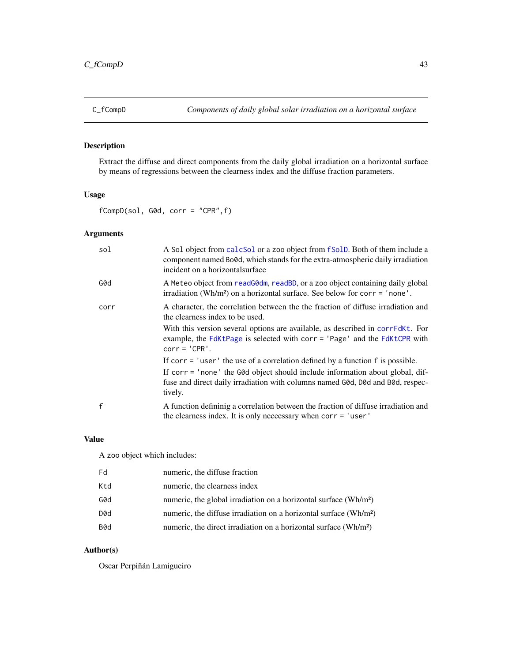# <span id="page-42-0"></span>Description

Extract the diffuse and direct components from the daily global irradiation on a horizontal surface by means of regressions between the clearness index and the diffuse fraction parameters.

# Usage

fCompD(sol, G0d, corr = "CPR",f)

# Arguments

| sol          | A Sol object from calcsol or a zoo object from f Sol D. Both of them include a<br>component named Bo0d, which stands for the extra-atmospheric daily irradiation<br>incident on a horizontal surface |
|--------------|------------------------------------------------------------------------------------------------------------------------------------------------------------------------------------------------------|
| G0d          | A Meteo object from read GOdm, read BD, or a zoo object containing daily global<br>irradiation (Wh/m <sup>2</sup> ) on a horizontal surface. See below for $corr = 'none'$ .                         |
| corr         | A character, the correlation between the the fraction of diffuse irradiation and<br>the clearness index to be used.                                                                                  |
|              | With this version several options are available, as described in corrFdKt. For<br>example, the FdKtPage is selected with corr = 'Page' and the FdKtCPR with<br>$corr = 'CPR'.$                       |
|              | If corr $=$ 'user' the use of a correlation defined by a function $f$ is possible.                                                                                                                   |
|              | If corr = 'none' the G0d object should include information about global, dif-<br>fuse and direct daily irradiation with columns named G0d, D0d and B0d, respec-<br>tively.                           |
| $\mathsf{f}$ | A function definining a correlation between the fraction of diffuse irradiation and<br>the clearness index. It is only necessary when $corr = 'user'$                                                |

## Value

A zoo object which includes:

| Fd  | numeric, the diffuse fraction                                                 |
|-----|-------------------------------------------------------------------------------|
| Ktd | numeric, the clearness index                                                  |
| G0d | numeric, the global irradiation on a horizontal surface (Wh/m <sup>2</sup> )  |
| D0d | numeric, the diffuse irradiation on a horizontal surface (Wh/m <sup>2</sup> ) |
| B0d | numeric, the direct irradiation on a horizontal surface (Wh/m <sup>2</sup> )  |

# Author(s)

Oscar Perpiñán Lamigueiro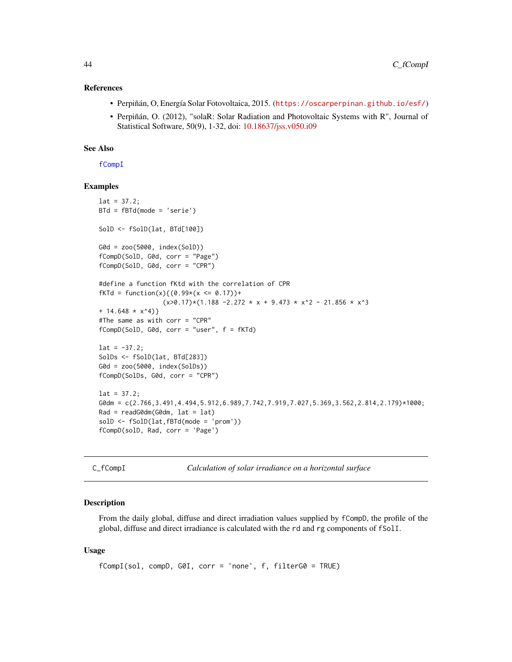#### References

- Perpiñán, O, Energía Solar Fotovoltaica, 2015. (<https://oscarperpinan.github.io/esf/>)
- Perpiñán, O. (2012), "solaR: Solar Radiation and Photovoltaic Systems with R", Journal of Statistical Software, 50(9), 1-32, doi: [10.18637/jss.v050.i09](https://doi.org/10.18637/jss.v050.i09)

# See Also

[fCompI](#page-43-0)

#### Examples

```
lat = 37.2;BTd = fBTd(mode = 'serie')
SolD <- fSolD(lat, BTd[100])
G0d = zoo(5000, index(SolD))
fCompD(SolD, G0d, corr = "Page")
fCompD(SolD, G0d, corr = "CPR")
#define a function fKtd with the correlation of CPR
fKTd = function(x){ (0.99*(x \le 0.17))}(x>0.17)*(1.188 - 2.272 * x + 9.473 * x^2 - 21.856 * x^3+ 14.648 \times x^4)#The same as with corr = "CPR"
fCompD(SolD, G0d, corr = "user", f = fKTd)
lat = -37.2;SolDs <- fSolD(lat, BTd[283])
G0d = zoo(5000, index(SolDs))
fCompD(SolDs, G0d, corr = "CPR")
lat = 37.2;G0dm = c(2.766,3.491,4.494,5.912,6.989,7.742,7.919,7.027,5.369,3.562,2.814,2.179)*1000;
Rad = readG@dm(G@dm, lat = lat)solD <- fSolD(lat,fBTd(mode = 'prom'))
fCompD(solD, Rad, corr = 'Page')
```
C\_fCompI *Calculation of solar irradiance on a horizontal surface*

#### <span id="page-43-0"></span>**Description**

From the daily global, diffuse and direct irradiation values supplied by fCompD, the profile of the global, diffuse and direct irradiance is calculated with the rd and rg components of fSolI.

#### Usage

```
fCompI(sol, compD, G0I, corr = 'none', f, filterG0 = TRUE)
```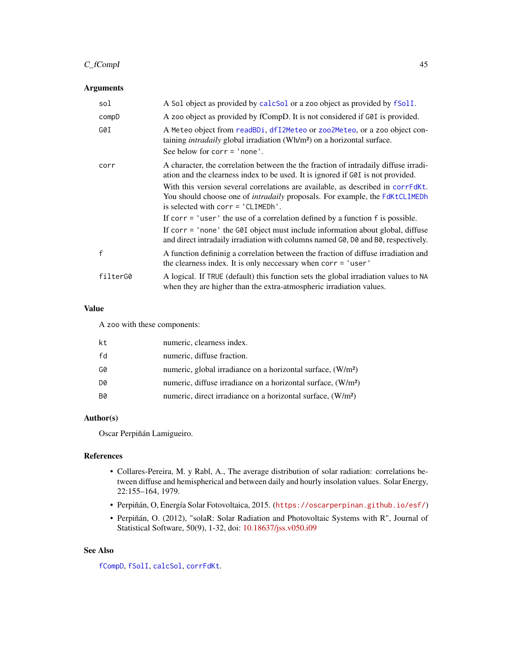# C\_fCompI 45

# Arguments

| sol          | A Sol object as provided by calcSol or a zoo object as provided by fSolI.                                                                                                                                      |
|--------------|----------------------------------------------------------------------------------------------------------------------------------------------------------------------------------------------------------------|
| compD        | A zoo object as provided by fCompD. It is not considered if G0I is provided.                                                                                                                                   |
| G0I          | A Meteo object from readBDi, dfI2Meteo or zoo2Meteo, or a zoo object con-<br>taining <i>intradaily</i> global irradiation (Wh/m <sup>2</sup> ) on a horizontal surface.<br>See below for $corr = 'none'.$      |
|              |                                                                                                                                                                                                                |
| corr         | A character, the correlation between the the fraction of intradaily diffuse irradi-<br>ation and the clearness index to be used. It is ignored if G0I is not provided.                                         |
|              | With this version several correlations are available, as described in correlact.<br>You should choose one of <i>intradaily</i> proposals. For example, the FdKtCLIMEDh<br>is selected with $corr = 'CLIMEDh'.$ |
|              | If corr $=$ 'user' the use of a correlation defined by a function $f$ is possible.                                                                                                                             |
|              | If corr = 'none' the G0I object must include information about global, diffuse<br>and direct intradaily irradiation with columns named GO, DO and BO, respectively.                                            |
| $\mathsf{f}$ | A function definining a correlation between the fraction of diffuse irradiation and<br>the clearness index. It is only necessary when corr = 'user'                                                            |
| filterG0     | A logical. If TRUE (default) this function sets the global irradiation values to NA<br>when they are higher than the extra-atmospheric irradiation values.                                                     |

# Value

A zoo with these components:

| kt        | numeric, clearness index.                                                |
|-----------|--------------------------------------------------------------------------|
| fd        | numeric, diffuse fraction.                                               |
| G0        | numeric, global irradiance on a horizontal surface, (W/m <sup>2</sup> )  |
| D0        | numeric, diffuse irradiance on a horizontal surface, (W/m <sup>2</sup> ) |
| <b>B0</b> | numeric, direct irradiance on a horizontal surface, (W/m <sup>2</sup> )  |

# Author(s)

Oscar Perpiñán Lamigueiro.

# References

- Collares-Pereira, M. y Rabl, A., The average distribution of solar radiation: correlations between diffuse and hemispherical and between daily and hourly insolation values. Solar Energy, 22:155–164, 1979.
- Perpiñán, O, Energía Solar Fotovoltaica, 2015. (<https://oscarperpinan.github.io/esf/>)
- Perpiñán, O. (2012), "solaR: Solar Radiation and Photovoltaic Systems with R", Journal of Statistical Software, 50(9), 1-32, doi: [10.18637/jss.v050.i09](https://doi.org/10.18637/jss.v050.i09)

# See Also

[fCompD](#page-42-0), [fSolI](#page-53-0), [calcSol](#page-4-0), [corrFdKt](#page-39-0).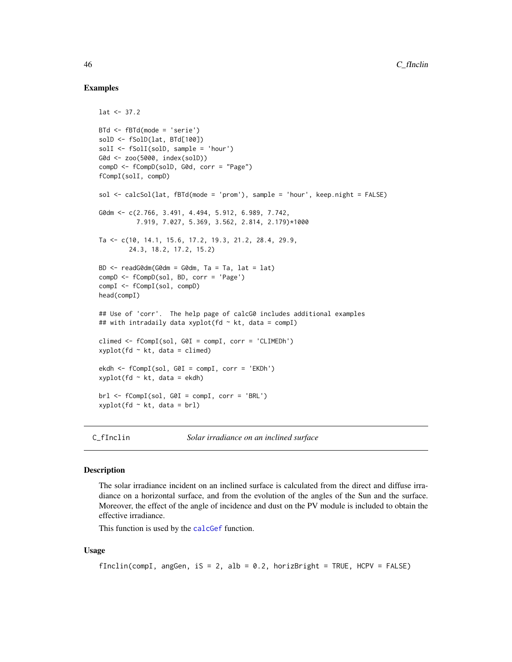## Examples

```
lat < -37.2BTd <- fBTd(mode = 'serie')
solD \leftarrow fSolD(lat, BTd[100])solI <- fSolI(solD, sample = 'hour')
G0d <- zoo(5000, index(solD))
compD <- fCompD(solD, G0d, corr = "Page")
fCompI(solI, compD)
sol <- calcSol(lat, fBTd(mode = 'prom'), sample = 'hour', keep.night = FALSE)
G0dm <- c(2.766, 3.491, 4.494, 5.912, 6.989, 7.742,
          7.919, 7.027, 5.369, 3.562, 2.814, 2.179)*1000
Ta <- c(10, 14.1, 15.6, 17.2, 19.3, 21.2, 28.4, 29.9,
        24.3, 18.2, 17.2, 15.2)
BD \leq readG0dm(G0dm = G0dm, Ta = Ta, lat = lat)
compD <- fCompD(sol, BD, corr = 'Page')
compI <- fCompI(sol, compD)
head(compI)
## Use of 'corr'. The help page of calcG0 includes additional examples
## with intradaily data xyplot(fd ~ kt, data = compI)
climed <- fCompI(sol, G0I = compI, corr = 'CLIMEDh')
xyplot(fd \sim kt, data = climed)ekdh <- fCompI(sol, G0I = compI, corr = 'EKDh')
xyplot(fd ~ k t, data = ekdh)brl <- fCompI(sol, G0I = compI, corr = 'BRL')
xyplot(fd ~ k t, data = brl)
```
C\_fInclin *Solar irradiance on an inclined surface*

#### <span id="page-45-0"></span>**Description**

The solar irradiance incident on an inclined surface is calculated from the direct and diffuse irradiance on a horizontal surface, and from the evolution of the angles of the Sun and the surface. Moreover, the effect of the angle of incidence and dust on the PV module is included to obtain the effective irradiance.

This function is used by the [calcGef](#page-9-0) function.

## Usage

```
fInclin(compI, angGen, iS = 2, aIb = 0.2, horizBright = TRUE, HCPV = FALSE)
```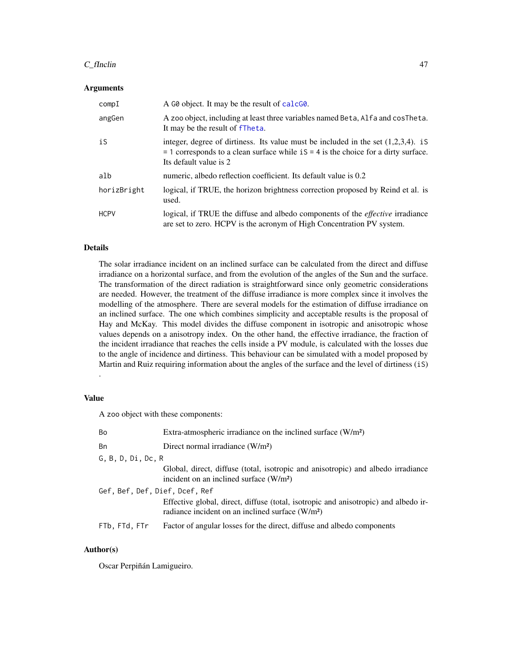#### $C_f$  finclin 47

#### Arguments

| compI       | A G0 object. It may be the result of calcG0.                                                                                                                                                             |
|-------------|----------------------------------------------------------------------------------------------------------------------------------------------------------------------------------------------------------|
| angGen      | A zoo object, including at least three variables named Beta, Alfa and cosTheta.<br>It may be the result of fTheta.                                                                                       |
| iS          | integer, degree of dirtiness. Its value must be included in the set $(1,2,3,4)$ . iS<br>$=$ 1 corresponds to a clean surface while iS $=$ 4 is the choice for a dirty surface.<br>Its default value is 2 |
| alb         | numeric, albedo reflection coefficient. Its default value is 0.2                                                                                                                                         |
| horizBright | logical, if TRUE, the horizon brightness correction proposed by Reind et al. is<br>used.                                                                                                                 |
| <b>HCPV</b> | logical, if TRUE the diffuse and albedo components of the <i>effective</i> irradiance<br>are set to zero. HCPV is the acronym of High Concentration PV system.                                           |

## Details

The solar irradiance incident on an inclined surface can be calculated from the direct and diffuse irradiance on a horizontal surface, and from the evolution of the angles of the Sun and the surface. The transformation of the direct radiation is straightforward since only geometric considerations are needed. However, the treatment of the diffuse irradiance is more complex since it involves the modelling of the atmosphere. There are several models for the estimation of diffuse irradiance on an inclined surface. The one which combines simplicity and acceptable results is the proposal of Hay and McKay. This model divides the diffuse component in isotropic and anisotropic whose values depends on a anisotropy index. On the other hand, the effective irradiance, the fraction of the incident irradiance that reaches the cells inside a PV module, is calculated with the losses due to the angle of incidence and dirtiness. This behaviour can be simulated with a model proposed by Martin and Ruiz requiring information about the angles of the surface and the level of dirtiness (iS)

## Value

.

A zoo object with these components:

| Bn<br>Direct normal irradiance (W/m <sup>2</sup> )                                                                                                  |  |  |
|-----------------------------------------------------------------------------------------------------------------------------------------------------|--|--|
| G, B, D, Di, Dc, R                                                                                                                                  |  |  |
| Global, direct, diffuse (total, isotropic and anisotropic) and albedo irradiance<br>incident on an inclined surface (W/m <sup>2</sup> )             |  |  |
| Gef, Bef, Def, Dief, Dcef, Ref                                                                                                                      |  |  |
| Effective global, direct, diffuse (total, isotropic and anisotropic) and albedo ir-<br>radiance incident on an inclined surface (W/m <sup>2</sup> ) |  |  |
| FTb. FTd. FTr<br>Factor of angular losses for the direct, diffuse and albedo components                                                             |  |  |

## Author(s)

Oscar Perpiñán Lamigueiro.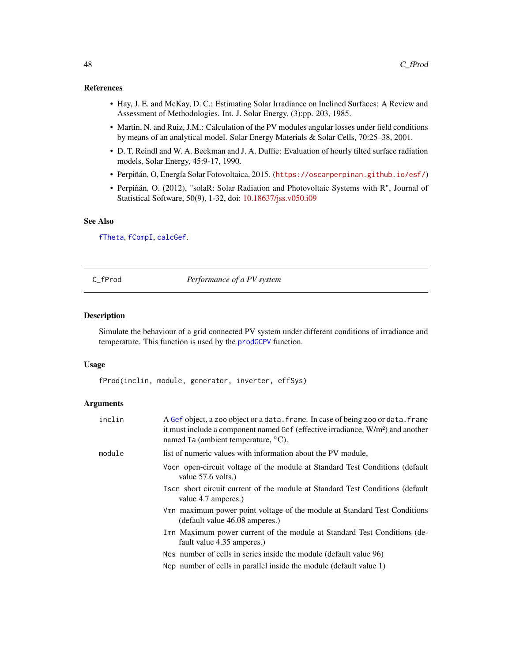#### References

- Hay, J. E. and McKay, D. C.: Estimating Solar Irradiance on Inclined Surfaces: A Review and Assessment of Methodologies. Int. J. Solar Energy, (3):pp. 203, 1985.
- Martin, N. and Ruiz, J.M.: Calculation of the PV modules angular losses under field conditions by means of an analytical model. Solar Energy Materials & Solar Cells, 70:25–38, 2001.
- D. T. Reindl and W. A. Beckman and J. A. Duffie: Evaluation of hourly tilted surface radiation models, Solar Energy, 45:9-17, 1990.
- Perpiñán, O, Energía Solar Fotovoltaica, 2015. (<https://oscarperpinan.github.io/esf/>)
- Perpiñán, O. (2012), "solaR: Solar Radiation and Photovoltaic Systems with R", Journal of Statistical Software, 50(9), 1-32, doi: [10.18637/jss.v050.i09](https://doi.org/10.18637/jss.v050.i09)

# See Also

[fTheta](#page-59-0), [fCompI](#page-43-0), [calcGef](#page-9-0).

C\_fProd *Performance of a PV system*

#### Description

Simulate the behaviour of a grid connected PV system under different conditions of irradiance and temperature. This function is used by the [prodGCPV](#page-12-0) function.

#### Usage

fProd(inclin, module, generator, inverter, effSys)

## Arguments

| inclin | A Gef object, a zoo object or a data. frame. In case of being zoo or data. frame<br>it must include a component named Gef (effective irradiance, W/m <sup>2</sup> ) and another<br>named Ta (ambient temperature, $\rm{^{\circ}C}$ ). |
|--------|---------------------------------------------------------------------------------------------------------------------------------------------------------------------------------------------------------------------------------------|
| module | list of numeric values with information about the PV module,                                                                                                                                                                          |
|        | Vocn open-circuit voltage of the module at Standard Test Conditions (default<br>value $57.6$ volts.)                                                                                                                                  |
|        | Is cn short circuit current of the module at Standard Test Conditions (default<br>value 4.7 amperes.)                                                                                                                                 |
|        | Vmn maximum power point voltage of the module at Standard Test Conditions<br>(default value 46.08 amperes.)                                                                                                                           |
|        | Imn Maximum power current of the module at Standard Test Conditions (de-<br>fault value 4.35 amperes.)                                                                                                                                |
|        | Not number of cells in series inside the module (default value 96)                                                                                                                                                                    |
|        | No number of cells in parallel inside the module (default value 1)                                                                                                                                                                    |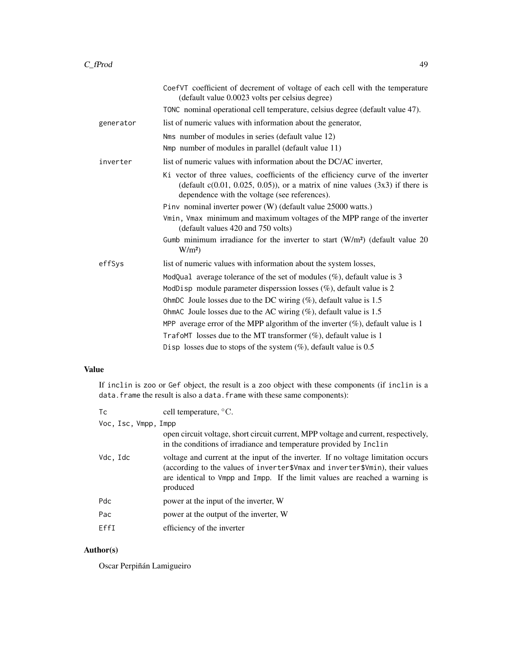|           | CoefVT coefficient of decrement of voltage of each cell with the temperature<br>(default value 0.0023 volts per celsius degree)                                                                                       |
|-----------|-----------------------------------------------------------------------------------------------------------------------------------------------------------------------------------------------------------------------|
|           | TONC nominal operational cell temperature, celsius degree (default value 47).                                                                                                                                         |
| generator | list of numeric values with information about the generator,                                                                                                                                                          |
|           | Nms number of modules in series (default value 12)                                                                                                                                                                    |
|           | Nmp number of modules in parallel (default value 11)                                                                                                                                                                  |
| inverter  | list of numeric values with information about the DC/AC inverter,                                                                                                                                                     |
|           | Ki vector of three values, coefficients of the efficiency curve of the inverter<br>(default $c(0.01, 0.025, 0.05)$ ), or a matrix of nine values $(3x3)$ if there is<br>dependence with the voltage (see references). |
|           | Pinv nominal inverter power (W) (default value 25000 watts.)                                                                                                                                                          |
|           | Vmin, Vmax minimum and maximum voltages of the MPP range of the inverter<br>(default values 420 and 750 volts)                                                                                                        |
|           | Gumb minimum irradiance for the inverter to start $(W/m2)$ (default value 20<br>W/m <sup>2</sup>                                                                                                                      |
| effSys    | list of numeric values with information about the system losses,                                                                                                                                                      |
|           | ModQual average tolerance of the set of modules $(\%)$ , default value is 3                                                                                                                                           |
|           | ModDisp module parameter disperssion losses $(\%)$ , default value is 2                                                                                                                                               |
|           | OhmDC Joule losses due to the DC wiring $(\%)$ , default value is 1.5                                                                                                                                                 |
|           | OhmAC Joule losses due to the AC wiring $(\%)$ , default value is 1.5                                                                                                                                                 |
|           | MPP average error of the MPP algorithm of the inverter $(\%)$ , default value is 1                                                                                                                                    |
|           | TrafoMT losses due to the MT transformer $(\%)$ , default value is 1                                                                                                                                                  |
|           | Disp losses due to stops of the system $(\%)$ , default value is 0.5                                                                                                                                                  |

# Value

If inclin is zoo or Gef object, the result is a zoo object with these components (if inclin is a data. frame the result is also a data. frame with these same components):

| cell temperature, $\mathrm{^{\circ}C}$ .                                                                                                                                                                                                                      |
|---------------------------------------------------------------------------------------------------------------------------------------------------------------------------------------------------------------------------------------------------------------|
| Voc. Isc. Vmpp. Impp                                                                                                                                                                                                                                          |
| open circuit voltage, short circuit current, MPP voltage and current, respectively,<br>in the conditions of irradiance and temperature provided by Inclin                                                                                                     |
| voltage and current at the input of the inverter. If no voltage limitation occurs<br>(according to the values of inverter\$Vmax and inverter\$Vmin), their values<br>are identical to Vmpp and Impp. If the limit values are reached a warning is<br>produced |
| power at the input of the inverter, W                                                                                                                                                                                                                         |
| power at the output of the inverter, W                                                                                                                                                                                                                        |
| efficiency of the inverter                                                                                                                                                                                                                                    |
|                                                                                                                                                                                                                                                               |

# Author(s)

Oscar Perpiñán Lamigueiro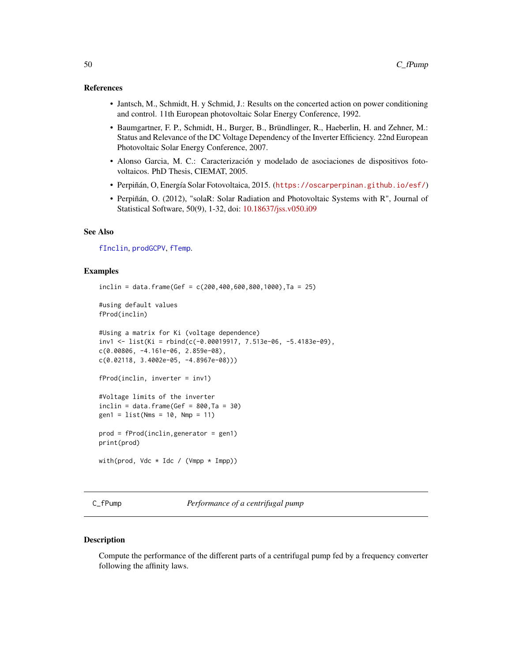#### References

- Jantsch, M., Schmidt, H. y Schmid, J.: Results on the concerted action on power conditioning and control. 11th European photovoltaic Solar Energy Conference, 1992.
- Baumgartner, F. P., Schmidt, H., Burger, B., Bründlinger, R., Haeberlin, H. and Zehner, M.: Status and Relevance of the DC Voltage Dependency of the Inverter Efficiency. 22nd European Photovoltaic Solar Energy Conference, 2007.
- Alonso Garcia, M. C.: Caracterización y modelado de asociaciones de dispositivos fotovoltaicos. PhD Thesis, CIEMAT, 2005.
- Perpiñán, O, Energía Solar Fotovoltaica, 2015. (<https://oscarperpinan.github.io/esf/>)
- Perpiñán, O. (2012), "solaR: Solar Radiation and Photovoltaic Systems with R", Journal of Statistical Software, 50(9), 1-32, doi: [10.18637/jss.v050.i09](https://doi.org/10.18637/jss.v050.i09)

#### See Also

[fInclin](#page-45-0), [prodGCPV](#page-12-0), [fTemp](#page-57-0).

## Examples

```
inclin = data.frame(Gef = c(200, 400, 600, 800, 1000), Ta = 25)#using default values
fProd(inclin)
#Using a matrix for Ki (voltage dependence)
inv1 <- list(Ki = rbind(c(-0.00019917, 7.513e-06, -5.4183e-09),
c(0.00806, -4.161e-06, 2.859e-08),
c(0.02118, 3.4002e-05, -4.8967e-08)))
fProd(inclin, inverter = inv1)
#Voltage limits of the inverter
inclin = data.frame(Gef = 800,Ta = 30)gen1 = list(Nms = 10, Nmp = 11)prod = fProd(inclin,generator = gen1)
print(prod)
with(prod, Vdc * Idc / (Vmpp * Impp))
```
C\_fPump *Performance of a centrifugal pump*

#### <span id="page-49-0"></span>Description

Compute the performance of the different parts of a centrifugal pump fed by a frequency converter following the affinity laws.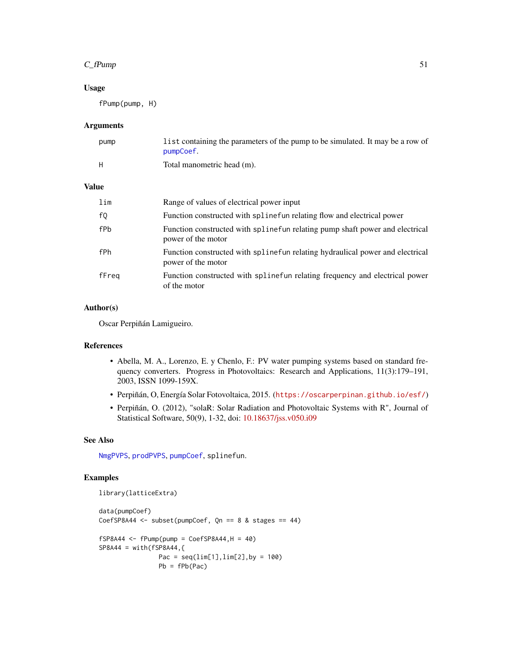## $C_f$ Pump 51

# Usage

fPump(pump, H)

#### Arguments

| pump | list containing the parameters of the pump to be simulated. It may be a row of |
|------|--------------------------------------------------------------------------------|
|      | pumpCoef.                                                                      |
| Н    | Total manometric head (m).                                                     |

## Value

| lim   | Range of values of electrical power input                                                           |
|-------|-----------------------------------------------------------------------------------------------------|
| f0    | Function constructed with spline fun relating flow and electrical power                             |
| fPb   | Function constructed with spline fun relating pump shaft power and electrical<br>power of the motor |
| fPh   | Function constructed with splinefun relating hydraulical power and electrical<br>power of the motor |
| fFreg | Function constructed with spline fun relating frequency and electrical power<br>of the motor        |

# Author(s)

Oscar Perpiñán Lamigueiro.

#### References

- Abella, M. A., Lorenzo, E. y Chenlo, F.: PV water pumping systems based on standard frequency converters. Progress in Photovoltaics: Research and Applications, 11(3):179–191, 2003, ISSN 1099-159X.
- Perpiñán, O, Energía Solar Fotovoltaica, 2015. (<https://oscarperpinan.github.io/esf/>)
- Perpiñán, O. (2012), "solaR: Solar Radiation and Photovoltaic Systems with R", Journal of Statistical Software, 50(9), 1-32, doi: [10.18637/jss.v050.i09](https://doi.org/10.18637/jss.v050.i09)

# See Also

[NmgPVPS](#page-63-0), [prodPVPS](#page-18-0), [pumpCoef](#page-86-0), splinefun.

# Examples

```
library(latticeExtra)
```

```
data(pumpCoef)
CoefSP8A44 \leq subset(pumpCoef, Qn == 8 & stages == 44)
fSP8A44 \leftarrow fPump(pump = CoefSP8A44, H = 40)SP8A44 = with(FSP8A44, {Pac = seq(\lim[1], \lim[2], \text{by} = 100)Pb = fPb(Pac)
```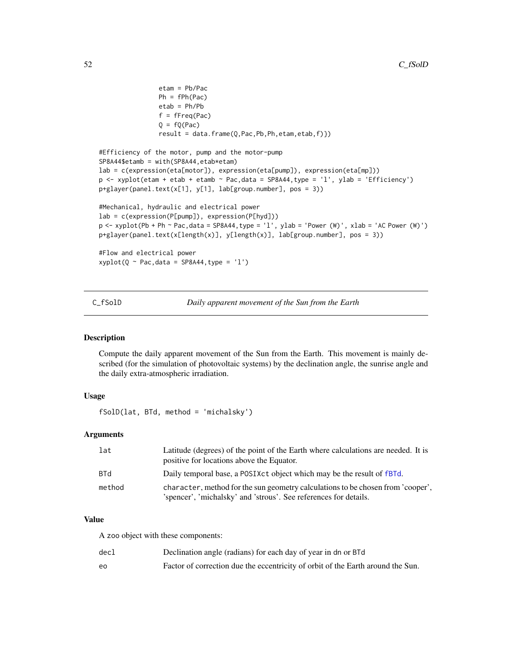```
etam = Pb/Pac
                Ph = fPh(Pac)etab = Ph/Pb
                f = fFreq(Pac)Q = fQ(Pac)result = data.frame(Q,Pac,Pb,Ph,etam,etab,f)})
#Efficiency of the motor, pump and the motor-pump
SP8A44$etamb = with(SP8A44,etab*etam)
lab = c(expression(eta[motor]), expression(eta[pump]), expression(eta[mp]))
p <- xyplot(etam + etab + etamb ~ Pac,data = SP8A44,type = 'l', ylab = 'Efficiency')
p+glayer(panel.text(x[1], y[1], lab[group.number], pos = 3))
#Mechanical, hydraulic and electrical power
lab = c(expression(P[pump]), expression(P[hyd]))
p <- xyplot(Pb + Ph ~ Pac,data = SP8A44,type = 'l', ylab = 'Power (W)', xlab = 'AC Power (W)')
p+glayer(panel.text(x[length(x)], y[length(x)], lab[group.number], pos = 3))
#Flow and electrical power
xyplot(Q \sim Pac, data = SP8A44, type = 'l')
```
C\_fSolD *Daily apparent movement of the Sun from the Earth*

#### <span id="page-51-0"></span>Description

Compute the daily apparent movement of the Sun from the Earth. This movement is mainly described (for the simulation of photovoltaic systems) by the declination angle, the sunrise angle and the daily extra-atmospheric irradiation.

# Usage

fSolD(lat, BTd, method = 'michalsky')

## Arguments

| lat        | Latitude (degrees) of the point of the Earth where calculations are needed. It is<br>positive for locations above the Equator.                      |
|------------|-----------------------------------------------------------------------------------------------------------------------------------------------------|
| <b>BTd</b> | Daily temporal base, a POSIXct object which may be the result of fBTd.                                                                              |
| method     | character, method for the sun geometry calculations to be chosen from 'cooper',<br>'spencer', 'michalsky' and 'strous'. See references for details. |

# Value

A zoo object with these components:

| decl | Declination angle (radians) for each day of year in dn or BTd                   |
|------|---------------------------------------------------------------------------------|
| e٥   | Factor of correction due the eccentricity of orbit of the Earth around the Sun. |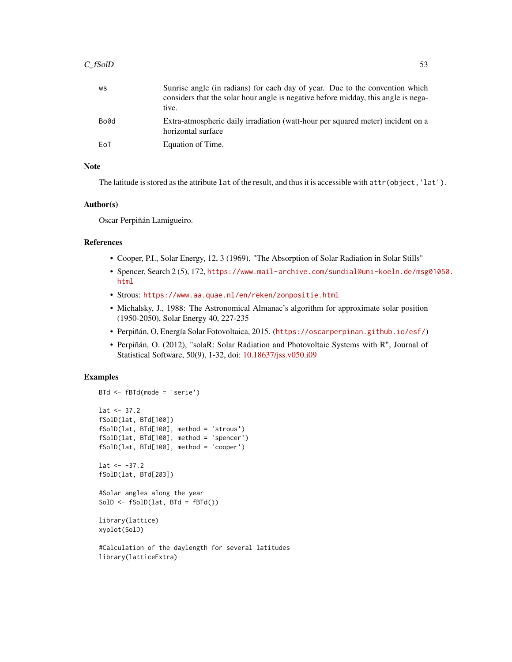## $C_fSolD$  53

| WS   | Sunrise angle (in radians) for each day of year. Due to the convention which<br>considers that the solar hour angle is negative before midday, this angle is nega-<br>tive. |
|------|-----------------------------------------------------------------------------------------------------------------------------------------------------------------------------|
| Bo0d | Extra-atmospheric daily irradiation (watt-hour per squared meter) incident on a<br>horizontal surface                                                                       |
| EoT  | Equation of Time.                                                                                                                                                           |

# Note

The latitude is stored as the attribute lat of the result, and thus it is accessible with attr(object, 'lat').

# Author(s)

Oscar Perpiñán Lamigueiro.

#### References

- Cooper, P.I., Solar Energy, 12, 3 (1969). "The Absorption of Solar Radiation in Solar Stills"
- Spencer, Search 2 (5), 172, [https://www.mail-archive.com/sundial@uni-koeln.de/msg0](https://www.mail-archive.com/sundial@uni-koeln.de/msg01050.html)1050. [html](https://www.mail-archive.com/sundial@uni-koeln.de/msg01050.html)
- Strous: <https://www.aa.quae.nl/en/reken/zonpositie.html>
- Michalsky, J., 1988: The Astronomical Almanac's algorithm for approximate solar position (1950-2050), Solar Energy 40, 227-235
- Perpiñán, O, Energía Solar Fotovoltaica, 2015. (<https://oscarperpinan.github.io/esf/>)
- Perpiñán, O. (2012), "solaR: Solar Radiation and Photovoltaic Systems with R", Journal of Statistical Software, 50(9), 1-32, doi: [10.18637/jss.v050.i09](https://doi.org/10.18637/jss.v050.i09)

# Examples

```
BTd <- fBTd(mode = 'serie')
lat < -37.2fSolD(lat, BTd[100])
fSolD(lat, BTd[100], method = 'strous')
fSolD(lat, BTd[100], method = 'spencer')
fSolD(lat, BTd[100], method = 'cooper')
lat < -37.2fSolD(lat, BTd[283])
#Solar angles along the year
SolD \leftarrow fSolD(lat, BTd = fBTd())
library(lattice)
xyplot(SolD)
#Calculation of the daylength for several latitudes
library(latticeExtra)
```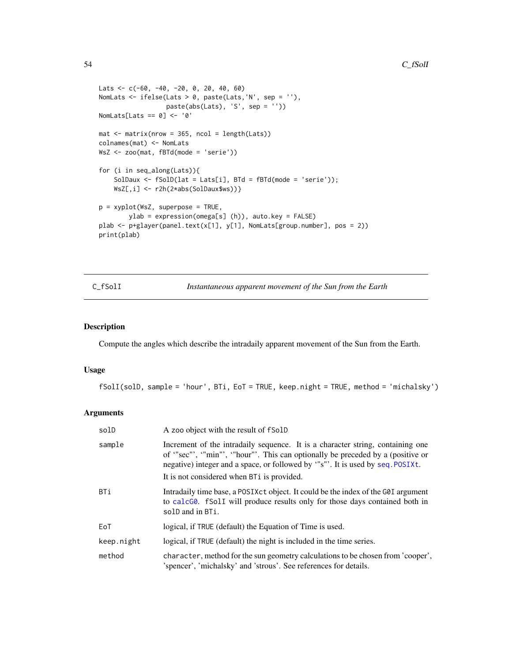```
Lats <- c(-60, -40, -20, 0, 20, 40, 60)
NomLats <- ifelse(Lats > 0, paste(Lats,'N', sep = ''),
                  paste(abs(Lats), 'S', sep = ''))
NomLats[Lats == 0] <- '0'
mat < - matrix(nrow = 365, ncol = length(Lats))colnames(mat) <- NomLats
WsZ <- zoo(mat, fBTd(mode = 'serie'))
for (i in seq_along(Lats)){
    SolDaux \leq fSolD(lat = Lats[i], BTd = fBTd(mode = 'serie'));
    WsZ[,i] <- r2h(2*abs(SolDaux$ws))}
p = xyplot(WsZ, superpose = TRUE,
       ylab = expression(omega[s] (h)), auto.key = FALSE)
plab <- p+glayer(panel.text(x[1], y[1], NomLats[group.number], pos = 2))
print(plab)
```
C\_fSolI *Instantaneous apparent movement of the Sun from the Earth*

# <span id="page-53-0"></span>Description

Compute the angles which describe the intradaily apparent movement of the Sun from the Earth.

#### Usage

fSolI(solD, sample = 'hour', BTi, EoT = TRUE, keep.night = TRUE, method = 'michalsky')

# Arguments

| solD       | A zoo object with the result of fSolD                                                                                                                                                                                                                                                           |
|------------|-------------------------------------------------------------------------------------------------------------------------------------------------------------------------------------------------------------------------------------------------------------------------------------------------|
| sample     | Increment of the intradaily sequence. It is a character string, containing one<br>of "sec"', "min"', "hour"'. This can optionally be preceded by a (positive or<br>negative) integer and a space, or followed by "s"'. It is used by seq. POSIXt.<br>It is not considered when BTi is provided. |
| BTi        | Intradaily time base, a POSIX ct object. It could be the index of the G0I argument<br>to calcG0. fSolI will produce results only for those days contained both in<br>solD and in BTi.                                                                                                           |
| EoT        | logical, if TRUE (default) the Equation of Time is used.                                                                                                                                                                                                                                        |
| keep.night | logical, if TRUE (default) the night is included in the time series.                                                                                                                                                                                                                            |
| method     | character, method for the sun geometry calculations to be chosen from 'cooper',<br>'spencer', 'michalsky' and 'strous'. See references for details.                                                                                                                                             |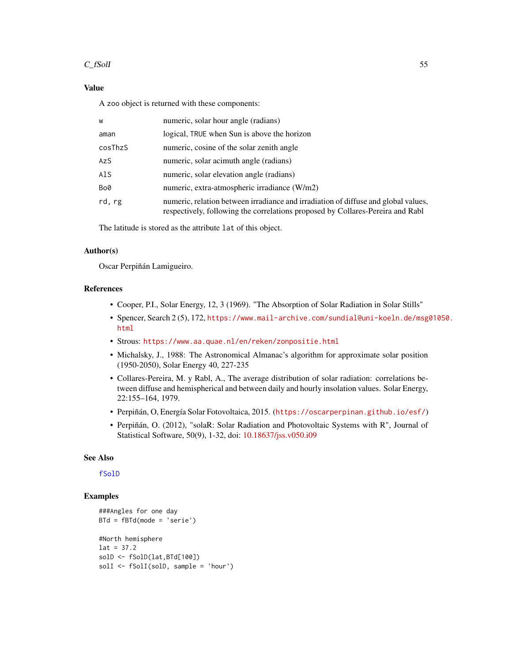## $C_fSolI$  55

# Value

A zoo object is returned with these components:

| W       | numeric, solar hour angle (radians)                                                                                                                                  |
|---------|----------------------------------------------------------------------------------------------------------------------------------------------------------------------|
| aman    | logical, TRUE when Sun is above the horizon                                                                                                                          |
| cosThzS | numeric, cosine of the solar zenith angle                                                                                                                            |
| AzS     | numeric, solar acimuth angle (radians)                                                                                                                               |
| AlS     | numeric, solar elevation angle (radians)                                                                                                                             |
| Bo0     | numeric, extra-atmospheric irradiance (W/m2)                                                                                                                         |
| rd, rg  | numeric, relation between irradiance and irradiation of diffuse and global values,<br>respectively, following the correlations proposed by Collares-Pereira and Rabl |

The latitude is stored as the attribute lat of this object.

## Author(s)

Oscar Perpiñán Lamigueiro.

# References

- Cooper, P.I., Solar Energy, 12, 3 (1969). "The Absorption of Solar Radiation in Solar Stills"
- Spencer, Search 2 (5), 172, [https://www.mail-archive.com/sundial@uni-koeln.de/msg0](https://www.mail-archive.com/sundial@uni-koeln.de/msg01050.html)1050. [html](https://www.mail-archive.com/sundial@uni-koeln.de/msg01050.html)
- Strous: <https://www.aa.quae.nl/en/reken/zonpositie.html>
- Michalsky, J., 1988: The Astronomical Almanac's algorithm for approximate solar position (1950-2050), Solar Energy 40, 227-235
- Collares-Pereira, M. y Rabl, A., The average distribution of solar radiation: correlations between diffuse and hemispherical and between daily and hourly insolation values. Solar Energy, 22:155–164, 1979.
- Perpiñán, O, Energía Solar Fotovoltaica, 2015. (<https://oscarperpinan.github.io/esf/>)
- Perpiñán, O. (2012), "solaR: Solar Radiation and Photovoltaic Systems with R", Journal of Statistical Software, 50(9), 1-32, doi: [10.18637/jss.v050.i09](https://doi.org/10.18637/jss.v050.i09)

## See Also

## [fSolD](#page-51-0)

## Examples

```
###Angles for one day
BTd = fBTd(mode = 'serie')
#North hemisphere
lat = 37.2solD <- fSolD(lat,BTd[100])
solI <- fSolI(solD, sample = 'hour')
```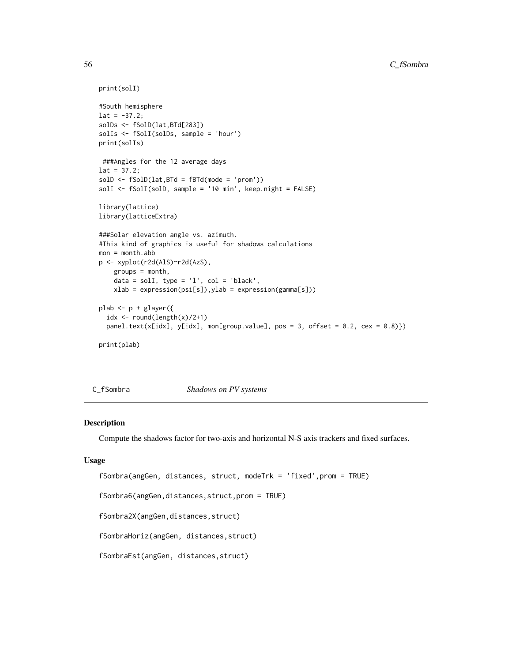```
print(solI)
#South hemisphere
lat = -37.2;solDs <- fSolD(lat,BTd[283])
solIs <- fSolI(solDs, sample = 'hour')
print(solIs)
 ###Angles for the 12 average days
lat = 37.2;
solD <- fSolD(lat,BTd = fBTd(mode = 'prom'))
solI <- fSolI(solD, sample = '10 min', keep.night = FALSE)
library(lattice)
library(latticeExtra)
###Solar elevation angle vs. azimuth.
#This kind of graphics is useful for shadows calculations
mon = month.abb
p <- xyplot(r2d(AlS)~r2d(AzS),
    groups = month,
    data = \text{solI}, type = 'l', \text{col} = 'black',
    xlab = expression(psi[s]),ylab = expression(gamma[s]))
plab <- p + glayer({
  idx \leftarrow round(length(x)/2+1)
  panel.text(x[idx], y[idx], mon[group.value], pos = 3, offset = 0.2, cex = 0.8)})
print(plab)
```
C\_fSombra *Shadows on PV systems*

#### <span id="page-55-0"></span>Description

Compute the shadows factor for two-axis and horizontal N-S axis trackers and fixed surfaces.

## Usage

```
fSombra(angGen, distances, struct, modeTrk = 'fixed',prom = TRUE)
fSombra6(angGen,distances,struct,prom = TRUE)
fSombra2X(angGen,distances,struct)
fSombraHoriz(angGen, distances,struct)
fSombraEst(angGen, distances,struct)
```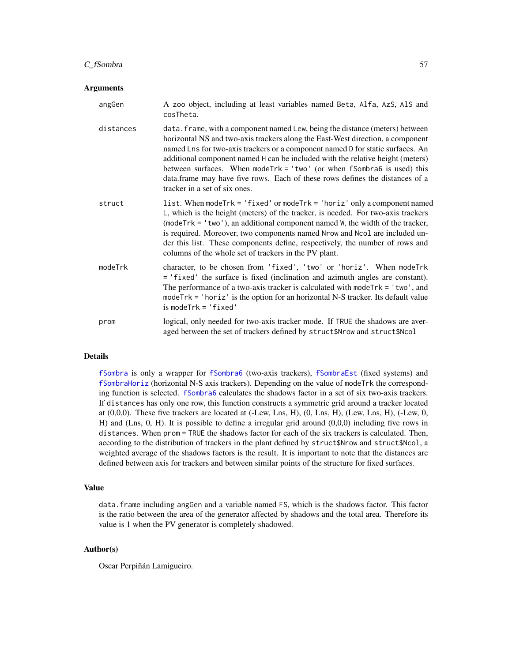## C\_fSombra 57

#### Arguments

| angGen    | A zoo object, including at least variables named Beta, Alfa, AzS, AlS and<br>cosTheta.                                                                                                                                                                                                                                                                                                                                                                                                                                           |
|-----------|----------------------------------------------------------------------------------------------------------------------------------------------------------------------------------------------------------------------------------------------------------------------------------------------------------------------------------------------------------------------------------------------------------------------------------------------------------------------------------------------------------------------------------|
| distances | data. frame, with a component named Lew, being the distance (meters) between<br>horizontal NS and two-axis trackers along the East-West direction, a component<br>named Lns for two-axis trackers or a component named D for static surfaces. An<br>additional component named H can be included with the relative height (meters)<br>between surfaces. When mode $Trk = 'two'$ (or when fSombra6 is used) this<br>data.frame may have five rows. Each of these rows defines the distances of a<br>tracker in a set of six ones. |
| struct    | list. When modeTrk = 'fixed' or modeTrk = 'horiz' only a component named<br>L, which is the height (meters) of the tracker, is needed. For two-axis trackers<br>$(moderrk = 'two')$ , an additional component named W, the width of the tracker,<br>is required. Moreover, two components named Nrow and Ncol are included un-<br>der this list. These components define, respectively, the number of rows and<br>columns of the whole set of trackers in the PV plant.                                                          |
| modeTrk   | character, to be chosen from 'fixed', 'two' or 'horiz'. When modeTrk<br>= 'fixed' the surface is fixed (inclination and azimuth angles are constant).<br>The performance of a two-axis tracker is calculated with mode $Trk = 'two',$ and<br>mode $Trk = 'horiz'$ is the option for an horizontal N-S tracker. Its default value<br>$is$ mode $Trk = 'fixed'$                                                                                                                                                                    |
| prom      | logical, only needed for two-axis tracker mode. If TRUE the shadows are aver-<br>aged between the set of trackers defined by struct\$Nrow and struct\$Ncol                                                                                                                                                                                                                                                                                                                                                                       |

#### Details

[fSombra](#page-55-0) is only a wrapper for [fSombra6](#page-55-0) (two-axis trackers), [fSombraEst](#page-55-0) (fixed systems) and [fSombraHoriz](#page-55-0) (horizontal N-S axis trackers). Depending on the value of modeTrk the corresponding function is selected. [fSombra6](#page-55-0) calculates the shadows factor in a set of six two-axis trackers. If distances has only one row, this function constructs a symmetric grid around a tracker located at (0,0,0). These five trackers are located at (-Lew, Lns, H), (0, Lns, H), (Lew, Lns, H), (-Lew, 0, H) and (Lns, 0, H). It is possible to define a irregular grid around (0,0,0) including five rows in distances. When prom = TRUE the shadows factor for each of the six trackers is calculated. Then, according to the distribution of trackers in the plant defined by struct\$Nrow and struct\$Ncol, a weighted average of the shadows factors is the result. It is important to note that the distances are defined between axis for trackers and between similar points of the structure for fixed surfaces.

# Value

data.frame including angGen and a variable named FS, which is the shadows factor. This factor is the ratio between the area of the generator affected by shadows and the total area. Therefore its value is 1 when the PV generator is completely shadowed.

## Author(s)

Oscar Perpiñán Lamigueiro.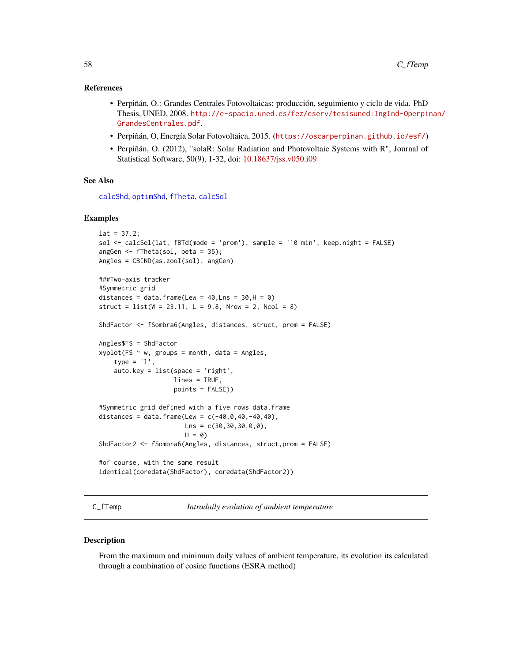## References

- Perpiñán, O.: Grandes Centrales Fotovoltaicas: producción, seguimiento y ciclo de vida. PhD Thesis, UNED, 2008. [http://e-spacio.uned.es/fez/eserv/tesisuned:IngInd-Operpi](http://e-spacio.uned.es/fez/eserv/tesisuned:IngInd-Operpinan/GrandesCentrales.pdf)nan/ [GrandesCentrales.pdf](http://e-spacio.uned.es/fez/eserv/tesisuned:IngInd-Operpinan/GrandesCentrales.pdf).
- Perpiñán, O, Energía Solar Fotovoltaica, 2015. (<https://oscarperpinan.github.io/esf/>)
- Perpiñán, O. (2012), "solaR: Solar Radiation and Photovoltaic Systems with R", Journal of Statistical Software, 50(9), 1-32, doi: [10.18637/jss.v050.i09](https://doi.org/10.18637/jss.v050.i09)

#### See Also

[calcShd](#page-20-0), [optimShd](#page-21-0), [fTheta](#page-59-0), [calcSol](#page-4-0)

## Examples

```
lat = 37.2;sol <- calcSol(lat, fBTd(mode = 'prom'), sample = '10 min', keep.night = FALSE)
angGen \leq fTheta(sol, beta = 35);
Angles = CBIND(as.zooI(sol), angGen)
###Two-axis tracker
#Symmetric grid
distances = data.frame(Lew = 40, Lns = 30, H = 0)
struct = list(W = 23.11, L = 9.8, Nrow = 2, Ncol = 8)ShdFactor <- fSombra6(Angles, distances, struct, prom = FALSE)
Angles$FS = ShdFactor
xyplot(FS ~ w, groups = month, data = Angles,type = '1',
    auto.key = list(space = 'right',
                    lines = TRUE,
                    points = FALSE))
#Symmetric grid defined with a five rows data.frame
distances = data.frame(Lew = c(-40, 0, 40, -40, 40),
                       Lns = c(30, 30, 30, 0, 0),
                       H = 0ShdFactor2 <- fSombra6(Angles, distances, struct,prom = FALSE)
#of course, with the same result
identical(coredata(ShdFactor), coredata(ShdFactor2))
```
C\_fTemp *Intradaily evolution of ambient temperature*

#### <span id="page-57-0"></span>Description

From the maximum and minimum daily values of ambient temperature, its evolution its calculated through a combination of cosine functions (ESRA method)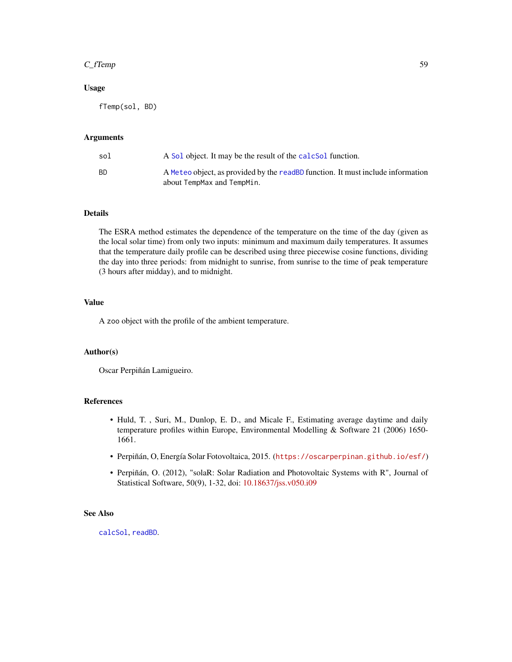## $C_f$ Temp 59

## Usage

fTemp(sol, BD)

# Arguments

| sol | A Sol object. It may be the result of the calcsol function.                                                   |
|-----|---------------------------------------------------------------------------------------------------------------|
| ВD  | A Meteo object, as provided by the readBD function. It must include information<br>about TempMax and TempMin. |

# Details

The ESRA method estimates the dependence of the temperature on the time of the day (given as the local solar time) from only two inputs: minimum and maximum daily temperatures. It assumes that the temperature daily profile can be described using three piecewise cosine functions, dividing the day into three periods: from midnight to sunrise, from sunrise to the time of peak temperature (3 hours after midday), and to midnight.

# Value

A zoo object with the profile of the ambient temperature.

#### Author(s)

Oscar Perpiñán Lamigueiro.

## References

- Huld, T. , Suri, M., Dunlop, E. D., and Micale F., Estimating average daytime and daily temperature profiles within Europe, Environmental Modelling & Software 21 (2006) 1650- 1661.
- Perpiñán, O, Energía Solar Fotovoltaica, 2015. (<https://oscarperpinan.github.io/esf/>)
- Perpiñán, O. (2012), "solaR: Solar Radiation and Photovoltaic Systems with R", Journal of Statistical Software, 50(9), 1-32, doi: [10.18637/jss.v050.i09](https://doi.org/10.18637/jss.v050.i09)

# See Also

[calcSol](#page-4-0), [readBD](#page-26-0).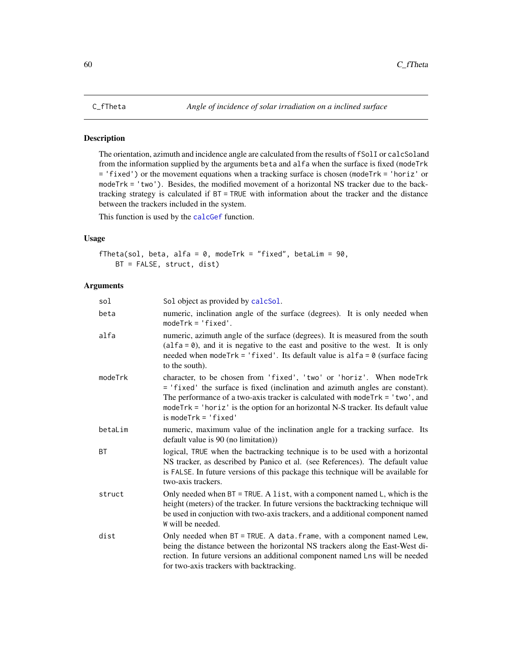# <span id="page-59-0"></span>Description

The orientation, azimuth and incidence angle are calculated from the results of fSolI or calcSoland from the information supplied by the arguments beta and alfa when the surface is fixed (modeTrk = 'fixed') or the movement equations when a tracking surface is chosen (modeTrk = 'horiz' or modeTrk = 'two'). Besides, the modified movement of a horizontal NS tracker due to the backtracking strategy is calculated if BT = TRUE with information about the tracker and the distance between the trackers included in the system.

This function is used by the [calcGef](#page-9-0) function.

# Usage

fTheta(sol, beta, alfa =  $0$ , modeTrk = "fixed", betaLim =  $90$ , BT = FALSE, struct, dist)

# Arguments

| sol     | Sol object as provided by calcSol.                                                                                                                                                                                                                                                                                                                            |
|---------|---------------------------------------------------------------------------------------------------------------------------------------------------------------------------------------------------------------------------------------------------------------------------------------------------------------------------------------------------------------|
| beta    | numeric, inclination angle of the surface (degrees). It is only needed when<br>$modelTrk = 'fixed'.$                                                                                                                                                                                                                                                          |
| alfa    | numeric, azimuth angle of the surface (degrees). It is measured from the south<br>$(alfa = 0)$ , and it is negative to the east and positive to the west. It is only<br>needed when modeTrk = 'fixed'. Its default value is $alfa = 0$ (surface facing<br>to the south).                                                                                      |
| modeTrk | character, to be chosen from 'fixed', 'two' or 'horiz'. When modeTrk<br>= 'fixed' the surface is fixed (inclination and azimuth angles are constant).<br>The performance of a two-axis tracker is calculated with mode $Trk = 'two',$ and<br>mode $Trk = 'horiz'$ is the option for an horizontal N-S tracker. Its default value<br>$is$ mode $Trk = 'fixed'$ |
| betaLim | numeric, maximum value of the inclination angle for a tracking surface. Its<br>default value is 90 (no limitation))                                                                                                                                                                                                                                           |
| BT      | logical, TRUE when the bactracking technique is to be used with a horizontal<br>NS tracker, as described by Panico et al. (see References). The default value<br>is FALSE. In future versions of this package this technique will be available for<br>two-axis trackers.                                                                                      |
| struct  | Only needed when $BT = TRUE$ . A list, with a component named L, which is the<br>height (meters) of the tracker. In future versions the backtracking technique will<br>be used in conjuction with two-axis trackers, and a additional component named<br>W will be needed.                                                                                    |
| dist    | Only needed when BT = TRUE. A data. frame, with a component named Lew,<br>being the distance between the horizontal NS trackers along the East-West di-<br>rection. In future versions an additional component named Lns will be needed<br>for two-axis trackers with backtracking.                                                                           |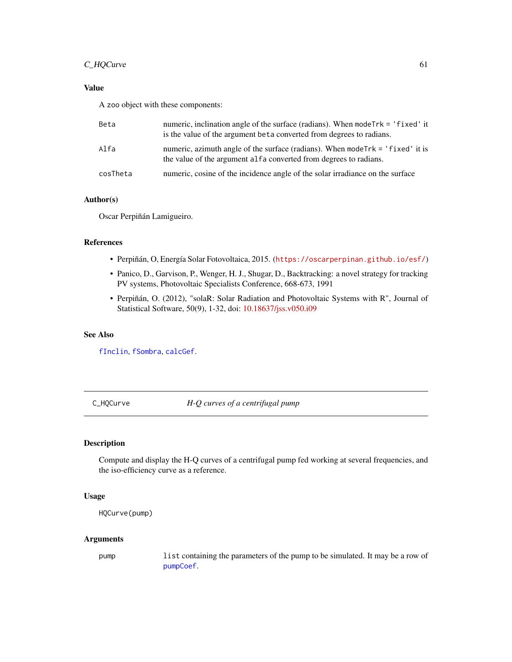# C\_HQCurve 61

# Value

A zoo object with these components:

| Beta     | numeric, inclination angle of the surface (radians). When mode Trk = 'fixed' it<br>is the value of the argument beta converted from degrees to radians. |
|----------|---------------------------------------------------------------------------------------------------------------------------------------------------------|
| Alfa     | numeric, azimuth angle of the surface (radians). When mode Trk = 'fixed' it is<br>the value of the argument alfa converted from degrees to radians.     |
| cosTheta | numeric, cosine of the incidence angle of the solar irradiance on the surface                                                                           |

# Author(s)

Oscar Perpiñán Lamigueiro.

## References

- Perpiñán, O, Energía Solar Fotovoltaica, 2015. (<https://oscarperpinan.github.io/esf/>)
- Panico, D., Garvison, P., Wenger, H. J., Shugar, D., Backtracking: a novel strategy for tracking PV systems, Photovoltaic Specialists Conference, 668-673, 1991
- Perpiñán, O. (2012), "solaR: Solar Radiation and Photovoltaic Systems with R", Journal of Statistical Software, 50(9), 1-32, doi: [10.18637/jss.v050.i09](https://doi.org/10.18637/jss.v050.i09)

# See Also

[fInclin](#page-45-0), [fSombra](#page-55-0), [calcGef](#page-9-0).

C\_HQCurve *H-Q curves of a centrifugal pump*

#### Description

Compute and display the H-Q curves of a centrifugal pump fed working at several frequencies, and the iso-efficiency curve as a reference.

## Usage

```
HQCurve(pump)
```
## Arguments

pump list containing the parameters of the pump to be simulated. It may be a row of [pumpCoef](#page-86-0).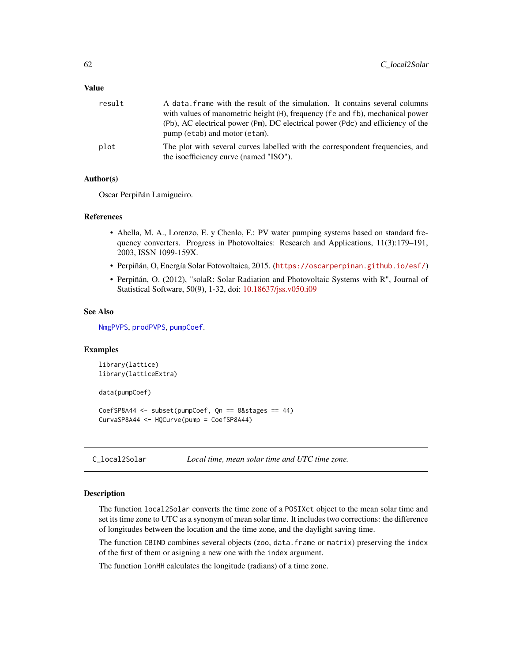# Value

| result | A data frame with the result of the simulation. It contains several columns<br>with values of manometric height (H), frequency (fe and fb), mechanical power |
|--------|--------------------------------------------------------------------------------------------------------------------------------------------------------------|
|        | (Pb), AC electrical power (Pm), DC electrical power (Pdc) and efficiency of the<br>pump (etab) and motor (etam).                                             |
| plot   | The plot with several curves labelled with the correspondent frequencies, and<br>the isoefficiency curve (named "ISO").                                      |

## Author(s)

Oscar Perpiñán Lamigueiro.

# References

- Abella, M. A., Lorenzo, E. y Chenlo, F.: PV water pumping systems based on standard frequency converters. Progress in Photovoltaics: Research and Applications, 11(3):179–191, 2003, ISSN 1099-159X.
- Perpiñán, O, Energía Solar Fotovoltaica, 2015. (<https://oscarperpinan.github.io/esf/>)
- Perpiñán, O. (2012), "solaR: Solar Radiation and Photovoltaic Systems with R", Journal of Statistical Software, 50(9), 1-32, doi: [10.18637/jss.v050.i09](https://doi.org/10.18637/jss.v050.i09)

## See Also

[NmgPVPS](#page-63-0), [prodPVPS](#page-18-0), [pumpCoef](#page-86-0).

# Examples

```
library(lattice)
library(latticeExtra)
data(pumpCoef)
CoefSP8A44 <- subset(pumpCoef, Qn == 8&stages == 44)
CurvaSP8A44 <- HQCurve(pump = CoefSP8A44)
```
C\_local2Solar *Local time, mean solar time and UTC time zone.*

## Description

The function local2Solar converts the time zone of a POSIXct object to the mean solar time and set its time zone to UTC as a synonym of mean solar time. It includes two corrections: the difference of longitudes between the location and the time zone, and the daylight saving time.

The function CBIND combines several objects (zoo, data.frame or matrix) preserving the index of the first of them or asigning a new one with the index argument.

The function lonHH calculates the longitude (radians) of a time zone.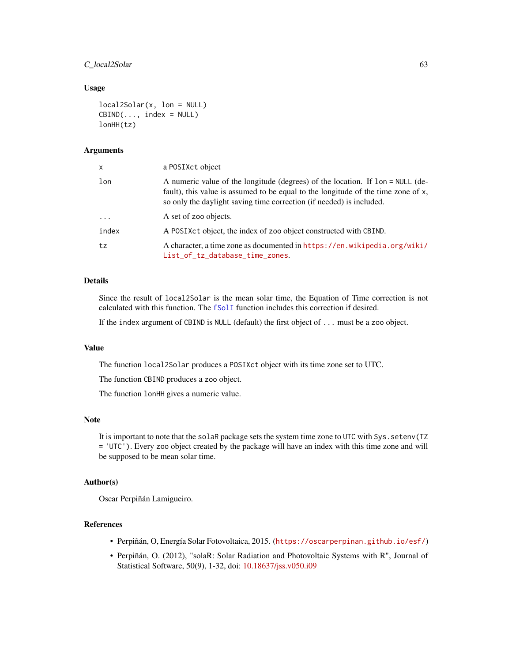# C\_local2Solar 63

#### Usage

```
local2Solar(x, lon = NULL)
CBIND(..., index = NULL)
lonHH(tz)
```
#### Arguments

| x        | a POSIXct object                                                                                                                                                                                                                                            |
|----------|-------------------------------------------------------------------------------------------------------------------------------------------------------------------------------------------------------------------------------------------------------------|
| lon      | A numeric value of the longitude (degrees) of the location. If $\text{lon} = \text{NULL}$ (de-<br>fault), this value is assumed to be equal to the longitude of the time zone of x,<br>so only the daylight saving time correction (if needed) is included. |
| $\cdots$ | A set of zoo objects.                                                                                                                                                                                                                                       |
| index    | A POSIXct object, the index of zoo object constructed with CBIND.                                                                                                                                                                                           |
| tz       | A character, a time zone as documented in https://en.wikipedia.org/wiki/<br>List_of_tz_database_time_zones.                                                                                                                                                 |

# Details

Since the result of local2Solar is the mean solar time, the Equation of Time correction is not calculated with this function. The [fSolI](#page-53-0) function includes this correction if desired.

If the index argument of CBIND is NULL (default) the first object of ... must be a zoo object.

#### Value

The function local2Solar produces a POSIXct object with its time zone set to UTC.

The function CBIND produces a zoo object.

The function lonHH gives a numeric value.

# Note

It is important to note that the solaR package sets the system time zone to UTC with Sys.setenv(TZ = 'UTC'). Every zoo object created by the package will have an index with this time zone and will be supposed to be mean solar time.

# Author(s)

Oscar Perpiñán Lamigueiro.

#### References

- Perpiñán, O, Energía Solar Fotovoltaica, 2015. (<https://oscarperpinan.github.io/esf/>)
- Perpiñán, O. (2012), "solaR: Solar Radiation and Photovoltaic Systems with R", Journal of Statistical Software, 50(9), 1-32, doi: [10.18637/jss.v050.i09](https://doi.org/10.18637/jss.v050.i09)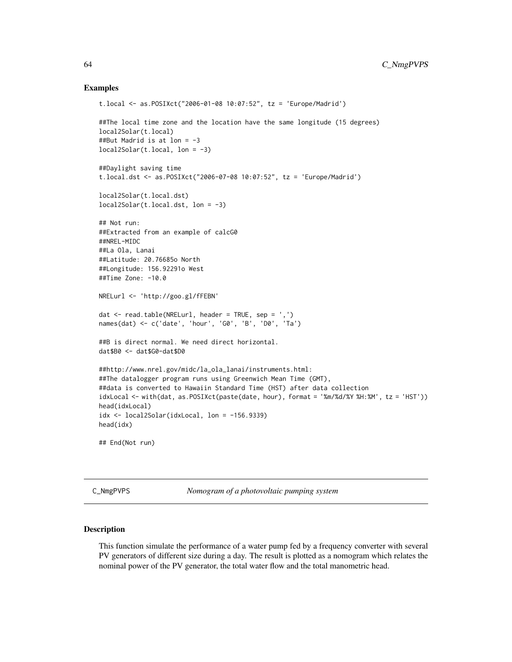#### Examples

```
t.local <- as.POSIXct("2006-01-08 10:07:52", tz = 'Europe/Madrid')
##The local time zone and the location have the same longitude (15 degrees)
local2Solar(t.local)
##But Madrid is at lon = -3
local2Solar(t.load, lon = -3)##Daylight saving time
t.local.dst <- as.POSIXct("2006-07-08 10:07:52", tz = 'Europe/Madrid')
local2Solar(t.local.dst)
local2Solar(t.load.dst, lon = -3)## Not run:
##Extracted from an example of calcG0
##NREL-MIDC
##La Ola, Lanai
##Latitude: 20.76685o North
##Longitude: 156.92291o West
##Time Zone: -10.0
NRELurl <- 'http://goo.gl/fFEBN'
dat <- read.table(NRELurl, header = TRUE, sep = ',')
names(dat) <- c('date', 'hour', 'G0', 'B', 'D0', 'Ta')
##B is direct normal. We need direct horizontal.
dat$B0 <- dat$G0-dat$D0
##http://www.nrel.gov/midc/la_ola_lanai/instruments.html:
##The datalogger program runs using Greenwich Mean Time (GMT),
##data is converted to Hawaiin Standard Time (HST) after data collection
idxLocal <- with(dat, as.POSIXct(paste(date, hour), format = '%m/%d/%Y %H:%M', tz = 'HST'))
head(idxLocal)
idx <- local2Solar(idxLocal, lon = -156.9339)
head(idx)
## End(Not run)
```
C\_NmgPVPS *Nomogram of a photovoltaic pumping system*

#### <span id="page-63-0"></span>**Description**

This function simulate the performance of a water pump fed by a frequency converter with several PV generators of different size during a day. The result is plotted as a nomogram which relates the nominal power of the PV generator, the total water flow and the total manometric head.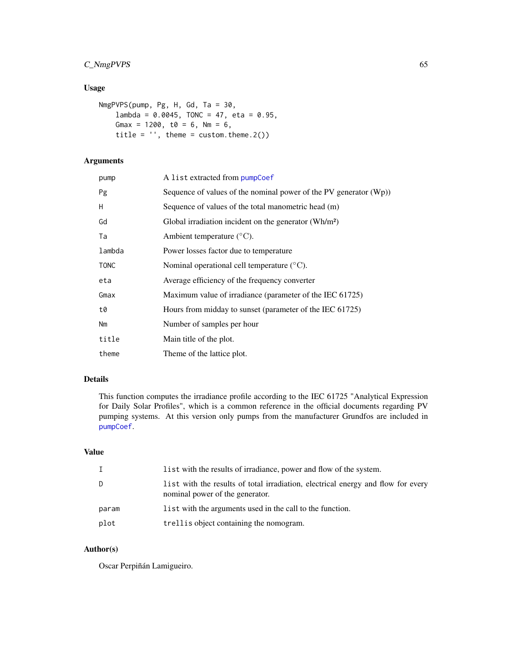# C\_NmgPVPS 65

# Usage

```
NmgPVPS(pump, Pg, H, Gd, Ta = 30,
   lambda = 0.0045, TONC = 47, eta = 0.95,
   Gmax = 1200, t0 = 6, Nm = 6,
   title = ', theme = custom.theme.2())
```
# Arguments

| pump        | A list extracted from pumpCoef                                       |
|-------------|----------------------------------------------------------------------|
| Pg          | Sequence of values of the nominal power of the PV generator $(Wp)$ ) |
| H           | Sequence of values of the total manometric head (m)                  |
| Gd          | Global irradiation incident on the generator $(\text{Wh/m}^2)$       |
| Ta          | Ambient temperature $(^{\circ}C)$ .                                  |
| lambda      | Power losses factor due to temperature                               |
| <b>TONC</b> | Nominal operational cell temperature $(^{\circ}C)$ .                 |
| eta         | Average efficiency of the frequency converter                        |
| Gmax        | Maximum value of irradiance (parameter of the IEC 61725)             |
| t0          | Hours from midday to sunset (parameter of the IEC 61725)             |
| Nm          | Number of samples per hour                                           |
| title       | Main title of the plot.                                              |
| theme       | Theme of the lattice plot.                                           |
|             |                                                                      |

## Details

This function computes the irradiance profile according to the IEC 61725 "Analytical Expression for Daily Solar Profiles", which is a common reference in the official documents regarding PV pumping systems. At this version only pumps from the manufacturer Grundfos are included in [pumpCoef](#page-86-0).

## Value

| Ι.    | list with the results of irradiance, power and flow of the system.                                                  |
|-------|---------------------------------------------------------------------------------------------------------------------|
| D     | list with the results of total irradiation, electrical energy and flow for every<br>nominal power of the generator. |
| param | list with the arguments used in the call to the function.                                                           |
| plot  | trellis object containing the nomogram.                                                                             |

# Author(s)

Oscar Perpiñán Lamigueiro.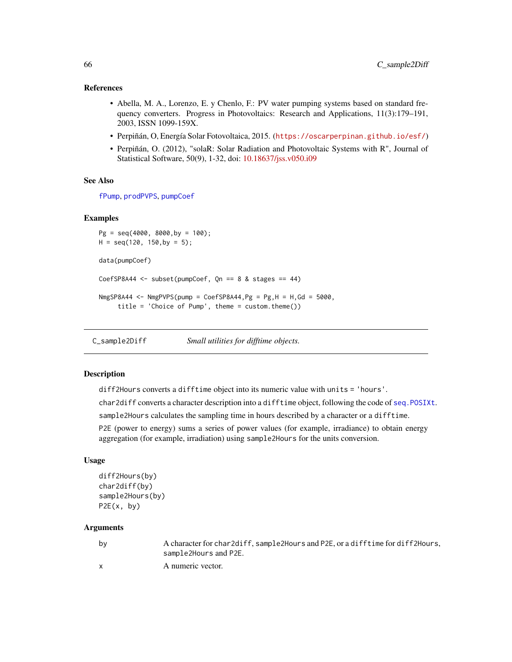## References

- Abella, M. A., Lorenzo, E. y Chenlo, F.: PV water pumping systems based on standard frequency converters. Progress in Photovoltaics: Research and Applications, 11(3):179–191, 2003, ISSN 1099-159X.
- Perpiñán, O, Energía Solar Fotovoltaica, 2015. (<https://oscarperpinan.github.io/esf/>)
- Perpiñán, O. (2012), "solaR: Solar Radiation and Photovoltaic Systems with R", Journal of Statistical Software, 50(9), 1-32, doi: [10.18637/jss.v050.i09](https://doi.org/10.18637/jss.v050.i09)

#### See Also

[fPump](#page-49-0), [prodPVPS](#page-18-0), [pumpCoef](#page-86-0)

#### Examples

```
Pg = seq(4000, 8000,by = 100);
H = seq(120, 150, by = 5);data(pumpCoef)
CoefSP8A44 \le subset(pumpCoef, Qn == 8 & stages == 44)
NmgSP8A44 <- NmgPVPS(pump = CoefSP8A44, Pg = Pg, H = H, Gd = 5000,
     title = 'Choice of Pump', theme = custom.theme())
```
C\_sample2Diff *Small utilities for difftime objects.*

#### Description

diff2Hours converts a difftime object into its numeric value with units = 'hours'.

char2diff converts a character description into a difftime object, following the code of [seq.POSIXt](#page-0-0).

sample2Hours calculates the sampling time in hours described by a character or a difftime.

P2E (power to energy) sums a series of power values (for example, irradiance) to obtain energy aggregation (for example, irradiation) using sample2Hours for the units conversion.

# Usage

```
diff2Hours(by)
char2diff(by)
sample2Hours(by)
P2E(x, by)
```
#### Arguments

| by | A character for char2diff, sample2Hours and P2E, or a difftime for diff2Hours, |
|----|--------------------------------------------------------------------------------|
|    | sample2Hours and P2E.                                                          |
|    | A numeric vector.                                                              |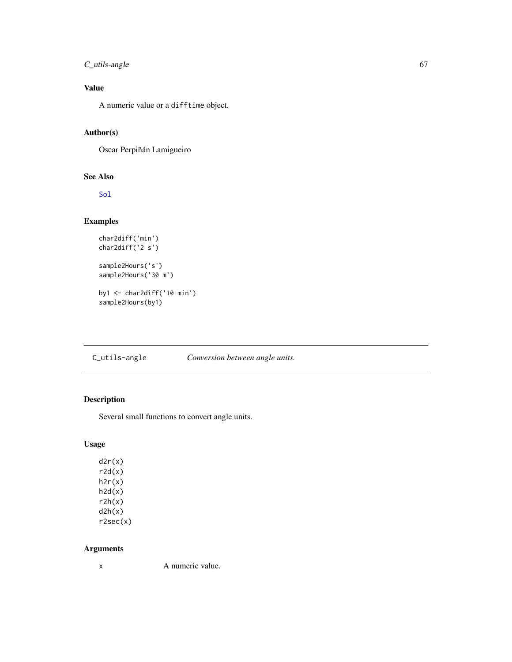# C\_utils-angle 67

# Value

A numeric value or a difftime object.

## Author(s)

Oscar Perpiñán Lamigueiro

# See Also

[Sol](#page-30-0)

# Examples

```
char2diff('min')
char2diff('2 s')
sample2Hours('s')
sample2Hours('30 m')
```
by1 <- char2diff('10 min') sample2Hours(by1)

# C\_utils-angle *Conversion between angle units.*

# Description

Several small functions to convert angle units.

# Usage

 $d2r(x)$  $r2d(x)$  $h2r(x)$  $h2d(x)$  $r2h(x)$  $d2h(x)$ r2sec(x)

## Arguments

x A numeric value.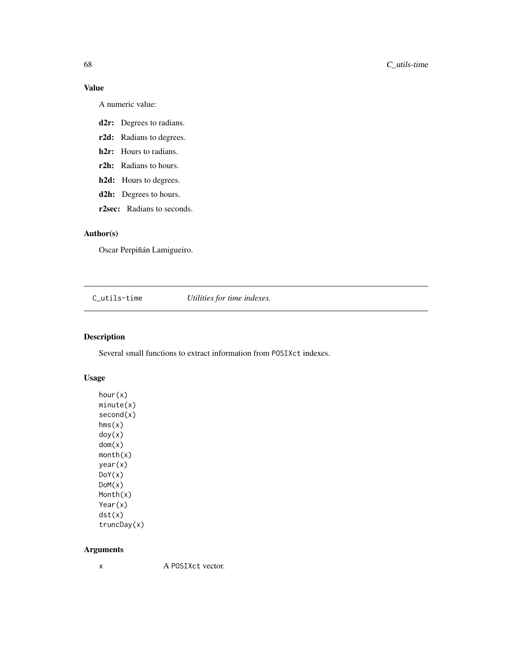# Value

A numeric value:

- d2r: Degrees to radians.
- r2d: Radians to degrees.
- h2r: Hours to radians.
- r2h: Radians to hours.
- h2d: Hours to degrees.
- d2h: Degrees to hours.

r2sec: Radians to seconds.

# Author(s)

Oscar Perpiñán Lamigueiro.

C\_utils-time *Utilities for time indexes.*

# Description

Several small functions to extract information from POSIXct indexes.

# Usage

hour(x) minute(x) second(x) hms(x) doy(x) dom(x) month(x) year(x) DoY(x) DoM(x) Month(x) Year(x) dst(x) truncDay(x)

# Arguments

x A POSIXct vector.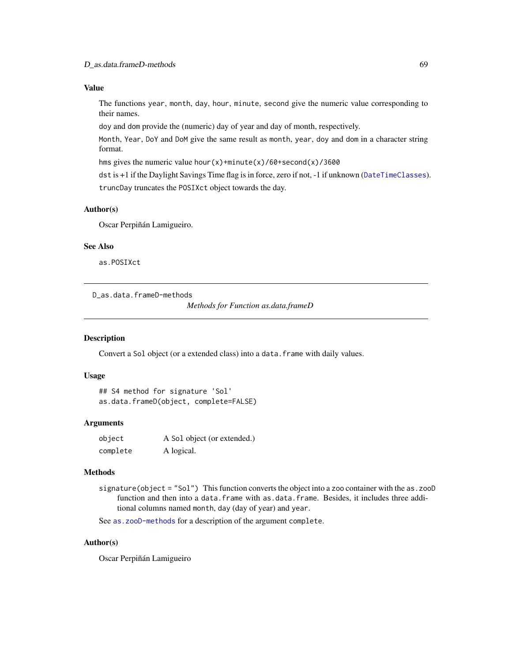# Value

The functions year, month, day, hour, minute, second give the numeric value corresponding to their names.

doy and dom provide the (numeric) day of year and day of month, respectively.

Month, Year, DoY and DoM give the same result as month, year, doy and dom in a character string format.

hms gives the numeric value hour(x)+minute(x)/60+second(x)/3600

dst is +1 if the Daylight Savings Time flag is in force, zero if not, -1 if unknown ([DateTimeClasses](#page-0-0)). truncDay truncates the POSIXct object towards the day.

## Author(s)

Oscar Perpiñán Lamigueiro.

#### See Also

as.POSIXct

D\_as.data.frameD-methods

*Methods for Function as.data.frameD*

#### Description

Convert a Sol object (or a extended class) into a data. frame with daily values.

## Usage

```
## S4 method for signature 'Sol'
as.data.frameD(object, complete=FALSE)
```
#### Arguments

| object   | A Sol object (or extended.) |
|----------|-----------------------------|
| complete | A logical.                  |

#### Methods

signature(object = "Sol") This function converts the object into a zoo container with the as.zooD function and then into a data.frame with as.data.frame. Besides, it includes three additional columns named month, day (day of year) and year.

See [as.zooD-methods](#page-71-0) for a description of the argument complete.

## Author(s)

Oscar Perpiñán Lamigueiro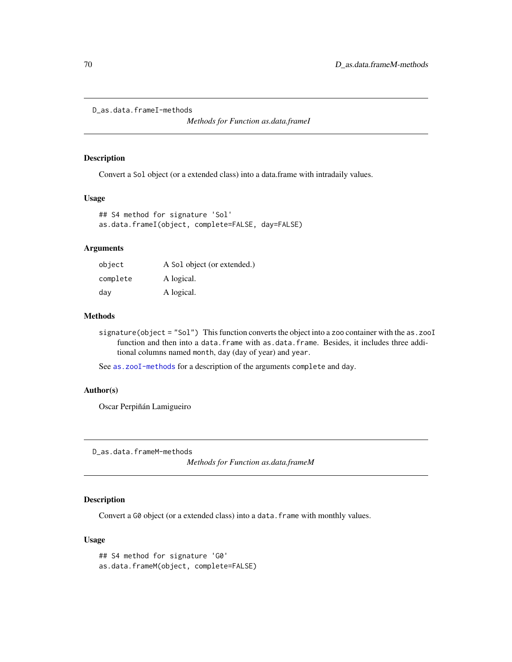```
D_as.data.frameI-methods
```
*Methods for Function as.data.frameI*

#### Description

Convert a Sol object (or a extended class) into a data.frame with intradaily values.

## Usage

```
## S4 method for signature 'Sol'
as.data.frameI(object, complete=FALSE, day=FALSE)
```
#### Arguments

| object   | A Sol object (or extended.) |
|----------|-----------------------------|
| complete | A logical.                  |
| day      | A logical.                  |

# Methods

signature(object = "Sol") This function converts the object into a zoo container with the as.zooI function and then into a data.frame with as.data.frame. Besides, it includes three additional columns named month, day (day of year) and year.

See [as.zooI-methods](#page-72-0) for a description of the arguments complete and day.

## Author(s)

Oscar Perpiñán Lamigueiro

D\_as.data.frameM-methods

*Methods for Function as.data.frameM*

# Description

Convert a G0 object (or a extended class) into a data. frame with monthly values.

## Usage

## S4 method for signature 'G0' as.data.frameM(object, complete=FALSE)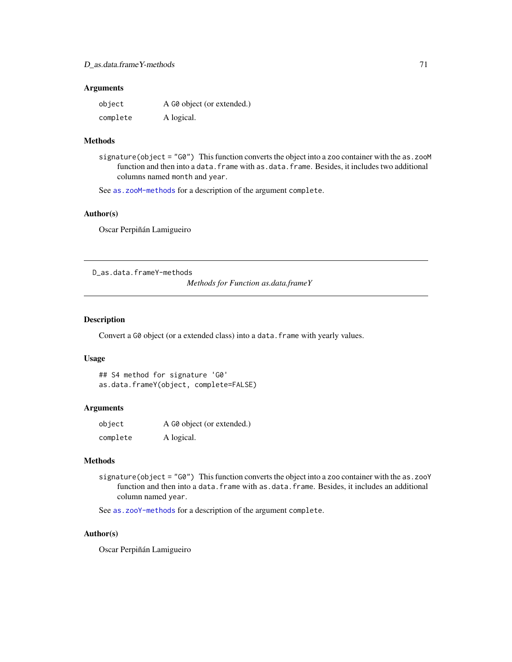#### **Arguments**

| object   | A G0 object (or extended.) |
|----------|----------------------------|
| complete | A logical.                 |

## Methods

signature(object = "G0") This function converts the object into a zoo container with the as.zooM function and then into a data.frame with as.data.frame. Besides, it includes two additional columns named month and year.

See [as.zooM-methods](#page-73-0) for a description of the argument complete.

#### Author(s)

Oscar Perpiñán Lamigueiro

D\_as.data.frameY-methods

*Methods for Function as.data.frameY*

#### Description

Convert a G0 object (or a extended class) into a data. frame with yearly values.

# Usage

## S4 method for signature 'G0' as.data.frameY(object, complete=FALSE)

## Arguments

| object   | A G0 object (or extended.) |
|----------|----------------------------|
| complete | A logical.                 |

# Methods

signature(object = "G0") This function converts the object into a zoo container with the as.zooY function and then into a data.frame with as.data.frame. Besides, it includes an additional column named year.

See [as.zooY-methods](#page-73-1) for a description of the argument complete.

#### Author(s)

Oscar Perpiñán Lamigueiro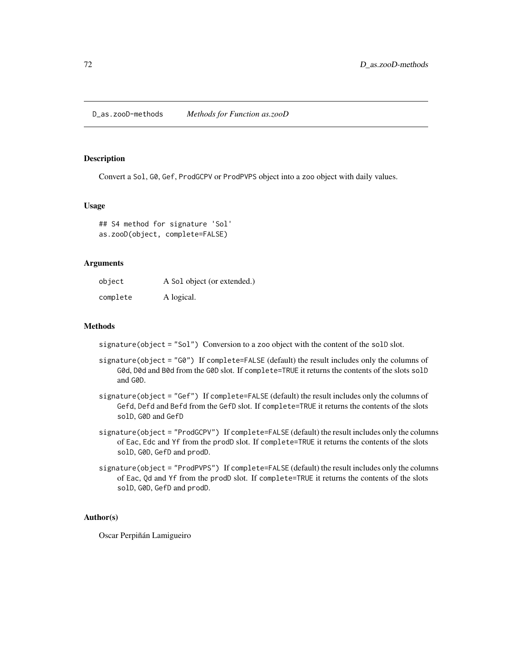D\_as.zooD-methods *Methods for Function as.zooD*

#### <span id="page-71-0"></span>Description

Convert a Sol, G0, Gef, ProdGCPV or ProdPVPS object into a zoo object with daily values.

# Usage

## S4 method for signature 'Sol' as.zooD(object, complete=FALSE)

#### Arguments

| object   | A Sol object (or extended.) |
|----------|-----------------------------|
| complete | A logical.                  |

# Methods

signature(object = "Sol") Conversion to a zoo object with the content of the solD slot.

- signature(object = "G0") If complete=FALSE (default) the result includes only the columns of G0d, D0d and B0d from the G0D slot. If complete=TRUE it returns the contents of the slots solD and G0D.
- signature(object = "Gef") If complete=FALSE (default) the result includes only the columns of Gefd, Defd and Befd from the GefD slot. If complete=TRUE it returns the contents of the slots solD, G0D and GefD
- signature(object = "ProdGCPV") If complete=FALSE (default) the result includes only the columns of Eac, Edc and Yf from the prodD slot. If complete=TRUE it returns the contents of the slots solD, G0D, GefD and prodD.
- signature(object = "ProdPVPS") If complete=FALSE (default) the result includes only the columns of Eac, Qd and Yf from the prodD slot. If complete=TRUE it returns the contents of the slots solD, G0D, GefD and prodD.

# Author(s)

Oscar Perpiñán Lamigueiro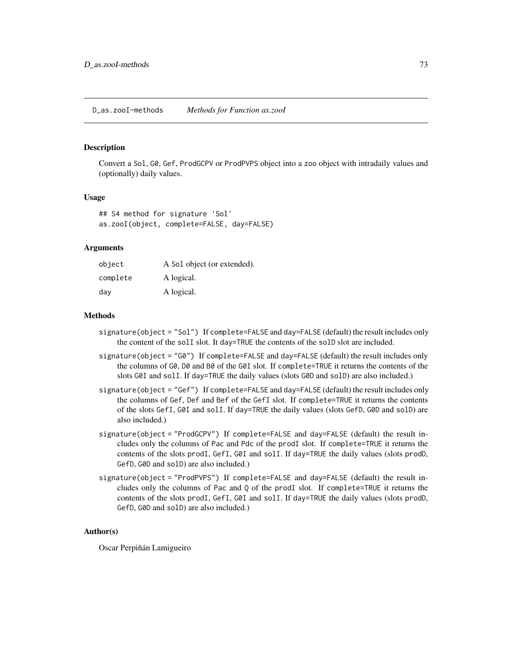### <span id="page-72-1"></span><span id="page-72-0"></span>Description

Convert a Sol, G0, Gef, ProdGCPV or ProdPVPS object into a zoo object with intradaily values and (optionally) daily values.

# Usage

```
## S4 method for signature 'Sol'
as.zooI(object, complete=FALSE, day=FALSE)
```
# **Arguments**

| object   | A Sol object (or extended). |
|----------|-----------------------------|
| complete | A logical.                  |
| day      | A logical.                  |

#### Methods

- signature(object = "Sol") If complete=FALSE and day=FALSE (default) the result includes only the content of the solI slot. It day=TRUE the contents of the solD slot are included.
- signature(object = "G0") If complete=FALSE and day=FALSE (default) the result includes only the columns of G0, D0 and B0 of the G0I slot. If complete=TRUE it returns the contents of the slots G0I and solI. If day=TRUE the daily values (slots G0D and solD) are also included.)
- signature(object = "Gef") If complete=FALSE and day=FALSE (default) the result includes only the columns of Gef, Def and Bef of the GefI slot. If complete=TRUE it returns the contents of the slots GefI, G0I and solI. If day=TRUE the daily values (slots GefD, G0D and solD) are also included.)
- signature(object = "ProdGCPV") If complete=FALSE and day=FALSE (default) the result includes only the columns of Pac and Pdc of the prodI slot. If complete=TRUE it returns the contents of the slots prodI, GefI, G0I and solI. If day=TRUE the daily values (slots prodD, GefD, G0D and solD) are also included.)
- signature(object = "ProdPVPS") If complete=FALSE and day=FALSE (default) the result includes only the columns of Pac and Q of the prodI slot. If complete=TRUE it returns the contents of the slots prodI, GefI, G0I and solI. If day=TRUE the daily values (slots prodD, GefD, G0D and solD) are also included.)

#### Author(s)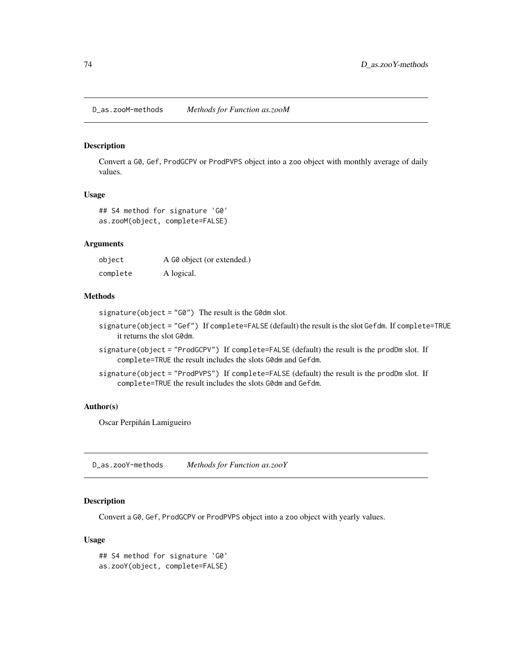<span id="page-73-2"></span>D\_as.zooM-methods *Methods for Function as.zooM*

#### <span id="page-73-0"></span>Description

Convert a G0, Gef, ProdGCPV or ProdPVPS object into a zoo object with monthly average of daily values.

# Usage

## S4 method for signature 'G0' as.zooM(object, complete=FALSE)

# Arguments

| object   | A G0 object (or extended.) |
|----------|----------------------------|
| complete | A logical.                 |

# Methods

signature(object = "G0") The result is the G0dm slot.

- signature(object = "Gef") If complete=FALSE (default) the result is the slot Gefdm. If complete=TRUE it returns the slot G0dm.
- signature(object = "ProdGCPV") If complete=FALSE (default) the result is the prodDm slot. If complete=TRUE the result includes the slots G0dm and Gefdm.
- signature(object = "ProdPVPS") If complete=FALSE (default) the result is the prodDm slot. If complete=TRUE the result includes the slots G0dm and Gefdm.

#### Author(s)

Oscar Perpiñán Lamigueiro

D\_as.zooY-methods *Methods for Function as.zooY*

# <span id="page-73-1"></span>Description

Convert a G0, Gef, ProdGCPV or ProdPVPS object into a zoo object with yearly values.

### Usage

```
## S4 method for signature 'G0'
as.zooY(object, complete=FALSE)
```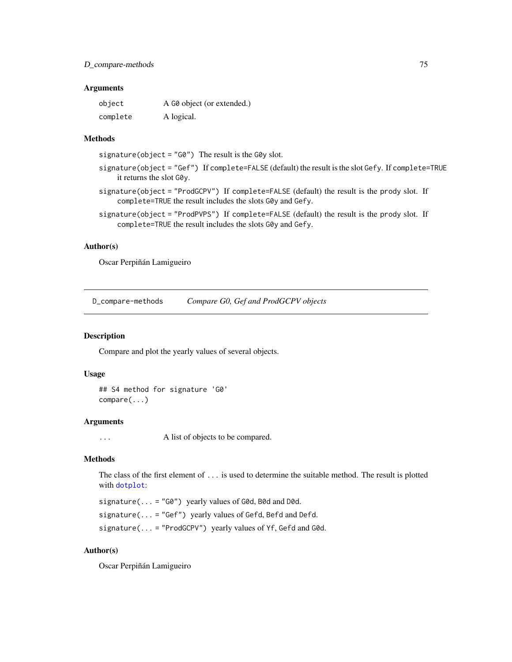#### <span id="page-74-0"></span>**Arguments**

| object   | A G0 object (or extended.) |
|----------|----------------------------|
| complete | A logical.                 |

# Methods

signature(object = "G0") The result is the G0y slot.

- signature(object = "Gef") If complete=FALSE (default) the result is the slot Gefy. If complete=TRUE it returns the slot G0y.
- signature(object = "ProdGCPV") If complete=FALSE (default) the result is the prody slot. If complete=TRUE the result includes the slots G0y and Gefy.
- signature(object = "ProdPVPS") If complete=FALSE (default) the result is the prody slot. If complete=TRUE the result includes the slots G0y and Gefy.

## Author(s)

Oscar Perpiñán Lamigueiro

D\_compare-methods *Compare G0, Gef and ProdGCPV objects*

# Description

Compare and plot the yearly values of several objects.

#### Usage

```
## S4 method for signature 'G0'
compare(...)
```
# Arguments

... A list of objects to be compared.

# Methods

The class of the first element of ... is used to determine the suitable method. The result is plotted with [dotplot](#page-0-0):

signature( $\ldots$  = "G0") yearly values of G0d, B0d and D0d.

signature(... = "Gef") yearly values of Gefd, Befd and Defd.

signature(... = "ProdGCPV") yearly values of Yf, Gefd and G0d.

# Author(s)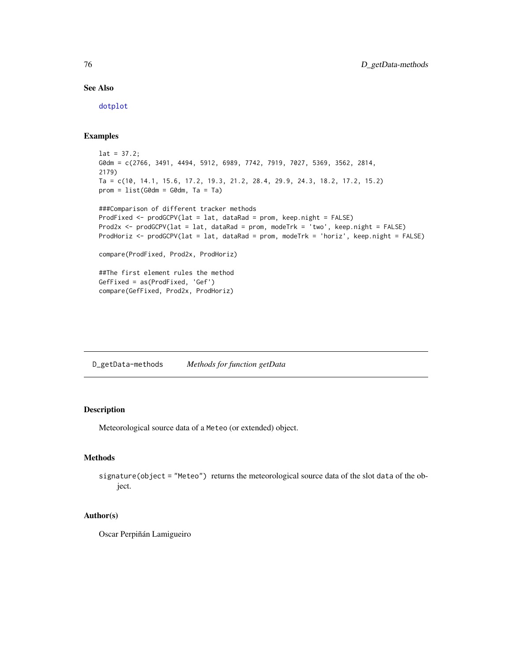# See Also

[dotplot](#page-0-0)

# Examples

```
lat = 37.2;G0dm = c(2766, 3491, 4494, 5912, 6989, 7742, 7919, 7027, 5369, 3562, 2814,
2179)
Ta = c(10, 14.1, 15.6, 17.2, 19.3, 21.2, 28.4, 29.9, 24.3, 18.2, 17.2, 15.2)
prom = list(G0dm = G0dm, Ta = Ta)###Comparison of different tracker methods
ProdFixed <- prodGCPV(lat = lat, dataRad = prom, keep.night = FALSE)
Prod2x <- prodGCPV(lat = lat, dataRad = prom, modeTrk = 'two', keep.night = FALSE)
ProdHoriz <- prodGCPV(lat = lat, dataRad = prom, modeTrk = 'horiz', keep.night = FALSE)
compare(ProdFixed, Prod2x, ProdHoriz)
##The first element rules the method
GefFixed = as(ProdFixed, 'Gef')
compare(GefFixed, Prod2x, ProdHoriz)
```
D\_getData-methods *Methods for function getData*

# Description

Meteorological source data of a Meteo (or extended) object.

# Methods

```
signature(object = "Meteo") returns the meteorological source data of the slot data of the ob-
     ject.
```
## Author(s)

<span id="page-75-0"></span>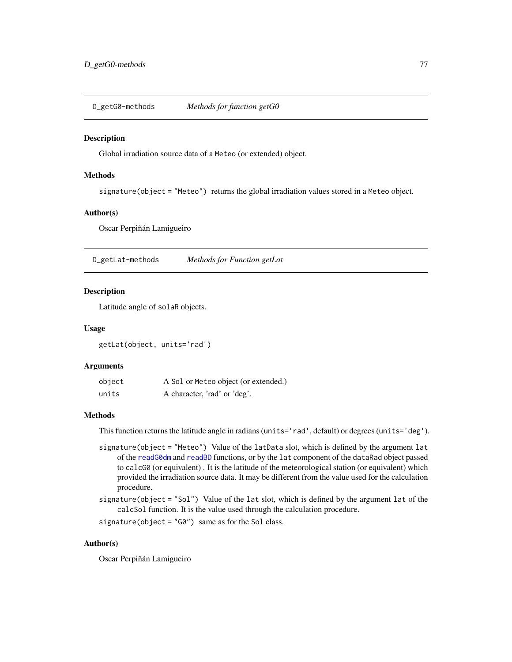<span id="page-76-0"></span>D\_getG0-methods *Methods for function getG0*

#### Description

Global irradiation source data of a Meteo (or extended) object.

# Methods

signature(object = "Meteo") returns the global irradiation values stored in a Meteo object.

#### Author(s)

Oscar Perpiñán Lamigueiro

D\_getLat-methods *Methods for Function getLat*

#### Description

Latitude angle of solaR objects.

#### Usage

getLat(object, units='rad')

# Arguments

| object | A Sol or Meteo object (or extended.) |
|--------|--------------------------------------|
| units  | A character, 'rad' or 'deg'.         |

# Methods

This function returns the latitude angle in radians (units='rad', default) or degrees (units='deg').

- signature(object = "Meteo") Value of the latData slot, which is defined by the argument lat of the [readG0dm](#page-28-0) and [readBD](#page-26-0) functions, or by the lat component of the dataRad object passed to calcG0 (or equivalent) . It is the latitude of the meteorological station (or equivalent) which provided the irradiation source data. It may be different from the value used for the calculation procedure.
- signature(object = "Sol") Value of the lat slot, which is defined by the argument lat of the calcSol function. It is the value used through the calculation procedure.

signature(object =  $"G0"$ ) same as for the Sol class.

# Author(s)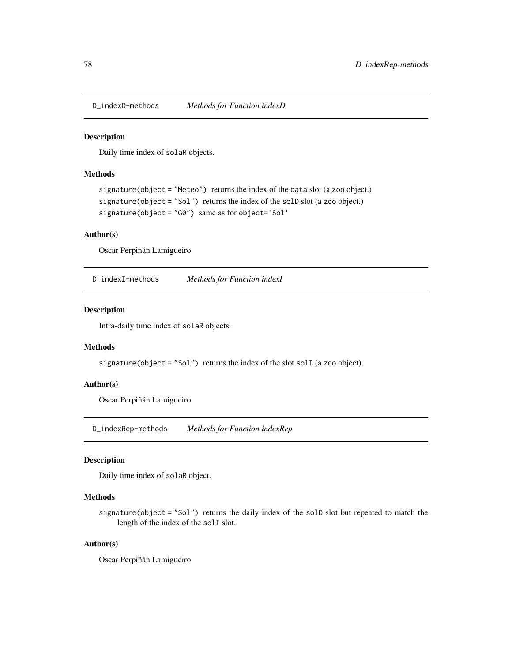<span id="page-77-1"></span>D\_indexD-methods *Methods for Function indexD*

# <span id="page-77-0"></span>Description

Daily time index of solaR objects.

# Methods

```
signature(object = "Meteo") returns the index of the data slot (a zoo object.)
signature(object = "Sol") returns the index of the solD slot (a zoo object.)
signature(object = "G0") same as for object='Sol'
```
# Author(s)

Oscar Perpiñán Lamigueiro

D\_indexI-methods *Methods for Function indexI*

# Description

Intra-daily time index of solaR objects.

# Methods

signature(object = "Sol") returns the index of the slot solI (a zoo object).

# Author(s)

Oscar Perpiñán Lamigueiro

D\_indexRep-methods *Methods for Function indexRep*

# Description

Daily time index of solaR object.

# **Methods**

signature(object = "Sol") returns the daily index of the solD slot but repeated to match the length of the index of the solI slot.

# Author(s)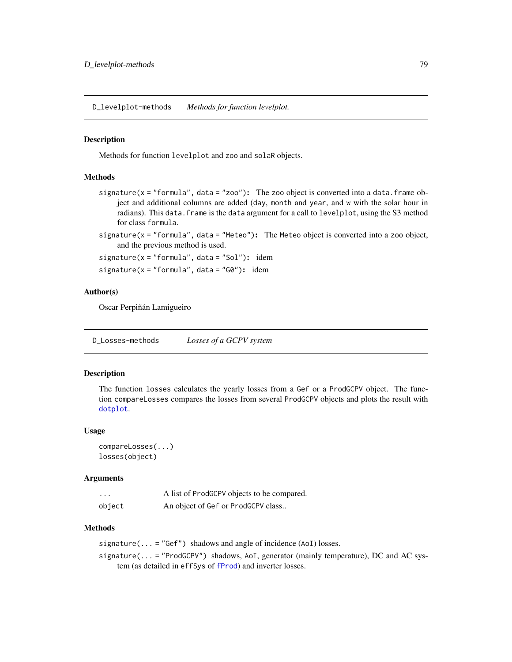<span id="page-78-0"></span>D\_levelplot-methods *Methods for function levelplot.*

#### **Description**

Methods for function levelplot and zoo and solaR objects.

#### Methods

signature( $x =$  "formula", data = "zoo"): The zoo object is converted into a data.frame object and additional columns are added (day, month and year, and w with the solar hour in radians). This data.frame is the data argument for a call to levelplot, using the S3 method for class formula.

signature( $x =$  "formula", data = "Meteo"): The Meteo object is converted into a zoo object, and the previous method is used.

signature(x = "formula", data = "Sol"): idem

signature( $x =$ "formula", data = "G0"): idem

# Author(s)

Oscar Perpiñán Lamigueiro

D\_Losses-methods *Losses of a GCPV system*

#### Description

The function losses calculates the yearly losses from a Gef or a ProdGCPV object. The function compareLosses compares the losses from several ProdGCPV objects and plots the result with [dotplot](#page-0-0).

#### Usage

```
compareLosses(...)
losses(object)
```
#### Arguments

| $\cdots$ | A list of ProdGCPV objects to be compared. |
|----------|--------------------------------------------|
| object   | An object of Gef or ProdGCPV class         |

#### Methods

signature(... = "Gef") shadows and angle of incidence  $(AoI)$  losses.

signature(... = "ProdGCPV") shadows, AoI, generator (mainly temperature), DC and AC system (as detailed in effSys of [fProd](#page-47-0)) and inverter losses.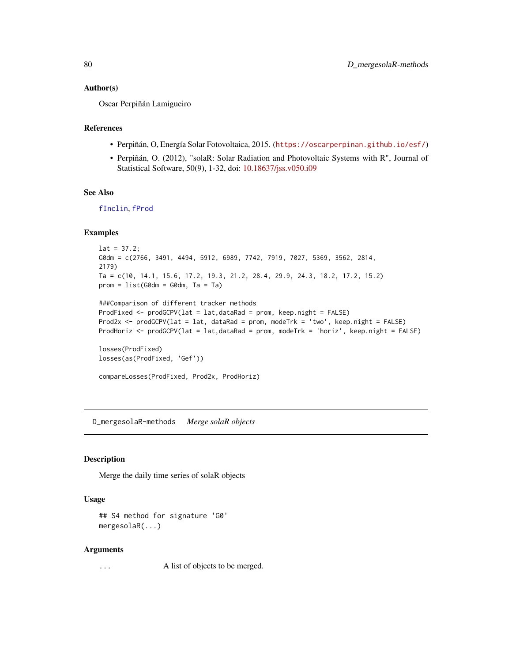#### <span id="page-79-0"></span>Author(s)

Oscar Perpiñán Lamigueiro

# References

- Perpiñán, O, Energía Solar Fotovoltaica, 2015. (<https://oscarperpinan.github.io/esf/>)
- Perpiñán, O. (2012), "solaR: Solar Radiation and Photovoltaic Systems with R", Journal of Statistical Software, 50(9), 1-32, doi: [10.18637/jss.v050.i09](https://doi.org/10.18637/jss.v050.i09)

# See Also

[fInclin](#page-45-0), [fProd](#page-47-0)

## Examples

```
lat = 37.2;G0dm = c(2766, 3491, 4494, 5912, 6989, 7742, 7919, 7027, 5369, 3562, 2814,
2179)
Ta = c(10, 14.1, 15.6, 17.2, 19.3, 21.2, 28.4, 29.9, 24.3, 18.2, 17.2, 15.2)
prom = list(G0dm = G0dm, Ta = Ta)###Comparison of different tracker methods
ProdFixed <- prodGCPV(lat = lat,dataRad = prom, keep.night = FALSE)
Prod2x <- prodGCPV(lat = lat, dataRad = prom, modeTrk = 'two', keep.night = FALSE)
ProdHoriz <- prodGCPV(lat = lat,dataRad = prom, modeTrk = 'horiz', keep.night = FALSE)
losses(ProdFixed)
losses(as(ProdFixed, 'Gef'))
compareLosses(ProdFixed, Prod2x, ProdHoriz)
```
D\_mergesolaR-methods *Merge solaR objects*

# Description

Merge the daily time series of solaR objects

#### Usage

```
## S4 method for signature 'G0'
mergesolaR(...)
```
#### Arguments

... A list of objects to be merged.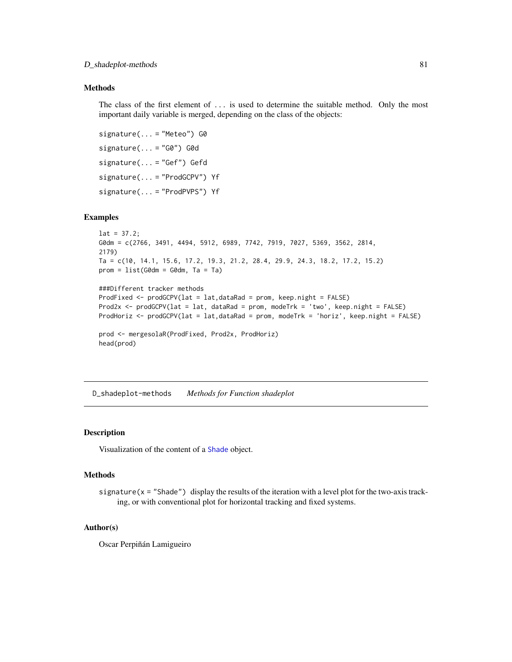# <span id="page-80-0"></span>Methods

The class of the first element of ... is used to determine the suitable method. Only the most important daily variable is merged, depending on the class of the objects:

signature(... = "Meteo") G0 signature(... = "G0") G0d signature(... = "Gef") Gefd signature(... = "ProdGCPV") Yf signature(... = "ProdPVPS") Yf

# Examples

```
lat = 37.2;
G0dm = c(2766, 3491, 4494, 5912, 6989, 7742, 7919, 7027, 5369, 3562, 2814,
2179)
Ta = c(10, 14.1, 15.6, 17.2, 19.3, 21.2, 28.4, 29.9, 24.3, 18.2, 17.2, 15.2)
prom = list(G0dm = G0dm, Ta = Ta)###Different tracker methods
ProdFixed <- prodGCPV(lat = lat,dataRad = prom, keep.night = FALSE)
Prod2x <- prodGCPV(lat = lat, dataRad = prom, modeTrk = 'two', keep.night = FALSE)
ProdHoriz <- prodGCPV(lat = lat,dataRad = prom, modeTrk = 'horiz', keep.night = FALSE)
prod <- mergesolaR(ProdFixed, Prod2x, ProdHoriz)
```
head(prod)

D\_shadeplot-methods *Methods for Function shadeplot*

# Description

Visualization of the content of a [Shade](#page-37-0) object.

#### **Methods**

signature( $x =$  "Shade") display the results of the iteration with a level plot for the two-axis tracking, or with conventional plot for horizontal tracking and fixed systems.

#### Author(s)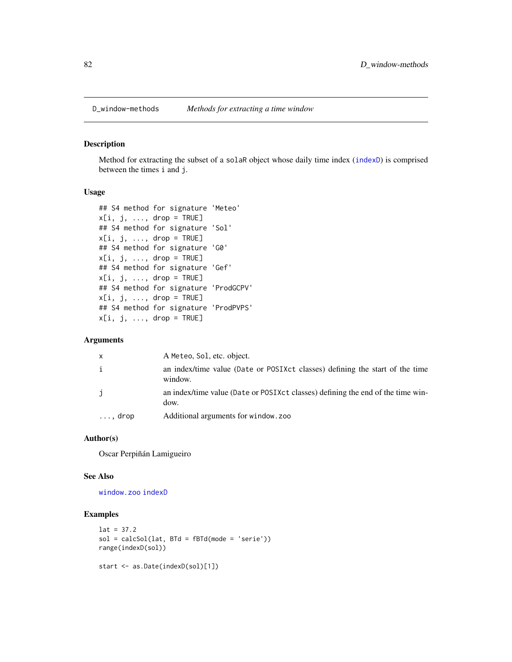<span id="page-81-0"></span>

## Description

Method for extracting the subset of a solaR object whose daily time index ([indexD](#page-77-0)) is comprised between the times i and j.

# Usage

```
## S4 method for signature 'Meteo'
x[i, j, ..., drop = TRUE]## S4 method for signature 'Sol'
x[i, j, ..., drop = TRUE]## S4 method for signature 'G0'
x[i, j, ..., drop = TRUE]## S4 method for signature 'Gef'
x[i, j, ..., drop = TRUE]## S4 method for signature 'ProdGCPV'
x[i, j, ..., drop = TRUE]## S4 method for signature 'ProdPVPS'
x[i, j, \ldots, drop = TRUE]
```
# Arguments

| $\mathsf{x}$    | A Meteo, Sol, etc. object.                                                              |
|-----------------|-----------------------------------------------------------------------------------------|
| $\mathbf{i}$    | an index/time value (Date or POSIXct classes) defining the start of the time<br>window. |
| j               | an index/time value (Date or POSIXct classes) defining the end of the time win-<br>dow. |
| $\ldots$ , drop | Additional arguments for window. zoo                                                    |

#### Author(s)

Oscar Perpiñán Lamigueiro

#### See Also

[window.zoo](#page-0-0) [indexD](#page-77-0)

# Examples

```
lat = 37.2sol = calcSol(lat, BTd = fBTd(mode = 'serie'))range(indexD(sol))
start <- as.Date(indexD(sol)[1])
```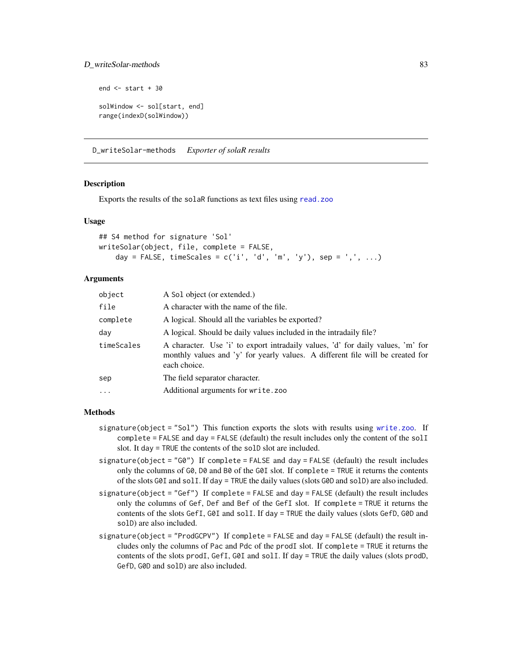# <span id="page-82-0"></span>D\_writeSolar-methods 83

```
end <- start + 30
solWindow <- sol[start, end]
range(indexD(solWindow))
```
D\_writeSolar-methods *Exporter of solaR results*

# Description

Exports the results of the solaR functions as text files using [read.zoo](#page-0-0)

#### Usage

```
## S4 method for signature 'Sol'
writeSolar(object, file, complete = FALSE,
    day = FALSE, timeScales = c('i', 'd', 'm', 'y'), sep = ',', ...)
```
# Arguments

| object     | A Sol object (or extended.)                                                                                                                                                       |
|------------|-----------------------------------------------------------------------------------------------------------------------------------------------------------------------------------|
| file       | A character with the name of the file.                                                                                                                                            |
| complete   | A logical. Should all the variables be exported?                                                                                                                                  |
| day        | A logical. Should be daily values included in the intradaily file?                                                                                                                |
| timeScales | A character. Use 'i' to export intradaily values, 'd' for daily values, 'm' for<br>monthly values and 'y' for yearly values. A different file will be created for<br>each choice. |
| sep        | The field separator character.                                                                                                                                                    |
| $\cdots$   | Additional arguments for write.zoo                                                                                                                                                |
|            |                                                                                                                                                                                   |

## Methods

- signature(object = "Sol") This function exports the slots with results using [write.zoo](#page-0-0). If  $complete = FALSE$  and  $day = FALSE$  (default) the result includes only the content of the soll slot. It day = TRUE the contents of the solD slot are included.
- signature(object = "G0") If complete = FALSE and day = FALSE (default) the result includes only the columns of G0, D0 and B0 of the G0I slot. If complete = TRUE it returns the contents of the slots G0I and solI. If day = TRUE the daily values (slots G0D and solD) are also included.
- signature(object = "Gef") If complete = FALSE and day = FALSE (default) the result includes only the columns of Gef, Def and Bef of the GefI slot. If complete = TRUE it returns the contents of the slots GefI, G0I and solI. If day = TRUE the daily values (slots GefD, G0D and solD) are also included.
- signature(object = "ProdGCPV") If complete = FALSE and day = FALSE (default) the result includes only the columns of Pac and Pdc of the prodI slot. If complete = TRUE it returns the contents of the slots prodI, GefI, G0I and solI. If day = TRUE the daily values (slots prodD, GefD, G0D and solD) are also included.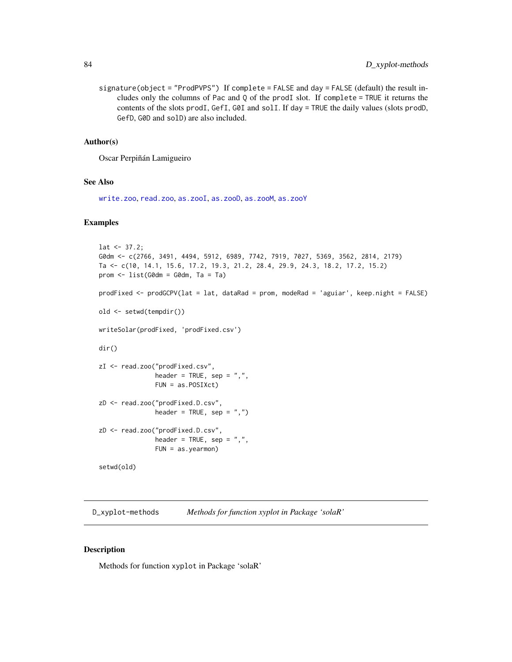<span id="page-83-0"></span>signature(object = "ProdPVPS") If complete = FALSE and day = FALSE (default) the result includes only the columns of Pac and Q of the prodI slot. If complete = TRUE it returns the contents of the slots prodI, GefI, G0I and solI. If day = TRUE the daily values (slots prodD, GefD, G0D and solD) are also included.

# Author(s)

Oscar Perpiñán Lamigueiro

#### See Also

[write.zoo](#page-0-0), [read.zoo](#page-0-0), [as.zooI](#page-72-0), [as.zooD](#page-71-0), [as.zooM](#page-73-0), [as.zooY](#page-73-1)

#### Examples

```
lat < -37.2;
G0dm <- c(2766, 3491, 4494, 5912, 6989, 7742, 7919, 7027, 5369, 3562, 2814, 2179)
Ta <- c(10, 14.1, 15.6, 17.2, 19.3, 21.2, 28.4, 29.9, 24.3, 18.2, 17.2, 15.2)
prom <- list(G0dm = G0dm, Ta = Ta)
prodFixed <- prodGCPV(lat = lat, dataRad = prom, modeRad = 'aguiar', keep.night = FALSE)
old <- setwd(tempdir())
writeSolar(prodFixed, 'prodFixed.csv')
dir()
zI <- read.zoo("prodFixed.csv",
               header = TRUE, sep = ",",FUN = as.POSIXct)
zD <- read.zoo("prodFixed.D.csv",
               header = TRUE, sep = ",")zD <- read.zoo("prodFixed.D.csv",
               header = TRUE, sep = ",",FUN = as.yearmon)
setwd(old)
```
D\_xyplot-methods *Methods for function xyplot in Package 'solaR'*

#### Description

Methods for function xyplot in Package 'solaR'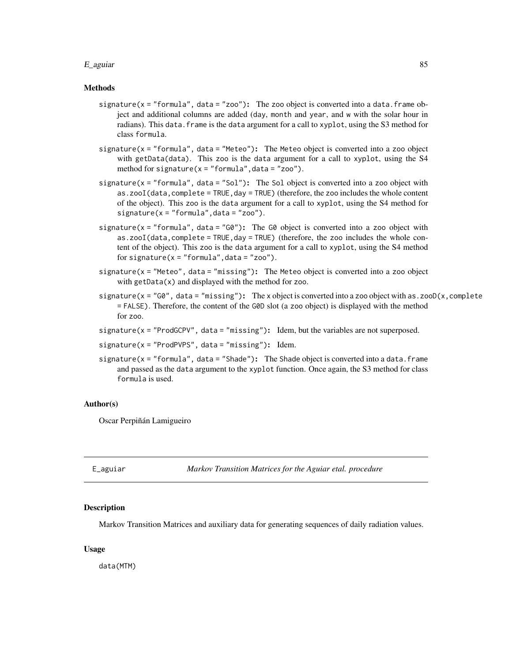#### <span id="page-84-0"></span>E\_aguiar 85

### Methods

- signature( $x =$  "formula", data = "zoo"): The zoo object is converted into a data.frame object and additional columns are added (day, month and year, and w with the solar hour in radians). This data. frame is the data argument for a call to xyplot, using the S3 method for class formula.
- signature(x = "formula", data = "Meteo"): The Meteo object is converted into a zoo object with getData(data). This zoo is the data argument for a call to xyplot, using the S4 method for signature( $x =$  "formula", data = "zoo").
- signature( $x =$  "formula", data = "Sol"): The Sol object is converted into a zoo object with as.zooI(data, complete = TRUE, day = TRUE) (therefore, the zoo includes the whole content of the object). This zoo is the data argument for a call to xyplot, using the S4 method for  $signature(x = "formula", data = "zoo").$
- signature( $x =$  "formula", data = "G0"): The G0 object is converted into a zoo object with as.zooI(data,complete = TRUE,day = TRUE) (therefore, the zoo includes the whole content of the object). This zoo is the data argument for a call to xyplot, using the S4 method for signature( $x = "formula", data = "zoo").$
- signature(x = "Meteo", data = "missing"): The Meteo object is converted into a zoo object with getData(x) and displayed with the method for zoo.
- signature( $x = "G0"$ , data = "missing"): The x object is converted into a zoo object with as.zooD(x, complete = FALSE). Therefore, the content of the G0D slot (a zoo object) is displayed with the method for zoo.
- signature( $x = "ProdGCPV"$ , data = "missing"): Idem, but the variables are not superposed.
- $signature(x = "ProdPVPS", data = "missing");$  Idem.
- signature( $x =$  "formula", data = "Shade"): The Shade object is converted into a data.frame and passed as the data argument to the xyplot function. Once again, the S3 method for class formula is used.

#### Author(s)

Oscar Perpiñán Lamigueiro

E\_aguiar *Markov Transition Matrices for the Aguiar etal. procedure*

#### **Description**

Markov Transition Matrices and auxiliary data for generating sequences of daily radiation values.

# Usage

data(MTM)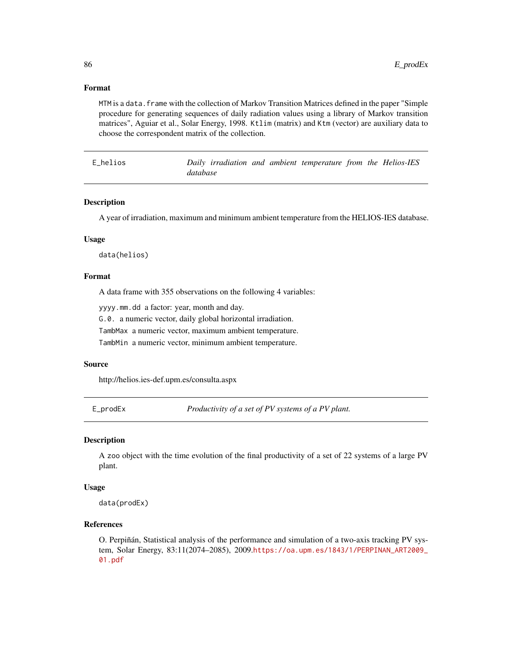## <span id="page-85-0"></span>Format

MTM is a data.frame with the collection of Markov Transition Matrices defined in the paper "Simple procedure for generating sequences of daily radiation values using a library of Markov transition matrices", Aguiar et al., Solar Energy, 1998. Ktlim (matrix) and Ktm (vector) are auxiliary data to choose the correspondent matrix of the collection.

E\_helios *Daily irradiation and ambient temperature from the Helios-IES database*

#### Description

A year of irradiation, maximum and minimum ambient temperature from the HELIOS-IES database.

#### Usage

data(helios)

# Format

A data frame with 355 observations on the following 4 variables:

yyyy.mm.dd a factor: year, month and day.

G.0. a numeric vector, daily global horizontal irradiation.

TambMax a numeric vector, maximum ambient temperature.

TambMin a numeric vector, minimum ambient temperature.

#### Source

http://helios.ies-def.upm.es/consulta.aspx

E\_prodEx *Productivity of a set of PV systems of a PV plant.*

#### Description

A zoo object with the time evolution of the final productivity of a set of 22 systems of a large PV plant.

#### Usage

data(prodEx)

## References

O. Perpiñán, Statistical analysis of the performance and simulation of a two-axis tracking PV system, Solar Energy, 83:11(2074–2085), 2009.[https://oa.upm.es/1843/1/PERPINAN\\_ART2009\\_](https://oa.upm.es/1843/1/PERPINAN_ART2009_01.pdf) [01.pdf](https://oa.upm.es/1843/1/PERPINAN_ART2009_01.pdf)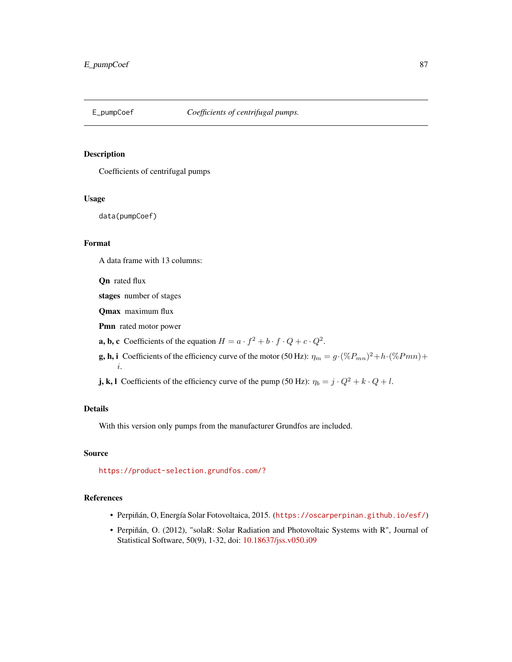<span id="page-86-0"></span>

#### Description

Coefficients of centrifugal pumps

#### Usage

data(pumpCoef)

# Format

A data frame with 13 columns:

Qn rated flux

stages number of stages

Qmax maximum flux

Pmn rated motor power

**a, b, c** Coefficients of the equation  $H = a \cdot f^2 + b \cdot f \cdot Q + c \cdot Q^2$ .

**g, h, i** Coefficients of the efficiency curve of the motor (50 Hz):  $\eta_m = g \cdot (\%P_{mn})^2 + h \cdot (\%P_{mn}) +$ i.

**j, k, l** Coefficients of the efficiency curve of the pump (50 Hz):  $\eta_b = j \cdot Q^2 + k \cdot Q + l$ .

# Details

With this version only pumps from the manufacturer Grundfos are included.

# Source

<https://product-selection.grundfos.com/?>

# References

- Perpiñán, O, Energía Solar Fotovoltaica, 2015. (<https://oscarperpinan.github.io/esf/>)
- Perpiñán, O. (2012), "solaR: Solar Radiation and Photovoltaic Systems with R", Journal of Statistical Software, 50(9), 1-32, doi: [10.18637/jss.v050.i09](https://doi.org/10.18637/jss.v050.i09)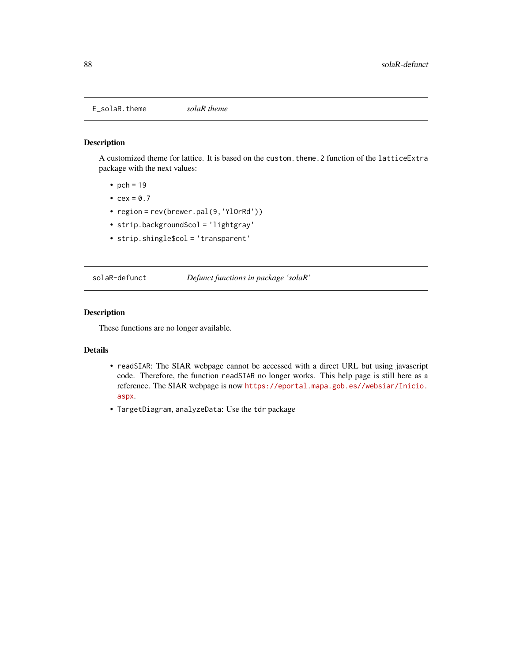<span id="page-87-0"></span>E\_solaR.theme *solaR theme*

# Description

A customized theme for lattice. It is based on the custom.theme.2 function of the latticeExtra package with the next values:

- pch =  $19$
- $cex = 0.7$
- region = rev(brewer.pal(9,'YlOrRd'))
- strip.background\$col = 'lightgray'
- strip.shingle\$col = 'transparent'

solaR-defunct *Defunct functions in package 'solaR'*

# Description

These functions are no longer available.

# Details

- readSIAR: The SIAR webpage cannot be accessed with a direct URL but using javascript code. Therefore, the function readSIAR no longer works. This help page is still here as a reference. The SIAR webpage is now [https://eportal.mapa.gob.es//websiar/Inicio.](https://eportal.mapa.gob.es//websiar/Inicio.aspx) [aspx](https://eportal.mapa.gob.es//websiar/Inicio.aspx).
- TargetDiagram, analyzeData: Use the tdr package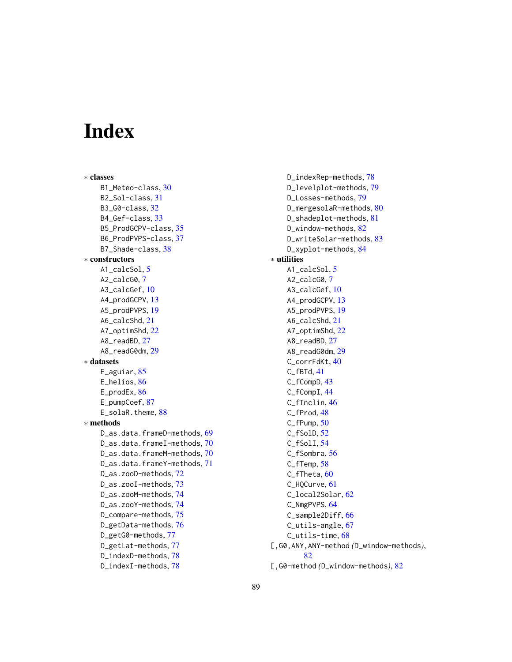# Index

∗ classes B1\_Meteo-class, [30](#page-29-0) B2\_Sol-class, [31](#page-30-0) B3\_G0-class, [32](#page-31-0) B4\_Gef-class, [33](#page-32-0) B5\_ProdGCPV-class, [35](#page-34-0) B6\_ProdPVPS-class, [37](#page-36-0) B7\_Shade-class, [38](#page-37-1) ∗ constructors A1 calcSol. [5](#page-4-0) A2\_calcG0, [7](#page-6-0) A3\_calcGef, [10](#page-9-0) A4\_prodGCPV, [13](#page-12-0) A5\_prodPVPS, [19](#page-18-0) A6\_calcShd, [21](#page-20-0) A7\_optimShd, [22](#page-21-0) A8\_readBD, [27](#page-26-1) A8\_readG0dm, [29](#page-28-1) ∗ datasets E\_aguiar, [85](#page-84-0) E\_helios, [86](#page-85-0) E\_prodEx, [86](#page-85-0) E\_pumpCoef, [87](#page-86-0) E\_solaR.theme, [88](#page-87-0) ∗ methods D\_as.data.frameD-methods, [69](#page-68-0) D\_as.data.frameI-methods, [70](#page-69-0) D\_as.data.frameM-methods, [70](#page-69-0) D\_as.data.frameY-methods, [71](#page-70-0) D\_as.zooD-methods, [72](#page-71-1) D\_as.zooI-methods, [73](#page-72-1) D\_as.zooM-methods, [74](#page-73-2) D\_as.zooY-methods, [74](#page-73-2) D\_compare-methods, [75](#page-74-0) D\_getData-methods, [76](#page-75-0) D\_getG0-methods, [77](#page-76-0) D\_getLat-methods, [77](#page-76-0) D\_indexD-methods, [78](#page-77-1) D\_indexI-methods, [78](#page-77-1)

D\_indexRep-methods, [78](#page-77-1) D\_levelplot-methods, [79](#page-78-0) D\_Losses-methods, [79](#page-78-0) D\_mergesolaR-methods, [80](#page-79-0) D\_shadeplot-methods, [81](#page-80-0) D\_window-methods, [82](#page-81-0) D\_writeSolar-methods, [83](#page-82-0) D\_xyplot-methods, [84](#page-83-0) ∗ utilities A1\_calcSol, [5](#page-4-0) A2\_calcG0, [7](#page-6-0) A3\_calcGef, [10](#page-9-0) A4\_prodGCPV, [13](#page-12-0) A5\_prodPVPS, [19](#page-18-0) A6\_calcShd, [21](#page-20-0) A7\_optimShd, [22](#page-21-0) A8\_readBD, [27](#page-26-1) A8\_readG0dm, [29](#page-28-1) C\_corrFdKt, [40](#page-39-0) C\_fBTd, [41](#page-40-0) C\_fCompD, [43](#page-42-0) C\_fCompI, [44](#page-43-0) C\_fInclin, [46](#page-45-1) C\_fProd, [48](#page-47-1) C\_fPump, [50](#page-49-0) C\_fSolD, [52](#page-51-0) C\_fSolI, [54](#page-53-0) C\_fSombra, [56](#page-55-0) C\_fTemp, [58](#page-57-0) C\_fTheta, [60](#page-59-0) C\_HQCurve, [61](#page-60-0) C\_local2Solar, [62](#page-61-0) C\_NmgPVPS, [64](#page-63-0) C\_sample2Diff, [66](#page-65-0) C\_utils-angle, [67](#page-66-0) C\_utils-time, [68](#page-67-0) [,G0,ANY,ANY-method *(*D\_window-methods*)*, [82](#page-81-0)

[,G0-method *(*D\_window-methods*)*, [82](#page-81-0)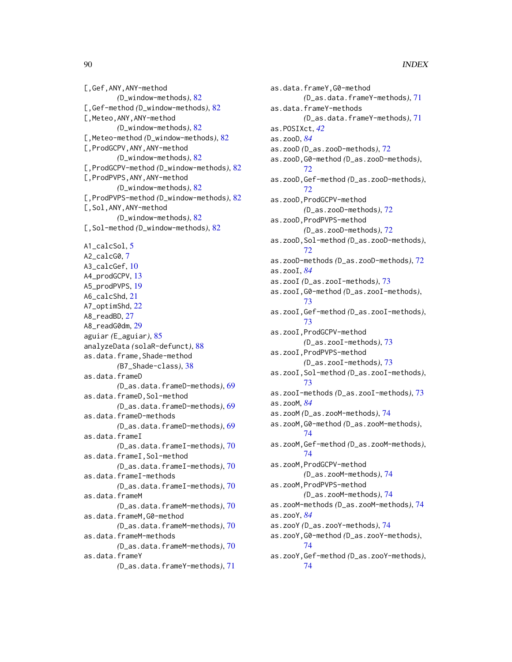[,Gef,ANY,ANY-method *(*D\_window-methods*)*, [82](#page-81-0) [,Gef-method *(*D\_window-methods*)*, [82](#page-81-0) [,Meteo,ANY,ANY-method *(*D\_window-methods*)*, [82](#page-81-0) [,Meteo-method *(*D\_window-methods*)*, [82](#page-81-0) [,ProdGCPV,ANY,ANY-method *(*D\_window-methods*)*, [82](#page-81-0) [,ProdGCPV-method *(*D\_window-methods*)*, [82](#page-81-0) [,ProdPVPS,ANY,ANY-method *(*D\_window-methods*)*, [82](#page-81-0) [,ProdPVPS-method *(*D\_window-methods*)*, [82](#page-81-0) [,Sol,ANY,ANY-method *(*D\_window-methods*)*, [82](#page-81-0) [,Sol-method *(*D\_window-methods*)*, [82](#page-81-0) A1\_calcSol, [5](#page-4-0) A2\_calcG0, [7](#page-6-0) A3\_calcGef, [10](#page-9-0) A4\_prodGCPV, [13](#page-12-0) A5\_prodPVPS, [19](#page-18-0) A6\_calcShd, [21](#page-20-0) A7\_optimShd, [22](#page-21-0) A8\_readBD, [27](#page-26-1) A8\_readG0dm, [29](#page-28-1) aguiar *(*E\_aguiar*)*, [85](#page-84-0) analyzeData *(*solaR-defunct*)*, [88](#page-87-0) as.data.frame,Shade-method *(*B7\_Shade-class*)*, [38](#page-37-1) as.data.frameD *(*D\_as.data.frameD-methods*)*, [69](#page-68-0) as.data.frameD,Sol-method *(*D\_as.data.frameD-methods*)*, [69](#page-68-0) as.data.frameD-methods *(*D\_as.data.frameD-methods*)*, [69](#page-68-0) as.data.frameI *(*D\_as.data.frameI-methods*)*, [70](#page-69-0) as.data.frameI,Sol-method *(*D\_as.data.frameI-methods*)*, [70](#page-69-0) as.data.frameI-methods *(*D\_as.data.frameI-methods*)*, [70](#page-69-0) as.data.frameM *(*D\_as.data.frameM-methods*)*, [70](#page-69-0) as.data.frameM,G0-method *(*D\_as.data.frameM-methods*)*, [70](#page-69-0) as.data.frameM-methods *(*D\_as.data.frameM-methods*)*, [70](#page-69-0) as.data.frameY *(*D\_as.data.frameY-methods*)*, [71](#page-70-0)

as.data.frameY,G0-method *(*D\_as.data.frameY-methods*)*, [71](#page-70-0) as.data.frameY-methods *(*D\_as.data.frameY-methods*)*, [71](#page-70-0) as.POSIXct, *[42](#page-41-0)* as.zooD, *[84](#page-83-0)* as.zooD *(*D\_as.zooD-methods*)*, [72](#page-71-1) as.zooD,G0-method *(*D\_as.zooD-methods*)*, [72](#page-71-1) as.zooD,Gef-method *(*D\_as.zooD-methods*)*, [72](#page-71-1) as.zooD,ProdGCPV-method *(*D\_as.zooD-methods*)*, [72](#page-71-1) as.zooD,ProdPVPS-method *(*D\_as.zooD-methods*)*, [72](#page-71-1) as.zooD,Sol-method *(*D\_as.zooD-methods*)*, [72](#page-71-1) as.zooD-methods *(*D\_as.zooD-methods*)*, [72](#page-71-1) as.zooI, *[84](#page-83-0)* as.zooI *(*D\_as.zooI-methods*)*, [73](#page-72-1) as.zooI,G0-method *(*D\_as.zooI-methods*)*, [73](#page-72-1) as.zooI,Gef-method *(*D\_as.zooI-methods*)*, [73](#page-72-1) as.zooI,ProdGCPV-method *(*D\_as.zooI-methods*)*, [73](#page-72-1) as.zooI,ProdPVPS-method *(*D\_as.zooI-methods*)*, [73](#page-72-1) as.zooI,Sol-method *(*D\_as.zooI-methods*)*, [73](#page-72-1) as.zooI-methods *(*D\_as.zooI-methods*)*, [73](#page-72-1) as.zooM, *[84](#page-83-0)* as.zooM *(*D\_as.zooM-methods*)*, [74](#page-73-2) as.zooM,G0-method *(*D\_as.zooM-methods*)*, [74](#page-73-2) as.zooM,Gef-method *(*D\_as.zooM-methods*)*, [74](#page-73-2) as.zooM,ProdGCPV-method *(*D\_as.zooM-methods*)*, [74](#page-73-2) as.zooM,ProdPVPS-method *(*D\_as.zooM-methods*)*, [74](#page-73-2) as.zooM-methods *(*D\_as.zooM-methods*)*, [74](#page-73-2) as.zooY, *[84](#page-83-0)* as.zooY *(*D\_as.zooY-methods*)*, [74](#page-73-2) as.zooY,G0-method *(*D\_as.zooY-methods*)*, [74](#page-73-2) as.zooY,Gef-method *(*D\_as.zooY-methods*)*, [74](#page-73-2)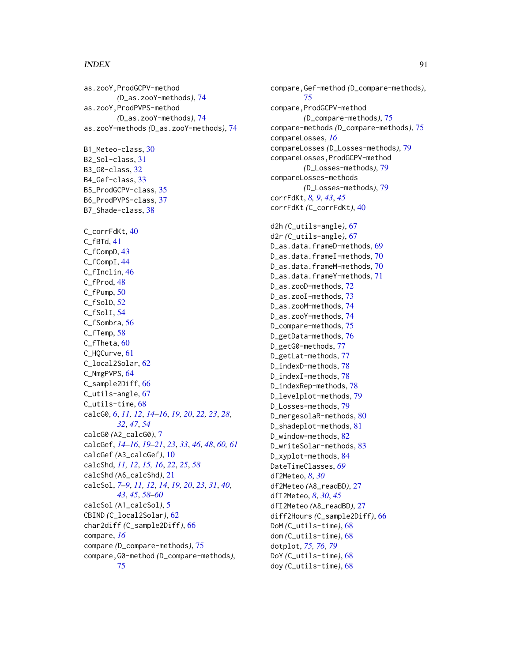#### INDEX  $91$

as.zooY,ProdGCPV-method *(*D\_as.zooY-methods*)*, [74](#page-73-2) as.zooY,ProdPVPS-method *(*D\_as.zooY-methods*)*, [74](#page-73-2) as.zooY-methods *(*D\_as.zooY-methods*)*, [74](#page-73-2) B1\_Meteo-class, [30](#page-29-0) B2\_Sol-class, [31](#page-30-0) B3\_G0-class, [32](#page-31-0) B4\_Gef-class, [33](#page-32-0) B5\_ProdGCPV-class, [35](#page-34-0) B6\_ProdPVPS-class, [37](#page-36-0) B7\_Shade-class, [38](#page-37-1) C\_corrFdKt, [40](#page-39-0) C\_fBTd, [41](#page-40-0) C\_fCompD, [43](#page-42-0) C\_fCompI, [44](#page-43-0) C\_fInclin, [46](#page-45-1) C\_fProd, [48](#page-47-1) C\_fPump, [50](#page-49-0) C\_fSolD, [52](#page-51-0) C\_fSolI, [54](#page-53-0) C\_fSombra, [56](#page-55-0) C\_fTemp, [58](#page-57-0) C\_fTheta, [60](#page-59-0) C\_HQCurve, [61](#page-60-0) C\_local2Solar, [62](#page-61-0) C\_NmgPVPS, [64](#page-63-0) C\_sample2Diff, [66](#page-65-0) C\_utils-angle, [67](#page-66-0) C\_utils-time, [68](#page-67-0) calcG0, *[6](#page-5-0)*, *[11,](#page-10-0) [12](#page-11-0)*, *[14](#page-13-0)[–16](#page-15-0)*, *[19,](#page-18-0) [20](#page-19-0)*, *[22,](#page-21-0) [23](#page-22-0)*, *[28](#page-27-0)*, *[32](#page-31-0)*, *[47](#page-46-0)*, *[54](#page-53-0)* calcG0 *(*A2\_calcG0*)*, [7](#page-6-0) calcGef, *[14](#page-13-0)[–16](#page-15-0)*, *[19](#page-18-0)[–21](#page-20-0)*, *[23](#page-22-0)*, *[33](#page-32-0)*, *[46](#page-45-1)*, *[48](#page-47-1)*, *[60,](#page-59-0) [61](#page-60-0)* calcGef *(*A3\_calcGef*)*, [10](#page-9-0) calcShd, *[11,](#page-10-0) [12](#page-11-0)*, *[15,](#page-14-0) [16](#page-15-0)*, *[22](#page-21-0)*, *[25](#page-24-0)*, *[58](#page-57-0)* calcShd *(*A6\_calcShd*)*, [21](#page-20-0) calcSol, *[7](#page-6-0)[–9](#page-8-0)*, *[11,](#page-10-0) [12](#page-11-0)*, *[14](#page-13-0)*, *[19,](#page-18-0) [20](#page-19-0)*, *[23](#page-22-0)*, *[31](#page-30-0)*, *[40](#page-39-0)*, *[43](#page-42-0)*, *[45](#page-44-0)*, *[58](#page-57-0)[–60](#page-59-0)* calcSol *(*A1\_calcSol*)*, [5](#page-4-0) CBIND *(*C\_local2Solar*)*, [62](#page-61-0) char2diff *(*C\_sample2Diff*)*, [66](#page-65-0) compare, *[16](#page-15-0)* compare *(*D\_compare-methods*)*, [75](#page-74-0) compare,G0-method *(*D\_compare-methods*)*, [75](#page-74-0)

compare,Gef-method *(*D\_compare-methods*)*, [75](#page-74-0) compare,ProdGCPV-method *(*D\_compare-methods*)*, [75](#page-74-0) compare-methods *(*D\_compare-methods*)*, [75](#page-74-0) compareLosses, *[16](#page-15-0)* compareLosses *(*D\_Losses-methods*)*, [79](#page-78-0) compareLosses,ProdGCPV-method *(*D\_Losses-methods*)*, [79](#page-78-0) compareLosses-methods *(*D\_Losses-methods*)*, [79](#page-78-0) corrFdKt, *[8,](#page-7-0) [9](#page-8-0)*, *[43](#page-42-0)*, *[45](#page-44-0)* corrFdKt *(*C\_corrFdKt*)*, [40](#page-39-0) d2h *(*C\_utils-angle*)*, [67](#page-66-0) d2r *(*C\_utils-angle*)*, [67](#page-66-0) D\_as.data.frameD-methods, [69](#page-68-0) D\_as.data.frameI-methods, [70](#page-69-0) D\_as.data.frameM-methods, [70](#page-69-0) D\_as.data.frameY-methods, [71](#page-70-0) D\_as.zooD-methods, [72](#page-71-1) D\_as.zooI-methods, [73](#page-72-1) D\_as.zooM-methods, [74](#page-73-2) D\_as.zooY-methods, [74](#page-73-2) D\_compare-methods, [75](#page-74-0) D\_getData-methods, [76](#page-75-0) D\_getG0-methods, [77](#page-76-0) D\_getLat-methods, [77](#page-76-0) D\_indexD-methods, [78](#page-77-1) D\_indexI-methods, [78](#page-77-1) D\_indexRep-methods, [78](#page-77-1) D\_levelplot-methods, [79](#page-78-0) D Losses-methods, [79](#page-78-0) D\_mergesolaR-methods, [80](#page-79-0) D\_shadeplot-methods, [81](#page-80-0) D\_window-methods, [82](#page-81-0) D\_writeSolar-methods, [83](#page-82-0) D\_xyplot-methods, [84](#page-83-0) DateTimeClasses, *[69](#page-68-0)* df2Meteo, *[8](#page-7-0)*, *[30](#page-29-0)* df2Meteo *(*A8\_readBD*)*, [27](#page-26-1) dfI2Meteo, *[8](#page-7-0)*, *[30](#page-29-0)*, *[45](#page-44-0)* dfI2Meteo *(*A8\_readBD*)*, [27](#page-26-1) diff2Hours *(*C\_sample2Diff*)*, [66](#page-65-0) DoM *(*C\_utils-time*)*, [68](#page-67-0) dom *(*C\_utils-time*)*, [68](#page-67-0) dotplot, *[75,](#page-74-0) [76](#page-75-0)*, *[79](#page-78-0)* DoY *(*C\_utils-time*)*, [68](#page-67-0) doy *(*C\_utils-time*)*, [68](#page-67-0)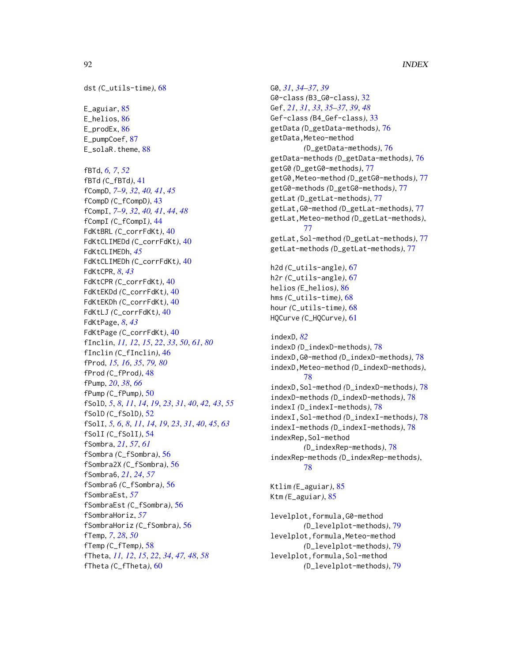dst *(*C\_utils-time*)*, [68](#page-67-0) E\_aguiar, [85](#page-84-0) E\_helios, [86](#page-85-0) E\_prodEx, [86](#page-85-0) E\_pumpCoef, [87](#page-86-0) E\_solaR.theme, [88](#page-87-0) fBTd, *[6,](#page-5-0) [7](#page-6-0)*, *[52](#page-51-0)* fBTd *(*C\_fBTd*)*, [41](#page-40-0) fCompD, *[7](#page-6-0)[–9](#page-8-0)*, *[32](#page-31-0)*, *[40,](#page-39-0) [41](#page-40-0)*, *[45](#page-44-0)* fCompD *(*C\_fCompD*)*, [43](#page-42-0) fCompI, *[7](#page-6-0)[–9](#page-8-0)*, *[32](#page-31-0)*, *[40,](#page-39-0) [41](#page-40-0)*, *[44](#page-43-0)*, *[48](#page-47-1)* fCompI *(*C\_fCompI*)*, [44](#page-43-0) FdKtBRL *(*C\_corrFdKt*)*, [40](#page-39-0) FdKtCLIMEDd *(*C\_corrFdKt*)*, [40](#page-39-0) FdKtCLIMEDh, *[45](#page-44-0)* FdKtCLIMEDh *(*C\_corrFdKt*)*, [40](#page-39-0) FdKtCPR, *[8](#page-7-0)*, *[43](#page-42-0)* FdKtCPR *(*C\_corrFdKt*)*, [40](#page-39-0) FdKtEKDd *(*C\_corrFdKt*)*, [40](#page-39-0) FdKtEKDh *(*C\_corrFdKt*)*, [40](#page-39-0) FdKtLJ *(*C\_corrFdKt*)*, [40](#page-39-0) FdKtPage, *[8](#page-7-0)*, *[43](#page-42-0)* FdKtPage *(*C\_corrFdKt*)*, [40](#page-39-0) fInclin, *[11,](#page-10-0) [12](#page-11-0)*, *[15](#page-14-0)*, *[22](#page-21-0)*, *[33](#page-32-0)*, *[50](#page-49-0)*, *[61](#page-60-0)*, *[80](#page-79-0)* fInclin *(*C\_fInclin*)*, [46](#page-45-1) fProd, *[15,](#page-14-0) [16](#page-15-0)*, *[35](#page-34-0)*, *[79,](#page-78-0) [80](#page-79-0)* fProd *(*C\_fProd*)*, [48](#page-47-1) fPump, *[20](#page-19-0)*, *[38](#page-37-1)*, *[66](#page-65-0)* fPump *(*C\_fPump*)*, [50](#page-49-0) fSolD, *[5](#page-4-0)*, *[8](#page-7-0)*, *[11](#page-10-0)*, *[14](#page-13-0)*, *[19](#page-18-0)*, *[23](#page-22-0)*, *[31](#page-30-0)*, *[40](#page-39-0)*, *[42,](#page-41-0) [43](#page-42-0)*, *[55](#page-54-0)* fSolD *(*C\_fSolD*)*, [52](#page-51-0) fSolI, *[5,](#page-4-0) [6](#page-5-0)*, *[8](#page-7-0)*, *[11](#page-10-0)*, *[14](#page-13-0)*, *[19](#page-18-0)*, *[23](#page-22-0)*, *[31](#page-30-0)*, *[40](#page-39-0)*, *[45](#page-44-0)*, *[63](#page-62-0)* fSolI *(*C\_fSolI*)*, [54](#page-53-0) fSombra, *[21](#page-20-0)*, *[57](#page-56-0)*, *[61](#page-60-0)* fSombra *(*C\_fSombra*)*, [56](#page-55-0) fSombra2X *(*C\_fSombra*)*, [56](#page-55-0) fSombra6, *[21](#page-20-0)*, *[24](#page-23-0)*, *[57](#page-56-0)* fSombra6 *(*C\_fSombra*)*, [56](#page-55-0) fSombraEst, *[57](#page-56-0)* fSombraEst *(*C\_fSombra*)*, [56](#page-55-0) fSombraHoriz, *[57](#page-56-0)* fSombraHoriz *(*C\_fSombra*)*, [56](#page-55-0) fTemp, *[7](#page-6-0)*, *[28](#page-27-0)*, *[50](#page-49-0)* fTemp *(*C\_fTemp*)*, [58](#page-57-0) fTheta, *[11,](#page-10-0) [12](#page-11-0)*, *[15](#page-14-0)*, *[22](#page-21-0)*, *[34](#page-33-0)*, *[47,](#page-46-0) [48](#page-47-1)*, *[58](#page-57-0)* fTheta *(*C\_fTheta*)*, [60](#page-59-0)

G0, *[31](#page-30-0)*, *[34](#page-33-0)[–37](#page-36-0)*, *[39](#page-38-0)* G0-class *(*B3\_G0-class*)*, [32](#page-31-0) Gef, *[21](#page-20-0)*, *[31](#page-30-0)*, *[33](#page-32-0)*, *[35](#page-34-0)[–37](#page-36-0)*, *[39](#page-38-0)*, *[48](#page-47-1)* Gef-class *(*B4\_Gef-class*)*, [33](#page-32-0) getData *(*D\_getData-methods*)*, [76](#page-75-0) getData,Meteo-method *(*D\_getData-methods*)*, [76](#page-75-0) getData-methods *(*D\_getData-methods*)*, [76](#page-75-0) getG0 *(*D\_getG0-methods*)*, [77](#page-76-0) getG0,Meteo-method *(*D\_getG0-methods*)*, [77](#page-76-0) getG0-methods *(*D\_getG0-methods*)*, [77](#page-76-0) getLat *(*D\_getLat-methods*)*, [77](#page-76-0) getLat,G0-method *(*D\_getLat-methods*)*, [77](#page-76-0) getLat,Meteo-method *(*D\_getLat-methods*)*, [77](#page-76-0) getLat,Sol-method *(*D\_getLat-methods*)*, [77](#page-76-0) getLat-methods *(*D\_getLat-methods*)*, [77](#page-76-0) h2d *(*C\_utils-angle*)*, [67](#page-66-0) h2r *(*C\_utils-angle*)*, [67](#page-66-0) helios *(*E\_helios*)*, [86](#page-85-0) hms *(*C\_utils-time*)*, [68](#page-67-0) hour *(*C\_utils-time*)*, [68](#page-67-0) HQCurve *(*C\_HQCurve*)*, [61](#page-60-0) indexD, *[82](#page-81-0)* indexD *(*D\_indexD-methods*)*, [78](#page-77-1) indexD,G0-method *(*D\_indexD-methods*)*, [78](#page-77-1) indexD,Meteo-method *(*D\_indexD-methods*)*, [78](#page-77-1) indexD,Sol-method *(*D\_indexD-methods*)*, [78](#page-77-1) indexD-methods *(*D\_indexD-methods*)*, [78](#page-77-1) indexI *(*D\_indexI-methods*)*, [78](#page-77-1) indexI,Sol-method *(*D\_indexI-methods*)*, [78](#page-77-1) indexI-methods *(*D\_indexI-methods*)*, [78](#page-77-1) indexRep,Sol-method *(*D\_indexRep-methods*)*, [78](#page-77-1) indexRep-methods *(*D\_indexRep-methods*)*, [78](#page-77-1) Ktlim *(*E\_aguiar*)*, [85](#page-84-0) Ktm *(*E\_aguiar*)*, [85](#page-84-0)

levelplot,formula,G0-method *(*D\_levelplot-methods*)*, [79](#page-78-0) levelplot,formula,Meteo-method *(*D\_levelplot-methods*)*, [79](#page-78-0) levelplot, formula, Sol-method *(*D\_levelplot-methods*)*, [79](#page-78-0)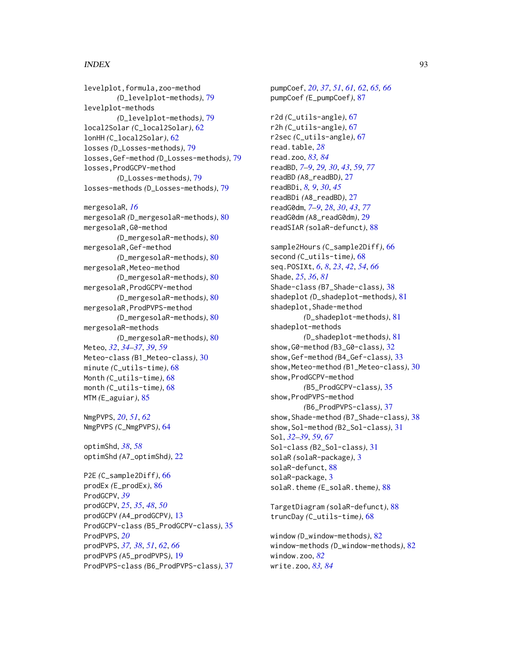# INDEX  $\sim$  93

levelplot,formula,zoo-method *(*D\_levelplot-methods*)*, [79](#page-78-0) levelplot-methods *(*D\_levelplot-methods*)*, [79](#page-78-0) local2Solar *(*C\_local2Solar*)*, [62](#page-61-0) lonHH *(*C\_local2Solar*)*, [62](#page-61-0) losses *(*D\_Losses-methods*)*, [79](#page-78-0) losses,Gef-method *(*D\_Losses-methods*)*, [79](#page-78-0) losses,ProdGCPV-method *(*D\_Losses-methods*)*, [79](#page-78-0) losses-methods *(*D\_Losses-methods*)*, [79](#page-78-0) mergesolaR, *[16](#page-15-0)* mergesolaR *(*D\_mergesolaR-methods*)*, [80](#page-79-0) mergesolaR,G0-method *(*D\_mergesolaR-methods*)*, [80](#page-79-0) mergesolaR,Gef-method *(*D\_mergesolaR-methods*)*, [80](#page-79-0) mergesolaR,Meteo-method *(*D\_mergesolaR-methods*)*, [80](#page-79-0) mergesolaR,ProdGCPV-method *(*D\_mergesolaR-methods*)*, [80](#page-79-0) mergesolaR,ProdPVPS-method *(*D\_mergesolaR-methods*)*, [80](#page-79-0) mergesolaR-methods *(*D\_mergesolaR-methods*)*, [80](#page-79-0) Meteo, *[32](#page-31-0)*, *[34](#page-33-0)[–37](#page-36-0)*, *[39](#page-38-0)*, *[59](#page-58-0)* Meteo-class *(*B1\_Meteo-class*)*, [30](#page-29-0) minute *(*C\_utils-time*)*, [68](#page-67-0)

Month *(*C\_utils-time*)*, [68](#page-67-0) month *(*C\_utils-time*)*, [68](#page-67-0) MTM *(*E\_aguiar*)*, [85](#page-84-0)

NmgPVPS, *[20](#page-19-0)*, *[51](#page-50-0)*, *[62](#page-61-0)* NmgPVPS *(*C\_NmgPVPS*)*, [64](#page-63-0)

optimShd, *[38](#page-37-1)*, *[58](#page-57-0)* optimShd *(*A7\_optimShd*)*, [22](#page-21-0)

P2E *(*C\_sample2Diff*)*, [66](#page-65-0) prodEx *(*E\_prodEx*)*, [86](#page-85-0) ProdGCPV, *[39](#page-38-0)* prodGCPV, *[25](#page-24-0)*, *[35](#page-34-0)*, *[48](#page-47-1)*, *[50](#page-49-0)* prodGCPV *(*A4\_prodGCPV*)*, [13](#page-12-0) ProdGCPV-class *(*B5\_ProdGCPV-class*)*, [35](#page-34-0) ProdPVPS, *[20](#page-19-0)* prodPVPS, *[37,](#page-36-0) [38](#page-37-1)*, *[51](#page-50-0)*, *[62](#page-61-0)*, *[66](#page-65-0)* prodPVPS *(*A5\_prodPVPS*)*, [19](#page-18-0) ProdPVPS-class *(*B6\_ProdPVPS-class*)*, [37](#page-36-0)

pumpCoef, *[20](#page-19-0)*, *[37](#page-36-0)*, *[51](#page-50-0)*, *[61,](#page-60-0) [62](#page-61-0)*, *[65,](#page-64-0) [66](#page-65-0)* pumpCoef *(*E\_pumpCoef*)*, [87](#page-86-0) r2d *(*C\_utils-angle*)*, [67](#page-66-0) r2h *(*C\_utils-angle*)*, [67](#page-66-0) r2sec *(*C\_utils-angle*)*, [67](#page-66-0) read.table, *[28](#page-27-0)* read.zoo, *[83,](#page-82-0) [84](#page-83-0)* readBD, *[7](#page-6-0)[–9](#page-8-0)*, *[29,](#page-28-1) [30](#page-29-0)*, *[43](#page-42-0)*, *[59](#page-58-0)*, *[77](#page-76-0)* readBD *(*A8\_readBD*)*, [27](#page-26-1) readBDi, *[8,](#page-7-0) [9](#page-8-0)*, *[30](#page-29-0)*, *[45](#page-44-0)* readBDi *(*A8\_readBD*)*, [27](#page-26-1) readG0dm, *[7](#page-6-0)[–9](#page-8-0)*, *[28](#page-27-0)*, *[30](#page-29-0)*, *[43](#page-42-0)*, *[77](#page-76-0)* readG0dm *(*A8\_readG0dm*)*, [29](#page-28-1) readSIAR *(*solaR-defunct*)*, [88](#page-87-0) sample2Hours *(*C\_sample2Diff*)*, [66](#page-65-0) second *(*C\_utils-time*)*, [68](#page-67-0) seq.POSIXt, *[6](#page-5-0)*, *[8](#page-7-0)*, *[23](#page-22-0)*, *[42](#page-41-0)*, *[54](#page-53-0)*, *[66](#page-65-0)* Shade, *[25](#page-24-0)*, *[36](#page-35-0)*, *[81](#page-80-0)* Shade-class *(*B7\_Shade-class*)*, [38](#page-37-1) shadeplot *(*D\_shadeplot-methods*)*, [81](#page-80-0) shadeplot,Shade-method *(*D\_shadeplot-methods*)*, [81](#page-80-0) shadeplot-methods *(*D\_shadeplot-methods*)*, [81](#page-80-0) show,G0-method *(*B3\_G0-class*)*, [32](#page-31-0) show,Gef-method *(*B4\_Gef-class*)*, [33](#page-32-0) show,Meteo-method *(*B1\_Meteo-class*)*, [30](#page-29-0) show,ProdGCPV-method *(*B5\_ProdGCPV-class*)*, [35](#page-34-0) show,ProdPVPS-method *(*B6\_ProdPVPS-class*)*, [37](#page-36-0) show,Shade-method *(*B7\_Shade-class*)*, [38](#page-37-1) show,Sol-method *(*B2\_Sol-class*)*, [31](#page-30-0) Sol, *[32–](#page-31-0)[39](#page-38-0)*, *[59](#page-58-0)*, *[67](#page-66-0)* Sol-class *(*B2\_Sol-class*)*, [31](#page-30-0) solaR *(*solaR-package*)*, [3](#page-2-0) solaR-defunct, [88](#page-87-0) solaR-package, [3](#page-2-0) solaR.theme *(*E\_solaR.theme*)*, [88](#page-87-0)

TargetDiagram *(*solaR-defunct*)*, [88](#page-87-0) truncDay *(*C\_utils-time*)*, [68](#page-67-0)

window *(*D\_window-methods*)*, [82](#page-81-0) window-methods *(*D\_window-methods*)*, [82](#page-81-0) window.zoo, *[82](#page-81-0)* write.zoo, *[83,](#page-82-0) [84](#page-83-0)*